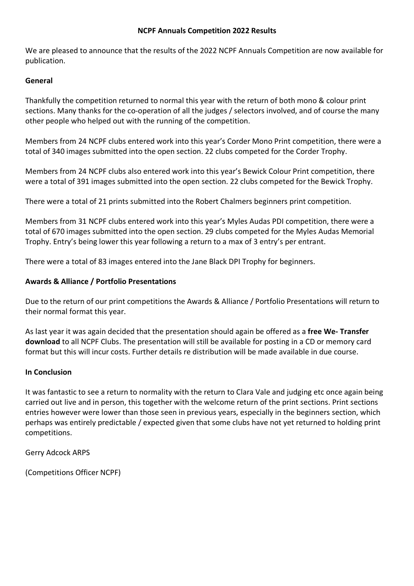#### **NCPF Annuals Competition 2022 Results**

We are pleased to announce that the results of the 2022 NCPF Annuals Competition are now available for publication.

#### **General**

Thankfully the competition returned to normal this year with the return of both mono & colour print sections. Many thanks for the co-operation of all the judges / selectors involved, and of course the many other people who helped out with the running of the competition.

Members from 24 NCPF clubs entered work into this year's Corder Mono Print competition, there were a total of 340 images submitted into the open section. 22 clubs competed for the Corder Trophy.

Members from 24 NCPF clubs also entered work into this year's Bewick Colour Print competition, there were a total of 391 images submitted into the open section. 22 clubs competed for the Bewick Trophy.

There were a total of 21 prints submitted into the Robert Chalmers beginners print competition.

Members from 31 NCPF clubs entered work into this year's Myles Audas PDI competition, there were a total of 670 images submitted into the open section. 29 clubs competed for the Myles Audas Memorial Trophy. Entry's being lower this year following a return to a max of 3 entry's per entrant.

There were a total of 83 images entered into the Jane Black DPI Trophy for beginners.

#### **Awards & Alliance / Portfolio Presentations**

Due to the return of our print competitions the Awards & Alliance / Portfolio Presentations will return to their normal format this year.

As last year it was again decided that the presentation should again be offered as a **free We- Transfer download** to all NCPF Clubs. The presentation will still be available for posting in a CD or memory card format but this will incur costs. Further details re distribution will be made available in due course.

#### **In Conclusion**

It was fantastic to see a return to normality with the return to Clara Vale and judging etc once again being carried out live and in person, this together with the welcome return of the print sections. Print sections entries however were lower than those seen in previous years, especially in the beginners section, which perhaps was entirely predictable / expected given that some clubs have not yet returned to holding print competitions.

Gerry Adcock ARPS

(Competitions Officer NCPF)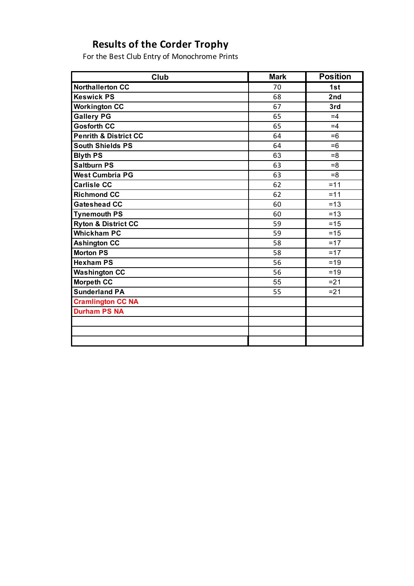## **Results of the Corder Trophy**

For the Best Club Entry of Monochrome Prints

| Club                             | <b>Mark</b> | <b>Position</b> |
|----------------------------------|-------------|-----------------|
| <b>Northallerton CC</b>          | 70          | 1st             |
| <b>Keswick PS</b>                | 68          | 2nd             |
| <b>Workington CC</b>             | 67          | 3rd             |
| <b>Gallery PG</b>                | 65          | $=4$            |
| <b>Gosforth CC</b>               | 65          | $=4$            |
| <b>Penrith &amp; District CC</b> | 64          | $=6$            |
| <b>South Shields PS</b>          | 64          | $=6$            |
| <b>Blyth PS</b>                  | 63          | $= 8$           |
| <b>Saltburn PS</b>               | 63          | $= 8$           |
| <b>West Cumbria PG</b>           | 63          | $= 8$           |
| <b>Carlisle CC</b>               | 62          | $= 11$          |
| <b>Richmond CC</b>               | 62          | $= 11$          |
| <b>Gateshead CC</b>              | 60          | $=13$           |
| <b>Tynemouth PS</b>              | 60          | $=13$           |
| <b>Ryton &amp; District CC</b>   | 59          | $= 15$          |
| <b>Whickham PC</b>               | 59          | $= 15$          |
| <b>Ashington CC</b>              | 58          | $=17$           |
| <b>Morton PS</b>                 | 58          | $=17$           |
| <b>Hexham PS</b>                 | 56          | $=19$           |
| <b>Washington CC</b>             | 56          | $=19$           |
| <b>Morpeth CC</b>                | 55          | $= 21$          |
| <b>Sunderland PA</b>             | 55          | $= 21$          |
| <b>Cramlington CC NA</b>         |             |                 |
| <b>Durham PS NA</b>              |             |                 |
|                                  |             |                 |
|                                  |             |                 |
|                                  |             |                 |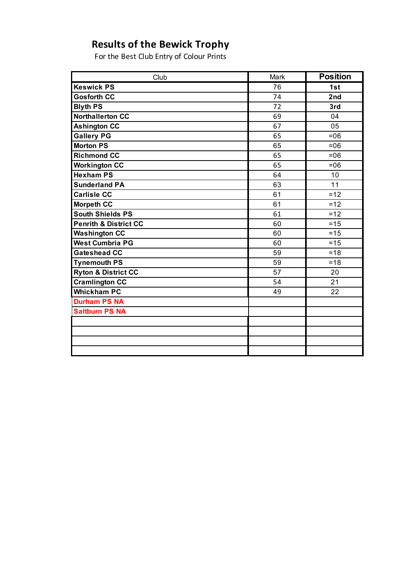## **Results of the Bewick Trophy**

For the Best Club Entry of Colour Prints

| Club                             | Mark | <b>Position</b> |
|----------------------------------|------|-----------------|
| <b>Keswick PS</b>                | 76   | 1st             |
| <b>Gosforth CC</b>               | 74   | 2nd             |
| <b>Blyth PS</b>                  | 72   | 3rd             |
| <b>Northallerton CC</b>          | 69   | 04              |
| <b>Ashington CC</b>              | 67   | 05              |
| <b>Gallery PG</b>                | 65   | $=06$           |
| <b>Morton PS</b>                 | 65   | $=06$           |
| <b>Richmond CC</b>               | 65   | $=06$           |
| <b>Workington CC</b>             | 65   | $=06$           |
| <b>Hexham PS</b>                 | 64   | 10              |
| <b>Sunderland PA</b>             | 63   | 11              |
| <b>Carlisle CC</b>               | 61   | $=12$           |
| <b>Morpeth CC</b>                | 61   | $=12$           |
| <b>South Shields PS</b>          | 61   | $=12$           |
| <b>Penrith &amp; District CC</b> | 60   | $= 15$          |
| <b>Washington CC</b>             | 60   | $= 15$          |
| <b>West Cumbria PG</b>           | 60   | $=15$           |
| <b>Gateshead CC</b>              | 59   | $=18$           |
| <b>Tynemouth PS</b>              | 59   | $=18$           |
| <b>Ryton &amp; District CC</b>   | 57   | 20              |
| <b>Cramlington CC</b>            | 54   | 21              |
| <b>Whickham PC</b>               | 49   | 22              |
| <b>Durham PS NA</b>              |      |                 |
| <b>Saltburn PS NA</b>            |      |                 |
|                                  |      |                 |
|                                  |      |                 |
|                                  |      |                 |
|                                  |      |                 |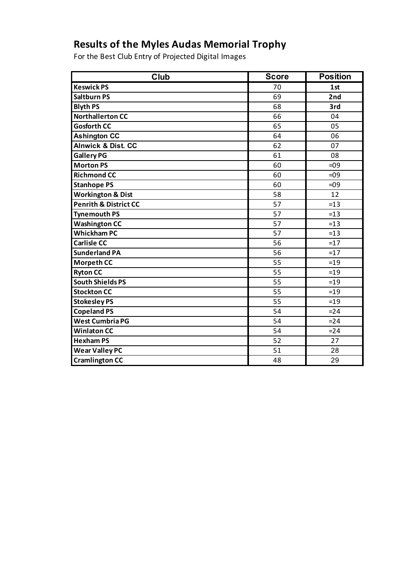## **Results of the Myles Audas Memorial Trophy**

For the Best Club Entry of Projected Digital Images

| Club                             | <b>Score</b> | <b>Position</b> |
|----------------------------------|--------------|-----------------|
| <b>Keswick PS</b>                | 70           | 1st             |
| <b>Saltburn PS</b>               | 69           | 2nd             |
| <b>Blyth PS</b>                  | 68           | 3rd             |
| <b>Northallerton CC</b>          | 66           | 04              |
| <b>Gosforth CC</b>               | 65           | 05              |
| <b>Ashington CC</b>              | 64           | 06              |
| <b>Alnwick &amp; Dist. CC</b>    | 62           | 07              |
| <b>Gallery PG</b>                | 61           | 08              |
| <b>Morton PS</b>                 | 60           | $=09$           |
| <b>Richmond CC</b>               | 60           | $=09$           |
| <b>Stanhope PS</b>               | 60           | $=09$           |
| <b>Workington &amp; Dist</b>     | 58           | 12              |
| <b>Penrith &amp; District CC</b> | 57           | $=13$           |
| <b>Tynemouth PS</b>              | 57           | $=13$           |
| <b>Washington CC</b>             | 57           | $=13$           |
| <b>Whickham PC</b>               | 57           | $=13$           |
| <b>Carlisle CC</b>               | 56           | $=17$           |
| <b>Sunderland PA</b>             | 56           | $=17$           |
| Morpeth CC                       | 55           | $=19$           |
| <b>Ryton CC</b>                  | 55           | $=19$           |
| <b>South Shields PS</b>          | 55           | $=19$           |
| <b>Stockton CC</b>               | 55           | $=19$           |
| <b>Stokesley PS</b>              | 55           | $=19$           |
| <b>Copeland PS</b>               | 54           | $= 24$          |
| <b>West Cumbria PG</b>           | 54           | $= 24$          |
| <b>Winlaton CC</b>               | 54           | $= 24$          |
| <b>Hexham PS</b>                 | 52           | 27              |
| <b>Wear Valley PC</b>            | 51           | 28              |
| <b>Cramlington CC</b>            | 48           | 29              |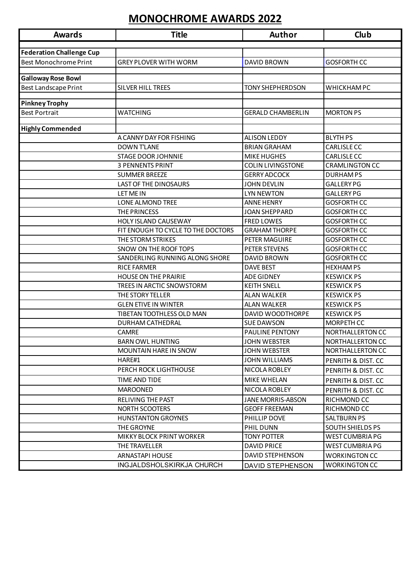# **MONOCHROME AWARDS 2022**

| <b>Federation Challenge Cup</b><br><b>Best Monochrome Print</b><br><b>GREY PLOVER WITH WORM</b><br><b>DAVID BROWN</b><br><b>GOSFORTH CC</b><br><b>Galloway Rose Bowl</b><br><b>Best Landscape Print</b><br><b>SILVER HILL TREES</b><br><b>TONY SHEPHERDSON</b><br>WHICKHAM PC |  |
|-------------------------------------------------------------------------------------------------------------------------------------------------------------------------------------------------------------------------------------------------------------------------------|--|
|                                                                                                                                                                                                                                                                               |  |
|                                                                                                                                                                                                                                                                               |  |
|                                                                                                                                                                                                                                                                               |  |
|                                                                                                                                                                                                                                                                               |  |
|                                                                                                                                                                                                                                                                               |  |
| <b>Pinkney Trophy</b>                                                                                                                                                                                                                                                         |  |
| <b>Best Portrait</b><br><b>WATCHING</b><br><b>GERALD CHAMBERLIN</b><br><b>MORTON PS</b>                                                                                                                                                                                       |  |
|                                                                                                                                                                                                                                                                               |  |
| <b>Highly Commended</b>                                                                                                                                                                                                                                                       |  |
| <b>BLYTH PS</b><br>A CANNY DAY FOR FISHING<br><b>ALISON LEDDY</b>                                                                                                                                                                                                             |  |
| <b>DOWN T'LANE</b><br><b>CARLISLE CC</b><br><b>BRIAN GRAHAM</b>                                                                                                                                                                                                               |  |
| <b>MIKE HUGHES</b><br><b>CARLISLE CC</b><br><b>STAGE DOOR JOHNNIE</b><br><b>COLIN LIVINGSTONE</b>                                                                                                                                                                             |  |
| <b>3 PENNENTS PRINT</b><br><b>CRAMLINGTON CC</b><br><b>GERRY ADCOCK</b><br><b>DURHAMPS</b><br><b>SUMMER BREEZE</b>                                                                                                                                                            |  |
| <b>LAST OF THE DINOSAURS</b><br><b>JOHN DEVLIN</b><br><b>GALLERY PG</b>                                                                                                                                                                                                       |  |
| <b>LYN NEWTON</b><br><b>GALLERY PG</b><br>LET ME IN                                                                                                                                                                                                                           |  |
| <b>LONE ALMOND TREE</b><br><b>ANNE HENRY</b><br><b>GOSFORTH CC</b>                                                                                                                                                                                                            |  |
| THE PRINCESS<br><b>JOAN SHEPPARD</b><br><b>GOSFORTH CC</b>                                                                                                                                                                                                                    |  |
| <b>FRED LOWES</b><br><b>GOSFORTH CC</b><br><b>HOLY ISLAND CAUSEWAY</b>                                                                                                                                                                                                        |  |
| FIT ENOUGH TO CYCLE TO THE DOCTORS<br><b>GRAHAM THORPE</b><br><b>GOSFORTH CC</b>                                                                                                                                                                                              |  |
| PETER MAGUIRE<br>THE STORM STRIKES<br><b>GOSFORTH CC</b>                                                                                                                                                                                                                      |  |
| SNOW ON THE ROOF TOPS<br>PETER STEVENS<br><b>GOSFORTH CC</b>                                                                                                                                                                                                                  |  |
| <b>GOSFORTH CC</b><br>SANDERLING RUNNING ALONG SHORE<br><b>DAVID BROWN</b>                                                                                                                                                                                                    |  |
| <b>DAVE BEST</b><br><b>RICE FARMER</b><br><b>HEXHAMPS</b>                                                                                                                                                                                                                     |  |
| <b>HOUSE ON THE PRAIRIE</b><br><b>ADE GIDNEY</b><br><b>KESWICK PS</b>                                                                                                                                                                                                         |  |
| <b>KEITH SNELL</b><br>TREES IN ARCTIC SNOWSTORM<br><b>KESWICK PS</b>                                                                                                                                                                                                          |  |
| THE STORY TELLER<br><b>ALAN WALKER</b><br><b>KESWICK PS</b>                                                                                                                                                                                                                   |  |
| <b>ALAN WALKER</b><br><b>KESWICK PS</b><br><b>GLEN ETIVE IN WINTER</b>                                                                                                                                                                                                        |  |
| DAVID WOODTHORPE<br><b>KESWICK PS</b><br>TIBETAN TOOTHLESS OLD MAN                                                                                                                                                                                                            |  |
| <b>SUE DAWSON</b><br><b>DURHAM CATHEDRAL</b><br>MORPETH CC                                                                                                                                                                                                                    |  |
| CAMRE<br><b>PAULINE PENTONY</b><br>NORTHALLERTON CC                                                                                                                                                                                                                           |  |
| <b>BARN OWL HUNTING</b><br><b>JOHN WEBSTER</b><br>NORTHALLERTON CC                                                                                                                                                                                                            |  |
| <b>MOUNTAIN HARE IN SNOW</b><br><b>JOHN WEBSTER</b><br>NORTHALLERTON CC                                                                                                                                                                                                       |  |
| HARE#1<br><b>JOHN WILLIAMS</b><br>PENRITH & DIST. CC                                                                                                                                                                                                                          |  |
| PERCH ROCK LIGHTHOUSE<br>NICOLA ROBLEY<br>PENRITH & DIST. CC                                                                                                                                                                                                                  |  |
| TIME AND TIDE<br><b>MIKE WHELAN</b><br>PENRITH & DIST. CC                                                                                                                                                                                                                     |  |
| NICOLA ROBLEY<br><b>MAROONED</b><br>PENRITH & DIST. CC                                                                                                                                                                                                                        |  |
| <b>RELIVING THE PAST</b><br><b>JANE MORRIS-ABSON</b><br>RICHMOND CC                                                                                                                                                                                                           |  |
| <b>NORTH SCOOTERS</b><br><b>GEOFF FREEMAN</b><br>RICHMOND CC                                                                                                                                                                                                                  |  |
| <b>SALTBURN PS</b><br><b>HUNSTANTON GROYNES</b><br>PHILLIP DOVE<br>THE GROYNE<br>PHIL DUNN<br>SOUTH SHIELDS PS                                                                                                                                                                |  |
| MIKKY BLOCK PRINT WORKER<br><b>TONY POTTER</b><br>WEST CUMBRIA PG                                                                                                                                                                                                             |  |
| THE TRAVELLER<br><b>DAVID PRICE</b><br>WEST CUMBRIA PG                                                                                                                                                                                                                        |  |
| <b>DAVID STEPHENSON</b><br>ARNASTAPI HOUSE<br><b>WORKINGTON CC</b>                                                                                                                                                                                                            |  |
| <b>WORKINGTON CC</b><br>INGJALDSHOLSKIRKJA CHURCH<br>DAVID STEPHENSON                                                                                                                                                                                                         |  |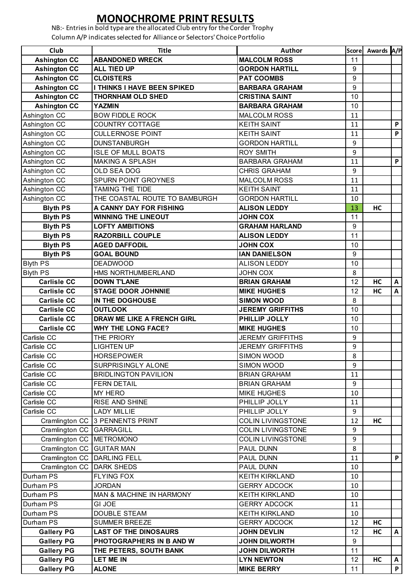## **MONOCHROME PRINT RESULTS**

NB:- Entries in bold type are the allocated Club entry for the Corder Trophy Column A/P indicates selected for Alliance or Selectors' Choice Portfolio

| Club                       | <b>Title</b>                      | Author                   |              | Score Awards A/P |   |
|----------------------------|-----------------------------------|--------------------------|--------------|------------------|---|
| <b>Ashington CC</b>        | <b>ABANDONED WRECK</b>            | <b>MALCOLM ROSS</b>      | 11           |                  |   |
| <b>Ashington CC</b>        | <b>ALL TIED UP</b>                | <b>GORDON HARTILL</b>    | 9            |                  |   |
| <b>Ashington CC</b>        | <b>CLOISTERS</b>                  | <b>PAT COOMBS</b>        | 9            |                  |   |
| <b>Ashington CC</b>        | I THINKS I HAVE BEEN SPIKED       | <b>BARBARA GRAHAM</b>    | 9            |                  |   |
| <b>Ashington CC</b>        | <b>THORNHAM OLD SHED</b>          | <b>CRISTINA SAINT</b>    | 10           |                  |   |
| <b>Ashington CC</b>        | <b>YAZMIN</b>                     | <b>BARBARA GRAHAM</b>    | 10           |                  |   |
| Ashington CC               | <b>BOW FIDDLE ROCK</b>            | <b>MALCOLM ROSS</b>      | 11           |                  |   |
| Ashington CC               | <b>COUNTRY COTTAGE</b>            | <b>KEITH SAINT</b>       | 11           |                  | P |
| Ashington CC               | <b>CULLERNOSE POINT</b>           | <b>KEITH SAINT</b>       | 11           |                  | P |
| Ashington CC               | <b>DUNSTANBURGH</b>               | <b>GORDON HARTILL</b>    | 9            |                  |   |
| Ashington CC               | <b>ISLE OF MULL BOATS</b>         | <b>ROY SMITH</b>         | 9            |                  |   |
| Ashington CC               | <b>MAKING A SPLASH</b>            | <b>BARBARA GRAHAM</b>    | 11           |                  | P |
| Ashington CC               | OLD SEA DOG                       | <b>CHRIS GRAHAM</b>      | 9            |                  |   |
| Ashington CC               | SPURN POINT GROYNES               | <b>MALCOLM ROSS</b>      | 11           |                  |   |
| Ashington CC               | <b>TAMING THE TIDE</b>            | <b>KEITH SAINT</b>       | 11           |                  |   |
| Ashington CC               | THE COASTAL ROUTE TO BAMBURGH     | <b>GORDON HARTILL</b>    | 10           |                  |   |
| <b>Blyth PS</b>            | A CANNY DAY FOR FISHING           | <b>ALISON LEDDY</b>      | 13           | HC               |   |
| <b>Blyth PS</b>            | <b>WINNING THE LINEOUT</b>        | <b>JOHN COX</b>          | 11           |                  |   |
| <b>Blyth PS</b>            | <b>LOFTY AMBITIONS</b>            | <b>GRAHAM HARLAND</b>    | 9            |                  |   |
| <b>Blyth PS</b>            | <b>RAZORBILL COUPLE</b>           | <b>ALISON LEDDY</b>      | 11           |                  |   |
| <b>Blyth PS</b>            | <b>AGED DAFFODIL</b>              | <b>JOHN COX</b>          | 10           |                  |   |
| <b>Blyth PS</b>            | <b>GOAL BOUND</b>                 | <b>IAN DANIELSON</b>     | 9            |                  |   |
| <b>Blyth PS</b>            | <b>DEADWOOD</b>                   | ALISON LEDDY             | 10           |                  |   |
| <b>Blyth PS</b>            | HMS NORTHUMBERLAND                | <b>JOHN COX</b>          | 8            |                  |   |
| <b>Carlisle CC</b>         | <b>DOWN T'LANE</b>                | <b>BRIAN GRAHAM</b>      | 12           | HC               | Α |
| <b>Carlisle CC</b>         | <b>STAGE DOOR JOHNNIE</b>         | <b>MIKE HUGHES</b>       | 12           | HC               | A |
| <b>Carlisle CC</b>         | IN THE DOGHOUSE                   | <b>SIMON WOOD</b>        | 8            |                  |   |
| <b>Carlisle CC</b>         | <b>OUTLOOK</b>                    | <b>JEREMY GRIFFITHS</b>  | 10           |                  |   |
| <b>Carlisle CC</b>         | <b>DRAW ME LIKE A FRENCH GIRL</b> | PHILLIP JOLLY            | 10           |                  |   |
| <b>Carlisle CC</b>         | <b>WHY THE LONG FACE?</b>         | <b>MIKE HUGHES</b>       | 10           |                  |   |
| Carlisle CC                | THE PRIORY                        | <b>JEREMY GRIFFITHS</b>  | 9            |                  |   |
| Carlisle CC                | <b>LIGHTEN UP</b>                 | <b>JEREMY GRIFFITHS</b>  | 9            |                  |   |
| Carlisle CC                | <b>HORSEPOWER</b>                 | SIMON WOOD               | $\mathbf{R}$ |                  |   |
| Carlisle CC                | SURPRISINGLY ALONE                | SIMON WOOD               | 9            |                  |   |
| Carlisle CC                | <b>BRIDLINGTON PAVILION</b>       | <b>BRIAN GRAHAM</b>      | 11           |                  |   |
| Carlisle CC                | <b>FERN DETAIL</b>                | <b>BRIAN GRAHAM</b>      | 9            |                  |   |
| Carlisle CC                | MY HERO                           | <b>MIKE HUGHES</b>       | 10           |                  |   |
| Carlisle CC                | RISE AND SHINE                    | PHILLIP JOLLY            | 11           |                  |   |
| Carlisle CC                | <b>LADY MILLIE</b>                | PHILLIP JOLLY            | 9            |                  |   |
|                            | Cramlington CC 3 PENNENTS PRINT   | <b>COLIN LIVINGSTONE</b> | 12           | HC               |   |
| Cramlington CC GARRAGILL   |                                   | <b>COLIN LIVINGSTONE</b> | 9            |                  |   |
| Cramlington CC   METROMONO |                                   | <b>COLIN LIVINGSTONE</b> | 9            |                  |   |
| Cramlington CC GUITAR MAN  |                                   | PAUL DUNN                | 8            |                  |   |
|                            | Cramlington CC   DARLING FELL     | PAUL DUNN                | 11           |                  | P |
| Cramlington CC DARK SHEDS  |                                   | PAUL DUNN                | 10           |                  |   |
| Durham PS                  | <b>FLYING FOX</b>                 | <b>KEITH KIRKLAND</b>    | 10           |                  |   |
| Durham PS                  | <b>JORDAN</b>                     | <b>GERRY ADCOCK</b>      | 10           |                  |   |
| Durham PS                  | MAN & MACHINE IN HARMONY          | <b>KEITH KIRKLAND</b>    | 10           |                  |   |
| Durham PS                  | <b>GI JOE</b>                     | <b>GERRY ADCOCK</b>      | 11           |                  |   |
| Durham PS                  | <b>DOUBLE STEAM</b>               | <b>KEITH KIRKLAND</b>    | 10           |                  |   |
| Durham PS                  | <b>SUMMER BREEZE</b>              | <b>GERRY ADCOCK</b>      | 12           | HC               |   |
| <b>Gallery PG</b>          | <b>LAST OF THE DINOSAURS</b>      | <b>JOHN DEVLIN</b>       | 12           | HC               | A |
| <b>Gallery PG</b>          | PHOTOGRAPHERS IN B AND W          | <b>JOHN DILWORTH</b>     | 9            |                  |   |
| <b>Gallery PG</b>          | THE PETERS, SOUTH BANK            | <b>JOHN DILWORTH</b>     | 11           |                  |   |
| <b>Gallery PG</b>          | <b>LET ME IN</b>                  | <b>LYN NEWTON</b>        | 12           | HC               | A |
| <b>Gallery PG</b>          | <b>ALONE</b>                      | <b>MIKE BERRY</b>        | 11           |                  | P |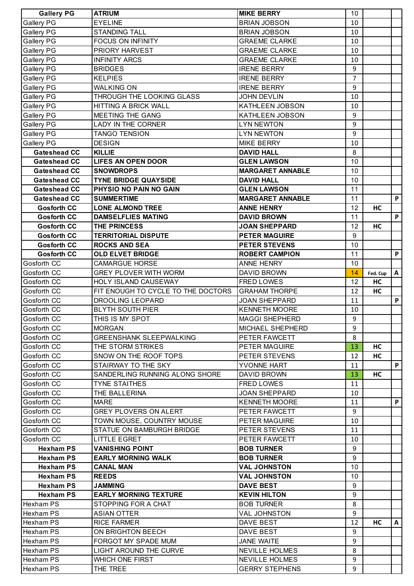| <b>Gallery PG</b>   | <b>ATRIUM</b>                                              | <b>MIKE BERRY</b>                         | 10 |          |   |
|---------------------|------------------------------------------------------------|-------------------------------------------|----|----------|---|
| <b>Gallery PG</b>   | <b>EYELINE</b>                                             | <b>BRIAN JOBSON</b>                       | 10 |          |   |
| <b>Gallery PG</b>   | <b>STANDING TALL</b>                                       | <b>BRIAN JOBSON</b>                       | 10 |          |   |
| <b>Gallery PG</b>   | <b>FOCUS ON INFINITY</b>                                   | <b>GRAEME CLARKE</b>                      | 10 |          |   |
| <b>Gallery PG</b>   | PRIORY HARVEST                                             | <b>GRAEME CLARKE</b>                      | 10 |          |   |
| Gallery PG          | <b>INFINITY ARCS</b>                                       | <b>GRAEME CLARKE</b>                      | 10 |          |   |
| <b>Gallery PG</b>   | <b>BRIDGES</b>                                             | <b>IRENE BERRY</b>                        | 9  |          |   |
| <b>Gallery PG</b>   | <b>KELPIES</b>                                             | <b>IRENE BERRY</b>                        | 7  |          |   |
| <b>Gallery PG</b>   | <b>WALKING ON</b>                                          | <b>IRENE BERRY</b>                        | 9  |          |   |
| <b>Gallery PG</b>   | THROUGH THE LOOKING GLASS                                  | <b>JOHN DEVLIN</b>                        | 10 |          |   |
| Gallery PG          | HITTING A BRICK WALL                                       | KATHLEEN JOBSON                           | 10 |          |   |
| <b>Gallery PG</b>   | MEETING THE GANG                                           | KATHLEEN JOBSON                           | 9  |          |   |
| <b>Gallery PG</b>   | <b>LADY IN THE CORNER</b>                                  | <b>LYN NEWTON</b>                         | 9  |          |   |
| Gallery PG          | <b>TANGO TENSION</b>                                       | <b>LYN NEWTON</b>                         | 9  |          |   |
| Gallery PG          | <b>DESIGN</b>                                              | <b>MIKE BERRY</b>                         | 10 |          |   |
| <b>Gateshead CC</b> | <b>KILLIE</b>                                              | <b>DAVID HALL</b>                         | 8  |          |   |
| <b>Gateshead CC</b> | <b>LIFES AN OPEN DOOR</b>                                  | <b>GLEN LAWSON</b>                        | 10 |          |   |
| <b>Gateshead CC</b> | <b>SNOWDROPS</b>                                           | <b>MARGARET ANNABLE</b>                   | 10 |          |   |
| <b>Gateshead CC</b> | <b>TYNE BRIDGE QUAYSIDE</b>                                | <b>DAVID HALL</b>                         | 10 |          |   |
| <b>Gateshead CC</b> | PHYSIO NO PAIN NO GAIN                                     | <b>GLEN LAWSON</b>                        | 11 |          |   |
| <b>Gateshead CC</b> | <b>SUMMERTIME</b>                                          | <b>MARGARET ANNABLE</b>                   | 11 |          | P |
| <b>Gosforth CC</b>  | <b>LONE ALMOND TREE</b>                                    | <b>ANNE HENRY</b>                         | 12 | HC       |   |
| <b>Gosforth CC</b>  | <b>DAMSELFLIES MATING</b>                                  | <b>DAVID BROWN</b>                        | 11 |          | P |
| <b>Gosforth CC</b>  | THE PRINCESS                                               | <b>JOAN SHEPPARD</b>                      | 12 | HC       |   |
| <b>Gosforth CC</b>  | <b>TERRITORIAL DISPUTE</b>                                 | <b>PETER MAGUIRE</b>                      | 9  |          |   |
| <b>Gosforth CC</b>  | <b>ROCKS AND SEA</b>                                       | <b>PETER STEVENS</b>                      | 10 |          |   |
| <b>Gosforth CC</b>  | <b>OLD ELVET BRIDGE</b>                                    | <b>ROBERT CAMPION</b>                     | 11 |          | P |
| Gosforth CC         | <b>CAMARGUE HORSE</b>                                      | <b>ANNE HENRY</b>                         | 10 |          |   |
| Gosforth CC         | <b>GREY PLOVER WITH WORM</b>                               | <b>DAVID BROWN</b>                        | 14 |          |   |
|                     |                                                            |                                           | 12 | Fed. Cup | A |
| Gosforth CC         | HOLY ISLAND CAUSEWAY<br>FIT ENOUGH TO CYCLE TO THE DOCTORS | <b>FRED LOWES</b><br><b>GRAHAM THORPE</b> |    | HC       |   |
| Gosforth CC         |                                                            |                                           | 12 | HC       |   |
| Gosforth CC         | DROOLING LEOPARD                                           | <b>JOAN SHEPPARD</b>                      | 11 |          | P |
| Gosforth CC         | <b>BLYTH SOUTH PIER</b>                                    | <b>KENNETH MOORE</b>                      | 10 |          |   |
| Gosforth CC         | THIS IS MY SPOT                                            | <b>MAGGI SHEPHERD</b>                     | 9  |          |   |
| <b>Gosforth CC</b>  | <b>MORGAN</b>                                              | MICHAEL SHEPHERD                          | 9  |          |   |
| Gosforth CC         | <b>GREENSHANK SLEEPWALKING</b>                             | PETER FAWCETT                             | 8  |          |   |
| Gosforth CC         | THE STORM STRIKES                                          | <b>PETER MAGUIRE</b>                      | 13 | HC       |   |
| Gosforth CC         | SNOW ON THE ROOF TOPS                                      | PETER STEVENS                             | 12 | HC       |   |
| Gosforth CC         | STAIRWAY TO THE SKY                                        | YVONNE HART                               | 11 |          | P |
| Gosforth CC         | SANDERLING RUNNING ALONG SHORE                             | DAVID BROWN                               | 13 | НC       |   |
| Gosforth CC         | <b>TYNE STAITHES</b>                                       | FRED LOWES                                | 11 |          |   |
| Gosforth CC         | THE BALLERINA                                              | <b>JOAN SHEPPARD</b>                      | 10 |          |   |
| Gosforth CC         | <b>MARE</b>                                                | <b>KENNETH MOORE</b>                      | 11 |          | P |
| Gosforth CC         | <b>GREY PLOVERS ON ALERT</b>                               | PETER FAWCETT                             | 9  |          |   |
| Gosforth CC         | TOWN MOUSE, COUNTRY MOUSE                                  | PETER MAGUIRE                             | 10 |          |   |
| Gosforth CC         | STATUE ON BAMBURGH BRIDGE                                  | PETER STEVENS                             | 11 |          |   |
| Gosforth CC         | <b>LITTLE EGRET</b>                                        | PETER FAWCETT                             | 10 |          |   |
| <b>Hexham PS</b>    | <b>VANISHING POINT</b>                                     | <b>BOB TURNER</b>                         | 9  |          |   |
| <b>Hexham PS</b>    | <b>EARLY MORNING WALK</b>                                  | <b>BOB TURNER</b>                         | 9  |          |   |
| <b>Hexham PS</b>    | <b>CANAL MAN</b>                                           | <b>VAL JOHNSTON</b>                       | 10 |          |   |
| <b>Hexham PS</b>    | <b>REEDS</b>                                               | <b>VAL JOHNSTON</b>                       | 10 |          |   |
| <b>Hexham PS</b>    | <b>JAMMING</b>                                             | <b>DAVE BEST</b>                          | 9  |          |   |
| <b>Hexham PS</b>    | <b>EARLY MORNING TEXTURE</b>                               | <b>KEVIN HILTON</b>                       | 9  |          |   |
| <b>Hexham PS</b>    | STOPPING FOR A CHAT                                        | <b>BOB TURNER</b>                         | 8  |          |   |
| Hexham PS           | <b>ASIAN OTTER</b>                                         | <b>VAL JOHNSTON</b>                       | 9  |          |   |
| Hexham PS           | <b>RICE FARMER</b>                                         | DAVE BEST                                 | 12 | HC.      | A |
| Hexham PS           | ON BRIGHTON BEECH                                          | DAVE BEST                                 | 9  |          |   |
| <b>Hexham PS</b>    | FORGOT MY SPADE MUM                                        | <b>JANE WAITE</b>                         | 9  |          |   |
| <b>Hexham PS</b>    | LIGHT AROUND THE CURVE                                     | <b>NEVILLE HOLMES</b>                     | 8  |          |   |
| Hexham PS           | WHICH ONE FIRST                                            | <b>NEVILLE HOLMES</b>                     | 9  |          |   |
| <b>Hexham PS</b>    | THE TREE                                                   | <b>GERRY STEPHENS</b>                     | 9  |          |   |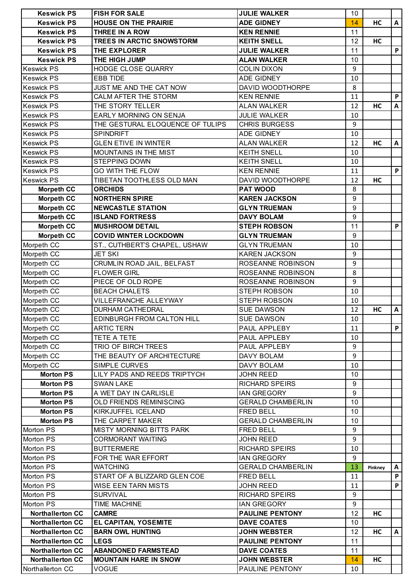| <b>Keswick PS</b>       | <b>FISH FOR SALE</b>             | <b>JULIE WALKER</b>      | 10 |         |   |
|-------------------------|----------------------------------|--------------------------|----|---------|---|
| <b>Keswick PS</b>       | <b>HOUSE ON THE PRAIRIE</b>      | <b>ADE GIDNEY</b>        | 14 | HC      | A |
| <b>Keswick PS</b>       | THREE IN A ROW                   | <b>KEN RENNIE</b>        | 11 |         |   |
| <b>Keswick PS</b>       | TREES IN ARCTIC SNOWSTORM        | <b>KEITH SNELL</b>       | 12 | HC      |   |
| <b>Keswick PS</b>       | THE EXPLORER                     | <b>JULIE WALKER</b>      | 11 |         | P |
| <b>Keswick PS</b>       | THE HIGH JUMP                    | <b>ALAN WALKER</b>       | 10 |         |   |
| <b>Keswick PS</b>       | <b>HODGE CLOSE QUARRY</b>        | <b>COLIN DIXON</b>       | 9  |         |   |
| <b>Keswick PS</b>       | <b>EBB TIDE</b>                  | <b>ADE GIDNEY</b>        | 10 |         |   |
| <b>Keswick PS</b>       | JUST ME AND THE CAT NOW          | DAVID WOODTHORPE         | 8  |         |   |
| <b>Keswick PS</b>       | CALM AFTER THE STORM             | <b>KEN RENNIE</b>        | 11 |         | P |
| <b>Keswick PS</b>       | THE STORY TELLER                 | <b>ALAN WALKER</b>       | 12 | HC      | A |
| <b>Keswick PS</b>       | EARLY MORNING ON SENJA           | <b>JULIE WALKER</b>      | 10 |         |   |
| <b>Keswick PS</b>       | THE GESTURAL ELOQUENCE OF TULIPS | <b>CHRIS BURGESS</b>     | 9  |         |   |
| <b>Keswick PS</b>       | <b>SPINDRIFT</b>                 | ADE GIDNEY               | 10 |         |   |
| <b>Keswick PS</b>       | <b>GLEN ETIVE IN WINTER</b>      | <b>ALAN WALKER</b>       | 12 | HC      | A |
| <b>Keswick PS</b>       | MOUNTAINS IN THE MIST            | <b>KEITH SNELL</b>       | 10 |         |   |
| <b>Keswick PS</b>       | <b>STEPPING DOWN</b>             | <b>KEITH SNELL</b>       | 10 |         |   |
| <b>Keswick PS</b>       | <b>GO WITH THE FLOW</b>          | <b>KEN RENNIE</b>        | 11 |         | P |
| <b>Keswick PS</b>       | TIBETAN TOOTHLESS OLD MAN        | DAVID WOODTHORPE         | 12 | HC      |   |
| <b>Morpeth CC</b>       | <b>ORCHIDS</b>                   | <b>PAT WOOD</b>          | 8  |         |   |
| <b>Morpeth CC</b>       | <b>NORTHERN SPIRE</b>            | <b>KAREN JACKSON</b>     | 9  |         |   |
| <b>Morpeth CC</b>       | <b>NEWCASTLE STATION</b>         | <b>GLYN TRUEMAN</b>      | 9  |         |   |
| <b>Morpeth CC</b>       | <b>ISLAND FORTRESS</b>           | <b>DAVY BOLAM</b>        | 9  |         |   |
| <b>Morpeth CC</b>       | <b>MUSHROOM DETAIL</b>           | <b>STEPH ROBSON</b>      | 11 |         | P |
| <b>Morpeth CC</b>       | <b>COVID WINTER LOCKDOWN</b>     | <b>GLYN TRUEMAN</b>      | 9  |         |   |
| Morpeth CC              | ST., CUTHBERT'S CHAPEL, USHAW    | <b>GLYN TRUEMAN</b>      | 10 |         |   |
| Morpeth CC              | <b>JET SKI</b>                   | <b>KAREN JACKSON</b>     | 9  |         |   |
| Morpeth CC              | CRUMLIN ROAD JAIL, BELFAST       | ROSEANNE ROBINSON        | 9  |         |   |
| Morpeth CC              | <b>FLOWER GIRL</b>               | ROSEANNE ROBINSON        | 8  |         |   |
| Morpeth CC              | PIECE OF OLD ROPE                | ROSEANNE ROBINSON        | 9  |         |   |
| Morpeth CC              | <b>BEACH CHALETS</b>             | <b>STEPH ROBSON</b>      | 10 |         |   |
| Morpeth CC              | VILLEFRANCHE ALLEYWAY            | STEPH ROBSON             | 10 |         |   |
| Morpeth CC              | <b>DURHAM CATHEDRAL</b>          | <b>SUE DAWSON</b>        | 12 | HC      | A |
| Morpeth CC              | EDINBURGH FROM CALTON HILL       | <b>SUE DAWSON</b>        | 10 |         |   |
| Morpeth CC              | <b>ARTIC TERN</b>                | PAUL APPLEBY             | 11 |         | P |
| Morpeth CC              | TETE A TETE                      | PAUL APPLEBY             | 10 |         |   |
| Morpeth CC              | TRIO OF BIRCH TREES              | PAUL APPLEBY             | 9  |         |   |
| Morpeth CC              | THE BEAUTY OF ARCHITECTURE       | DAVY BOLAM               | 9  |         |   |
| Morpeth CC              | SIMPLE CURVES                    | DAVY BOLAM               | 10 |         |   |
| <b>Morton PS</b>        | LILY PADS AND REEDS TRIPTYCH     | <b>JOHN REED</b>         | 10 |         |   |
| <b>Morton PS</b>        | <b>SWAN LAKE</b>                 | <b>RICHARD SPEIRS</b>    | 9  |         |   |
| <b>Morton PS</b>        | A WET DAY IN CARLISLE            | <b>IAN GREGORY</b>       | 9  |         |   |
| <b>Morton PS</b>        | <b>OLD FRIENDS REMINISCING</b>   | <b>GERALD CHAMBERLIN</b> | 10 |         |   |
| <b>Morton PS</b>        | KIRKJUFFEL ICELAND               | <b>FRED BELL</b>         | 10 |         |   |
| <b>Morton PS</b>        | THE CARPET MAKER                 | <b>GERALD CHAMBERLIN</b> | 10 |         |   |
| Morton PS               | MISTY MORNING BITTS PARK         | FRED BELL                | 9  |         |   |
| Morton PS               | <b>CORMORANT WAITING</b>         | <b>JOHN REED</b>         | 9  |         |   |
| Morton PS               | <b>BUTTERMERE</b>                | <b>RICHARD SPEIRS</b>    | 10 |         |   |
| Morton PS               | FOR THE WAR EFFORT               | <b>IAN GREGORY</b>       | 9  |         |   |
| Morton PS               | <b>WATCHING</b>                  | <b>GERALD CHAMBERLIN</b> | 13 | Pinkney | Α |
| Morton PS               | START OF A BLIZZARD GLEN COE     | <b>FRED BELL</b>         | 11 |         | P |
| Morton PS               | <b>WISE EEN TARN MISTS</b>       | <b>JOHN REED</b>         | 11 |         | P |
| Morton PS               | <b>SURVIVAL</b>                  | <b>RICHARD SPEIRS</b>    | 9  |         |   |
| Morton PS               | <b>TIME MACHINE</b>              | <b>IAN GREGORY</b>       | 9  |         |   |
| <b>Northallerton CC</b> | <b>CAMRE</b>                     | <b>PAULINE PENTONY</b>   | 12 | HC      |   |
| <b>Northallerton CC</b> | EL CAPITAN, YOSEMITE             | <b>DAVE COATES</b>       | 10 |         |   |
| <b>Northallerton CC</b> | <b>BARN OWL HUNTING</b>          | <b>JOHN WEBSTER</b>      | 12 | НC      | A |
| <b>Northallerton CC</b> | <b>LEGS</b>                      | <b>PAULINE PENTONY</b>   | 11 |         |   |
| <b>Northallerton CC</b> | <b>ABANDONED FARMSTEAD</b>       | <b>DAVE COATES</b>       | 11 |         |   |
| <b>Northallerton CC</b> | <b>MOUNTAIN HARE IN SNOW</b>     | <b>JOHN WEBSTER</b>      | 14 | НC      |   |
| Northallerton CC        | <b>VOGUE</b>                     | PAULINE PENTONY          | 10 |         |   |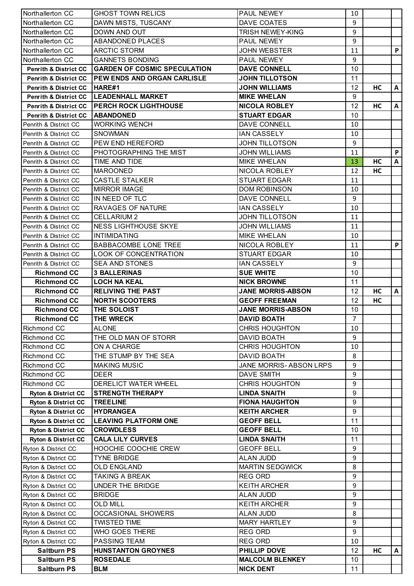| Northallerton CC                 | <b>GHOST TOWN RELICS</b>                           | PAUL NEWEY               | 10             |    |   |
|----------------------------------|----------------------------------------------------|--------------------------|----------------|----|---|
| Northallerton CC                 | DAWN MISTS, TUSCANY                                | DAVE COATES              | 9              |    |   |
| Northallerton CC                 | DOWN AND OUT                                       | TRISH NEWEY-KING         | 9              |    |   |
| Northallerton CC                 | ABANDONED PLACES                                   | PAUL NEWEY               | 9              |    |   |
| Northallerton CC                 | <b>ARCTIC STORM</b>                                | JOHN WEBSTER             | 11             |    | P |
| Northallerton CC                 | <b>GANNETS BONDING</b>                             | PAUL NEWEY               | 9              |    |   |
|                                  | Penrith & District CC GARDEN OF COSMIC SPECULATION | <b>DAVE CONNELL</b>      | 10             |    |   |
| <b>Penrith &amp; District CC</b> | <b>PEW ENDS AND ORGAN CARLISLE</b>                 | <b>JOHN TILLOTSON</b>    | 11             |    |   |
| <b>Penrith &amp; District CC</b> | <b>HARE#1</b>                                      | <b>JOHN WILLIAMS</b>     | 12             | HC | A |
|                                  | Penrith & District CC   LEADENHALL MARKET          | <b>MIKE WHELAN</b>       | 9              |    |   |
| <b>Penrith &amp; District CC</b> | <b>PERCH ROCK LIGHTHOUSE</b>                       | <b>NICOLA ROBLEY</b>     | 12             | HC | A |
| <b>Penrith &amp; District CC</b> | <b>ABANDONED</b>                                   | <b>STUART EDGAR</b>      | 10             |    |   |
| Penrith & District CC            | <b>WORKING WENCH</b>                               | DAVE CONNELL             | 10             |    |   |
| Penrith & District CC            | <b>SNOWMAN</b>                                     | IAN CASSELY              | 10             |    |   |
| Penrith & District CC            | PEW END HEREFORD                                   | JOHN TILLOTSON           | 9              |    |   |
| Penrith & District CC            | PHOTOGRAPHING THE MIST                             | <b>JOHN WILLIAMS</b>     | 11             |    | P |
| Penrith & District CC            | TIME AND TIDE                                      | <b>MIKE WHELAN</b>       | 13             | HC | A |
| Penrith & District CC            | <b>MAROONED</b>                                    | <b>NICOLA ROBLEY</b>     | 12             | HC |   |
| Penrith & District CC            | <b>CASTLE STALKER</b>                              | <b>STUART EDGAR</b>      | 11             |    |   |
| Penrith & District CC            | <b>MIRROR IMAGE</b>                                | <b>DOM ROBINSON</b>      | 10             |    |   |
| Penrith & District CC            | IN NEED OF TLC                                     | DAVE CONNELL             | 9              |    |   |
|                                  | RAVAGES OF NATURE                                  | IAN CASSELY              | 10             |    |   |
| Penrith & District CC            |                                                    | <b>JOHN TILLOTSON</b>    | 11             |    |   |
| Penrith & District CC            | <b>CELLARIUM 2</b>                                 |                          |                |    |   |
| Penrith & District CC            | <b>NESS LIGHTHOUSE SKYE</b>                        | <b>JOHN WILLIAMS</b>     | 11             |    |   |
| Penrith & District CC            | <b>INTIMIDATING</b>                                | <b>MIKE WHELAN</b>       | 10             |    |   |
| Penrith & District CC            | BABBACOMBE LONE TREE                               | NICOLA ROBLEY            | 11             |    | P |
| Penrith & District CC            | LOOK OF CONCENTRATION                              | STUART EDGAR             | 10             |    |   |
| Penrith & District CC            | <b>SEA AND STONES</b>                              | <b>IAN CASSELY</b>       | 9              |    |   |
| <b>Richmond CC</b>               | <b>3 BALLERINAS</b>                                | <b>SUE WHITE</b>         | 10             |    |   |
| <b>Richmond CC</b>               | <b>LOCH NA KEAL</b>                                | <b>NICK BROWNE</b>       | 11             |    |   |
| <b>Richmond CC</b>               | <b>RELIVING THE PAST</b>                           | <b>JANE MORRIS-ABSON</b> | 12             | HC | A |
|                                  |                                                    |                          |                |    |   |
| <b>Richmond CC</b>               | <b>NORTH SCOOTERS</b>                              | <b>GEOFF FREEMAN</b>     | 12             | НC |   |
| <b>Richmond CC</b>               | THE SOLOIST                                        | <b>JANE MORRIS-ABSON</b> | 10             |    |   |
| <b>Richmond CC</b>               | <b>THE WRECK</b>                                   | <b>DAVID BOATH</b>       | $\overline{7}$ |    |   |
| Richmond CC                      | <b>ALONE</b>                                       | <b>CHRIS HOUGHTON</b>    | 10             |    |   |
| Richmond CC                      | THE OLD MAN OF STORR                               | DAVID BOATH              | 9              |    |   |
| Richmond CC                      | ON A CHARGE                                        | <b>CHRIS HOUGHTON</b>    | 10             |    |   |
| Richmond CC                      | THE STUMP BY THE SEA                               | DAVID BOATH              | 8              |    |   |
| Richmond CC                      | <b>MAKING MUSIC</b>                                | JANE MORRIS- ABSON LRPS  | 9              |    |   |
| Richmond CC                      | <b>DEER</b>                                        | <b>DAVE SMITH</b>        | 9              |    |   |
| Richmond CC                      | DERELICT WATER WHEEL                               | CHRIS HOUGHTON           | 9              |    |   |
| <b>Ryton &amp; District CC</b>   | <b>STRENGTH THERAPY</b>                            | <b>LINDA SNAITH</b>      | 9              |    |   |
| <b>Ryton &amp; District CC</b>   | <b>TREELINE</b>                                    | <b>FIONA HAUGHTON</b>    | 9              |    |   |
| <b>Ryton &amp; District CC</b>   | <b>HYDRANGEA</b>                                   | <b>KEITH ARCHER</b>      | 9              |    |   |
| <b>Ryton &amp; District CC</b>   | <b>LEAVING PLATFORM ONE</b>                        | <b>GEOFF BELL</b>        | 11             |    |   |
| <b>Ryton &amp; District CC</b>   | <b>CROWDLESS</b>                                   | <b>GEOFF BELL</b>        | 10             |    |   |
| <b>Ryton &amp; District CC</b>   | <b>CALA LILY CURVES</b>                            | LINDA SNAITH             | 11             |    |   |
| Ryton & District CC              | <b>HOOCHIE COOCHIE CREW</b>                        | <b>GEOFF BELL</b>        | 9              |    |   |
| Ryton & District CC              | <b>TYNE BRIDGE</b>                                 | <b>ALAN JUDD</b>         | 9              |    |   |
| Ryton & District CC              | <b>OLD ENGLAND</b>                                 | <b>MARTIN SEDGWICK</b>   | 8              |    |   |
| Ryton & District CC              | <b>TAKING A BREAK</b>                              | REG ORD                  | 9              |    |   |
| Ryton & District CC              | UNDER THE BRIDGE                                   | <b>KEITH ARCHER</b>      | 9              |    |   |
| Ryton & District CC              | <b>BRIDGE</b>                                      | <b>ALAN JUDD</b>         | 9              |    |   |
| Ryton & District CC              | <b>OLD MILL</b>                                    | <b>KEITH ARCHER</b>      | 9              |    |   |
| Ryton & District CC              | <b>OCCASIONAL SHOWERS</b>                          | <b>ALAN JUDD</b>         | 8              |    |   |
| Ryton & District CC              | TWISTED TIME                                       | <b>MARY HARTLEY</b>      | 9              |    |   |
| Ryton & District CC              | WHO GOES THERE                                     | <b>REG ORD</b>           | 9              |    |   |
| Ryton & District CC              | PASSING TEAM                                       | REG ORD                  | 10             |    |   |
| <b>Saltburn PS</b>               | <b>HUNSTANTON GROYNES</b>                          | <b>PHILLIP DOVE</b>      | 12             | HC | A |
| <b>Saltburn PS</b>               | <b>ROSEDALE</b>                                    | <b>MALCOLM BLENKEY</b>   | 10             |    |   |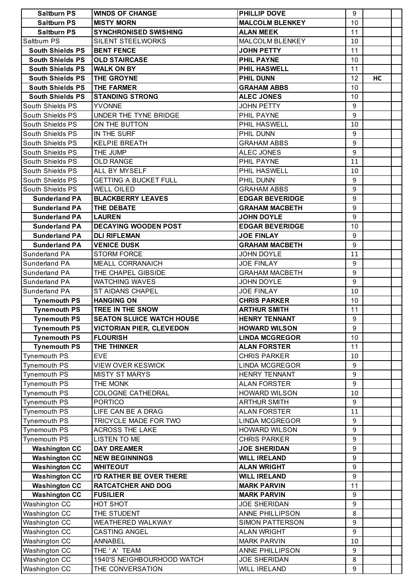| <b>Saltburn PS</b>        | <b>WINDS OF CHANGE</b>           | PHILLIP DOVE           | 9     |    |  |
|---------------------------|----------------------------------|------------------------|-------|----|--|
| <b>Saltburn PS</b>        | <b>MISTY MORN</b>                | <b>MALCOLM BLENKEY</b> | 10    |    |  |
| <b>Saltburn PS</b>        | <b>SYNCHRONISED SWISHING</b>     | <b>ALAN MEEK</b>       | 11    |    |  |
| Saltburn PS               | SILENT STEELWORKS                | MALCOLM BLENKEY        | 10    |    |  |
| <b>South Shields PS</b>   | <b>BENT FENCE</b>                | <b>JOHN PETTY</b>      | 11    |    |  |
| <b>South Shields PS</b>   | <b>OLD STAIRCASE</b>             | <b>PHIL PAYNE</b>      | 10    |    |  |
| <b>South Shields PS</b>   | <b>WALK ON BY</b>                | PHIL HASWELL           | 11    |    |  |
| <b>South Shields PS</b>   | THE GROYNE                       | <b>PHIL DUNN</b>       | 12    | HC |  |
| <b>South Shields PS</b>   | <b>THE FARMER</b>                | <b>GRAHAM ABBS</b>     | 10    |    |  |
| <b>South Shields PS</b>   | <b>STANDING STRONG</b>           | <b>ALEC JONES</b>      | 10    |    |  |
| South Shields PS          | <b>YVONNE</b>                    | <b>JOHN PETTY</b>      | 9     |    |  |
| South Shields PS          | UNDER THE TYNE BRIDGE            | PHIL PAYNE             | 9     |    |  |
| South Shields PS          | ON THE BUTTON                    | PHIL HASWELL           | 10    |    |  |
| South Shields PS          | IN THE SURF                      | PHIL DUNN              | 9     |    |  |
| <b>I</b> South Shields PS | <b>KELPIE BREATH</b>             | <b>GRAHAM ABBS</b>     | 9     |    |  |
| South Shields PS          | THE JUMP                         | ALEC JONES             | 9     |    |  |
| South Shields PS          | <b>OLD RANGE</b>                 | PHIL PAYNE             | 11    |    |  |
| South Shields PS          | ALL BY MYSELF                    | PHIL HASWELL           | 10    |    |  |
| South Shields PS          | <b>GETTING A BUCKET FULL</b>     | PHIL DUNN              | 9     |    |  |
| South Shields PS          | <b>WELL OILED</b>                | <b>GRAHAM ABBS</b>     | 9     |    |  |
| <b>Sunderland PA</b>      | <b>BLACKBERRY LEAVES</b>         | <b>EDGAR BEVERIDGE</b> | 9     |    |  |
| <b>Sunderland PA</b>      | THE DEBATE                       | <b>GRAHAM MACBETH</b>  | 9     |    |  |
| <b>Sunderland PA</b>      | <b>LAUREN</b>                    | <b>JOHN DOYLE</b>      | 9     |    |  |
| <b>Sunderland PA</b>      | <b>DECAYING WOODEN POST</b>      | <b>EDGAR BEVERIDGE</b> | 10    |    |  |
| <b>Sunderland PA</b>      | <b>DLI RIFLEMAN</b>              | <b>JOE FINLAY</b>      | 9     |    |  |
| <b>Sunderland PA</b>      | <b>VENICE DUSK</b>               | <b>GRAHAM MACBETH</b>  | 9     |    |  |
| Sunderland PA             | <b>STORM FORCE</b>               | JOHN DOYLE             | 11    |    |  |
| Sunderland PA             | <b>MEALL CORRANAICH</b>          | <b>JOE FINLAY</b>      | 9     |    |  |
| Sunderland PA             | THE CHAPEL GIBSIDE               | <b>GRAHAM MACBETH</b>  | 9     |    |  |
| <b>Sunderland PA</b>      | <b>WATCHING WAVES</b>            | JOHN DOYLE             | 9     |    |  |
| Sunderland PA             | <b>ST AIDANS CHAPEL</b>          | <b>JOE FINLAY</b>      | 10    |    |  |
| <b>Tynemouth PS</b>       | <b>HANGING ON</b>                | <b>CHRIS PARKER</b>    | 10    |    |  |
| <b>Tynemouth PS</b>       | TREE IN THE SNOW                 | <b>ARTHUR SMITH</b>    | 11    |    |  |
| <b>Tynemouth PS</b>       | <b>SEATON SLUICE WATCH HOUSE</b> | <b>HENRY TENNANT</b>   | 9     |    |  |
| <b>Tynemouth PS</b>       | <b>VICTORIAN PIER, CLEVEDON</b>  | <b>HOWARD WILSON</b>   | 9     |    |  |
| <b>Tynemouth PS</b>       | <b>FLOURISH</b>                  | <b>LINDA MCGREGOR</b>  | 10    |    |  |
| <b>Tynemouth PS</b>       | THE THINKER                      | <b>ALAN FORSTER</b>    | 11    |    |  |
| Tynemouth PS              | <b>EVE</b>                       | <b>CHRIS PARKER</b>    | 10    |    |  |
| <b>Tynemouth PS</b>       | <b>VIEW OVER KESWICK</b>         | <b>LINDA MCGREGOR</b>  | 9     |    |  |
| <b>Tynemouth PS</b>       | <b>MISTY ST MARYS</b>            | <b>HENRY TENNANT</b>   | 9     |    |  |
| <b>Tynemouth PS</b>       | THE MONK                         | <b>ALAN FORSTER</b>    | 9     |    |  |
| <b>Tynemouth PS</b>       | COLOGNE CATHEDRAL                | <b>HOWARD WILSON</b>   | 10    |    |  |
| Tynemouth PS              | <b>PORTICO</b>                   | <b>ARTHUR SMITH</b>    | 9     |    |  |
| <b>Tynemouth PS</b>       | LIFE CAN BE A DRAG               | <b>ALAN FORSTER</b>    | 11    |    |  |
| Tynemouth PS              | TRICYCLE MADE FOR TWO            | <b>LINDA MCGREGOR</b>  | 9     |    |  |
| <b>Tynemouth PS</b>       | <b>ACROSS THE LAKE</b>           | <b>HOWARD WILSON</b>   | 9     |    |  |
| <b>Tynemouth PS</b>       | <b>LISTEN TO ME</b>              | <b>CHRIS PARKER</b>    | 9     |    |  |
| <b>Washington CC</b>      | <b>DAY DREAMER</b>               | <b>JOE SHERIDAN</b>    | 9     |    |  |
| <b>Washington CC</b>      | <b>NEW BEGINNINGS</b>            | <b>WILL IRELAND</b>    | $9\,$ |    |  |
| <b>Washington CC</b>      | <b>WHITEOUT</b>                  | <b>ALAN WRIGHT</b>     | 9     |    |  |
| <b>Washington CC</b>      | I'D RATHER BE OVER THERE         | <b>WILL IRELAND</b>    | $9\,$ |    |  |
| <b>Washington CC</b>      | <b>RATCATCHER AND DOG</b>        | <b>MARK PARVIN</b>     | 11    |    |  |
| <b>Washington CC</b>      | <b>FUSILIER</b>                  | <b>MARK PARVIN</b>     | 9     |    |  |
| Washington CC             | HOT SHOT                         | <b>JOE SHERIDAN</b>    | 9     |    |  |
| Washington CC             | THE STUDENT                      | <b>ANNE PHILLIPSON</b> | 8     |    |  |
| Washington CC             | WEATHERED WALKWAY                | <b>SIMON PATTERSON</b> | 9     |    |  |
| Washington CC             | <b>CASTING ANGEL</b>             | <b>ALAN WRIGHT</b>     | 9     |    |  |
| Washington CC             | ANNABEL                          | <b>MARK PARVIN</b>     | 10    |    |  |
| Washington CC             | THE ' A' TEAM                    | <b>ANNE PHILLIPSON</b> | 9     |    |  |
| Washington CC             | 1940'S NEIGHBOURHOOD WATCH       | <b>JOE SHERIDAN</b>    | 8     |    |  |
|                           |                                  |                        |       |    |  |
| Washington CC             | THE CONVERSATION                 | <b>WILL IRELAND</b>    | 9     |    |  |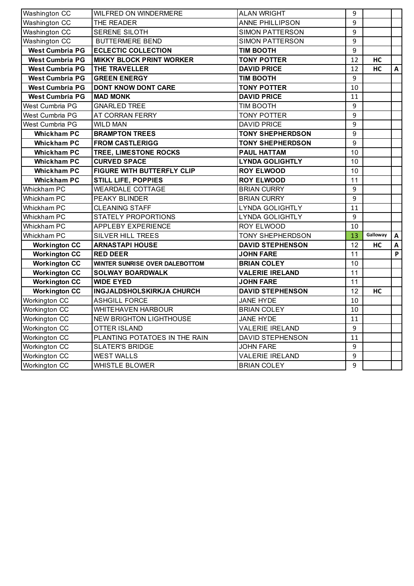| Washington CC          | <b>WILFRED ON WINDERMERE</b>          | ALAN WRIGHT             | 9  |          |                           |
|------------------------|---------------------------------------|-------------------------|----|----------|---------------------------|
| Washington CC          | THE READER                            | <b>ANNE PHILLIPSON</b>  | 9  |          |                           |
| Washington CC          | SERENE SILOTH                         | SIMON PATTERSON         | 9  |          |                           |
| Washington CC          | <b>BUTTERMERE BEND</b>                | <b>SIMON PATTERSON</b>  | 9  |          |                           |
| <b>West Cumbria PG</b> | <b>ECLECTIC COLLECTION</b>            | <b>TIM BOOTH</b>        | 9  |          |                           |
| <b>West Cumbria PG</b> | <b>MIKKY BLOCK PRINT WORKER</b>       | <b>TONY POTTER</b>      | 12 | HC       |                           |
| <b>West Cumbria PG</b> | THE TRAVELLER                         | <b>DAVID PRICE</b>      | 12 | HC       | A                         |
| <b>West Cumbria PG</b> | <b>GREEN ENERGY</b>                   | <b>TIM BOOTH</b>        | 9  |          |                           |
| <b>West Cumbria PG</b> | <b>DONT KNOW DONT CARE</b>            | <b>TONY POTTER</b>      | 10 |          |                           |
| <b>West Cumbria PG</b> | <b>MAD MONK</b>                       | <b>DAVID PRICE</b>      | 11 |          |                           |
| West Cumbria PG        | <b>GNARLED TREE</b>                   | <b>TIM BOOTH</b>        | 9  |          |                           |
| West Cumbria PG        | AT CORRAN FERRY                       | <b>TONY POTTER</b>      | 9  |          |                           |
| West Cumbria PG        | <b>WILD MAN</b>                       | <b>DAVID PRICE</b>      | 9  |          |                           |
| <b>Whickham PC</b>     | <b>BRAMPTON TREES</b>                 | <b>TONY SHEPHERDSON</b> | 9  |          |                           |
| <b>Whickham PC</b>     | <b>FROM CASTLERIGG</b>                | <b>TONY SHEPHERDSON</b> | 9  |          |                           |
| <b>Whickham PC</b>     | <b>TREE, LIMESTONE ROCKS</b>          | <b>PAUL HATTAM</b>      | 10 |          |                           |
| <b>Whickham PC</b>     | <b>CURVED SPACE</b>                   | <b>LYNDA GOLIGHTLY</b>  | 10 |          |                           |
| <b>Whickham PC</b>     | <b>FIGURE WITH BUTTERFLY CLIP</b>     | <b>ROY ELWOOD</b>       | 10 |          |                           |
| <b>Whickham PC</b>     | <b>STILL LIFE, POPPIES</b>            | <b>ROY ELWOOD</b>       | 11 |          |                           |
| Whickham PC            | <b>WEARDALE COTTAGE</b>               | <b>BRIAN CURRY</b>      | 9  |          |                           |
| Whickham PC            | PEAKY BLINDER                         | <b>BRIAN CURRY</b>      | 9  |          |                           |
| Whickham PC            | <b>CLEANING STAFF</b>                 | <b>LYNDA GOLIGHTLY</b>  | 11 |          |                           |
| Whickham PC            | <b>STATELY PROPORTIONS</b>            | <b>LYNDA GOLIGHTLY</b>  | 9  |          |                           |
| Whickham PC            | <b>APPLEBY EXPERIENCE</b>             | ROY ELWOOD              | 10 |          |                           |
| Whickham PC            | SILVER HILL TREES                     | <b>TONY SHEPHERDSON</b> | 13 | Galloway | $\boldsymbol{\mathsf{A}}$ |
| <b>Workington CC</b>   | <b>ARNASTAPI HOUSE</b>                | <b>DAVID STEPHENSON</b> | 12 | HC       | A                         |
| <b>Workington CC</b>   | <b>RED DEER</b>                       | <b>JOHN FARE</b>        | 11 |          | P                         |
| <b>Workington CC</b>   | <b>WINTER SUNRISE OVER DALEBOTTOM</b> | <b>BRIAN COLEY</b>      | 10 |          |                           |
| <b>Workington CC</b>   | <b>SOLWAY BOARDWALK</b>               | <b>VALERIE IRELAND</b>  | 11 |          |                           |
| <b>Workington CC</b>   | <b>WIDE EYED</b>                      | <b>JOHN FARE</b>        | 11 |          |                           |
| <b>Workington CC</b>   | INGJALDSHOLSKIRKJA CHURCH             | <b>DAVID STEPHENSON</b> | 12 | HC       |                           |
| Workington CC          | <b>ASHGILL FORCE</b>                  | <b>JANE HYDE</b>        | 10 |          |                           |
| Workington CC          | <b>WHITEHAVEN HARBOUR</b>             | <b>BRIAN COLEY</b>      | 10 |          |                           |
| Workington CC          | <b>NEW BRIGHTON LIGHTHOUSE</b>        | <b>JANE HYDE</b>        | 11 |          |                           |
| Workington CC          | <b>OTTER ISLAND</b>                   | <b>VALERIE IRELAND</b>  | 9  |          |                           |
| Workington CC          | PLANTING POTATOES IN THE RAIN         | DAVID STEPHENSON        | 11 |          |                           |
| Workington CC          | <b>SLATER'S BRIDGE</b>                | <b>JOHN FARE</b>        | 9  |          |                           |
| Workington CC          | <b>WEST WALLS</b>                     | <b>VALERIE IRELAND</b>  | 9  |          |                           |
| Workington CC          | <b>WHISTLE BLOWER</b>                 | <b>BRIAN COLEY</b>      | 9  |          |                           |
|                        |                                       |                         |    |          |                           |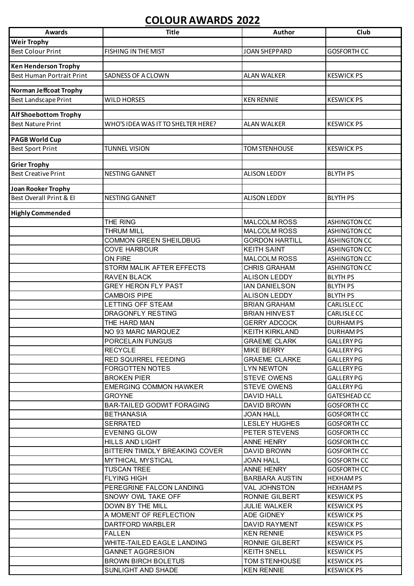## **COLOUR AWARDS 2022**

| <b>Awards</b>                                    | <b>Title</b>                                  | Author                             | Club                                     |
|--------------------------------------------------|-----------------------------------------------|------------------------------------|------------------------------------------|
| <b>Weir Trophy</b>                               |                                               |                                    |                                          |
| <b>Best Colour Print</b>                         | <b>FISHING IN THE MIST</b>                    | <b>JOAN SHEPPARD</b>               | <b>GOSFORTH CC</b>                       |
|                                                  |                                               |                                    |                                          |
| <b>Ken Henderson Trophy</b>                      |                                               |                                    |                                          |
| <b>Best Human Portrait Print</b>                 | SADNESS OF A CLOWN                            | <b>ALAN WALKER</b>                 | <b>KESWICK PS</b>                        |
| <b>Norman Jeffcoat Trophy</b>                    |                                               |                                    |                                          |
| <b>Best Landscape Print</b>                      | <b>WILD HORSES</b>                            | <b>KEN RENNIE</b>                  | <b>KESWICK PS</b>                        |
|                                                  |                                               |                                    |                                          |
| <b>Alf Shoebottom Trophy</b>                     |                                               |                                    |                                          |
| <b>Best Nature Print</b>                         | WHO'S IDEA WAS IT TO SHELTER HERE?            | <b>ALAN WALKER</b>                 | <b>KESWICK PS</b>                        |
|                                                  |                                               |                                    |                                          |
| <b>PAGB World Cup</b><br><b>Best Sport Print</b> | <b>TUNNEL VISION</b>                          | <b>TOM STENHOUSE</b>               | <b>KESWICK PS</b>                        |
|                                                  |                                               |                                    |                                          |
| <b>Grier Trophy</b>                              |                                               |                                    |                                          |
| <b>Best Creative Print</b>                       | NESTING GANNET                                | <b>ALISON LEDDY</b>                | <b>BLYTH PS</b>                          |
|                                                  |                                               |                                    |                                          |
| <b>Joan Rooker Trophy</b>                        |                                               |                                    |                                          |
| Best Overall Print & El                          | <b>NESTING GANNET</b>                         | <b>ALISON LEDDY</b>                | <b>BLYTH PS</b>                          |
| <b>Highly Commended</b>                          |                                               |                                    |                                          |
|                                                  | THE RING                                      | <b>MALCOLM ROSS</b>                | <b>ASHINGTON CC</b>                      |
|                                                  | <b>THRUM MILL</b>                             | <b>MALCOLM ROSS</b>                | <b>ASHINGTON CC</b>                      |
|                                                  | <b>COMMON GREEN SHEILDBUG</b>                 | <b>GORDON HARTILL</b>              | <b>ASHINGTON CC</b>                      |
|                                                  | <b>COVE HARBOUR</b>                           | <b>KEITH SAINT</b>                 | <b>ASHINGTON CC</b>                      |
|                                                  | ON FIRE                                       | <b>MALCOLM ROSS</b>                | <b>ASHINGTON CC</b>                      |
|                                                  | STORM MALIK AFTER EFFECTS                     | <b>CHRIS GRAHAM</b>                | <b>ASHINGTON CC</b>                      |
|                                                  | <b>RAVEN BLACK</b>                            | <b>ALISON LEDDY</b>                | <b>BLYTH PS</b>                          |
|                                                  | <b>GREY HERON FLY PAST</b>                    | <b>IAN DANIELSON</b>               | <b>BLYTH PS</b>                          |
|                                                  | <b>CAMBOIS PIPE</b>                           | <b>ALISON LEDDY</b>                | <b>BLYTH PS</b>                          |
|                                                  | <b>LETTING OFF STEAM</b>                      | <b>BRIAN GRAHAM</b>                | <b>CARLISLE CC</b>                       |
|                                                  | DRAGONFLY RESTING                             | <b>BRIAN HINVEST</b>               | <b>CARLISLE CC</b>                       |
|                                                  | THE HARD MAN                                  | <b>GERRY ADCOCK</b>                | <b>DURHAMPS</b>                          |
|                                                  | NO 93 MARC MARQUEZ                            | <b>KEITH KIRKLAND</b>              | <b>DURHAMPS</b>                          |
|                                                  | <b>PORCELAIN FUNGUS</b>                       | <b>GRAEME CLARK</b>                | <b>GALLERY PG</b>                        |
|                                                  | <b>RECYCLE</b>                                | <b>MIKE BERRY</b>                  | <b>GALLERY PG</b>                        |
|                                                  | <b>RED SQUIRREL FEEDING</b>                   | <b>GRAEME CLARKE</b>               | <b>GALLERY PG</b>                        |
|                                                  | <b>FORGOTTEN NOTES</b>                        | <b>LYN NEWTON</b>                  | <b>GALLERY PG</b>                        |
|                                                  | <b>BROKEN PIER</b>                            | <b>STEVE OWENS</b>                 | <b>GALLERY PG</b>                        |
|                                                  | <b>EMERGING COMMON HAWKER</b>                 | <b>STEVE OWENS</b>                 | <b>GALLERY PG</b>                        |
|                                                  | <b>GROYNE</b>                                 | <b>DAVID HALL</b>                  | <b>GATESHEAD CC</b>                      |
|                                                  | <b>BAR-TAILED GODWIT FORAGING</b>             | <b>DAVID BROWN</b>                 | <b>GOSFORTH CC</b>                       |
|                                                  | <b>BETHANASIA</b>                             | <b>JOAN HALL</b>                   | <b>GOSFORTH CC</b>                       |
|                                                  | <b>SERRATED</b>                               | <b>LESLEY HUGHES</b>               | <b>GOSFORTH CC</b>                       |
|                                                  | <b>EVENING GLOW</b><br><b>HILLS AND LIGHT</b> | PETER STEVENS<br><b>ANNE HENRY</b> | <b>GOSFORTH CC</b><br><b>GOSFORTH CC</b> |
|                                                  | BITTERN TIMIDLY BREAKING COVER                | <b>DAVID BROWN</b>                 | <b>GOSFORTH CC</b>                       |
|                                                  | <b>MYTHICAL MYSTICAL</b>                      | <b>JOAN HALL</b>                   | <b>GOSFORTH CC</b>                       |
|                                                  | <b>TUSCAN TREE</b>                            | <b>ANNE HENRY</b>                  | <b>GOSFORTH CC</b>                       |
|                                                  | <b>FLYING HIGH</b>                            | <b>BARBARA AUSTIN</b>              | <b>HEXHAMPS</b>                          |
|                                                  | PEREGRINE FALCON LANDING                      | <b>VAL JOHNSTON</b>                | <b>HEXHAMPS</b>                          |
|                                                  | SNOWY OWL TAKE OFF                            | RONNIE GILBERT                     | <b>KESWICK PS</b>                        |
|                                                  | DOWN BY THE MILL                              | <b>JULIE WALKER</b>                | <b>KESWICK PS</b>                        |
|                                                  | A MOMENT OF REFLECTION                        | <b>ADE GIDNEY</b>                  | <b>KESWICK PS</b>                        |
|                                                  | DARTFORD WARBLER                              | <b>DAVID RAYMENT</b>               | <b>KESWICK PS</b>                        |
|                                                  | <b>FALLEN</b>                                 | <b>KEN RENNIE</b>                  | <b>KESWICK PS</b>                        |
|                                                  | WHITE-TAILED EAGLE LANDING                    | RONNIE GILBERT                     | <b>KESWICK PS</b>                        |
|                                                  | <b>GANNET AGGRESION</b>                       | <b>KEITH SNELL</b>                 | <b>KESWICK PS</b>                        |
|                                                  | <b>BROWN BIRCH BOLETUS</b>                    | <b>TOM STENHOUSE</b>               | <b>KESWICK PS</b>                        |
|                                                  | SUNLIGHT AND SHADE                            | <b>KEN RENNIE</b>                  | <b>KESWICK PS</b>                        |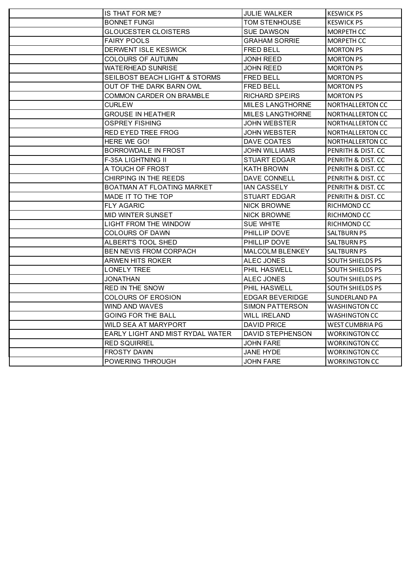| IS THAT FOR ME?                  | JULIE WALKER            | <b>KESWICK PS</b>       |
|----------------------------------|-------------------------|-------------------------|
| <b>BONNET FUNGI</b>              | <b>TOM STENHOUSE</b>    | <b>KESWICK PS</b>       |
| <b>GLOUCESTER CLOISTERS</b>      | <b>SUE DAWSON</b>       | <b>MORPETH CC</b>       |
| <b>FAIRY POOLS</b>               | <b>GRAHAM SORRIE</b>    | <b>MORPETH CC</b>       |
| <b>DERWENT ISLE KESWICK</b>      | <b>FRED BELL</b>        | <b>MORTON PS</b>        |
| <b>COLOURS OF AUTUMN</b>         | <b>JONH REED</b>        | <b>MORTON PS</b>        |
| <b>WATERHEAD SUNRISE</b>         | <b>JOHN REED</b>        | <b>MORTON PS</b>        |
| SEILBOST BEACH LIGHT & STORMS    | FRED BELL               | <b>MORTON PS</b>        |
| OUT OF THE DARK BARN OWL         | <b>FRED BELL</b>        | <b>MORTON PS</b>        |
| COMMON CARDER ON BRAMBLE         | RICHARD SPEIRS          | <b>MORTON PS</b>        |
| <b>CURLEW</b>                    | <b>MILES LANGTHORNE</b> | NORTHALLERTON CC        |
| <b>GROUSE IN HEATHER</b>         | <b>MILES LANGTHORNE</b> | NORTHALLERTON CC        |
| <b>OSPREY FISHING</b>            | <b>JOHN WEBSTER</b>     | NORTHALLERTON CC        |
| RED EYED TREE FROG               | <b>JOHN WEBSTER</b>     | NORTHALLERTON CC        |
| HERE WE GO!                      | DAVE COATES             | NORTHALLERTON CC        |
| <b>BORROWDALE IN FROST</b>       | <b>JOHN WILLIAMS</b>    | PENRITH & DIST. CC      |
| F-35A LIGHTNING II               | <b>STUART EDGAR</b>     | PENRITH & DIST. CC      |
| A TOUCH OF FROST                 | <b>KATH BROWN</b>       | PENRITH & DIST. CC      |
| CHIRPING IN THE REEDS            | DAVE CONNELL            | PENRITH & DIST. CC      |
| BOATMAN AT FLOATING MARKET       | <b>IAN CASSELY</b>      | PENRITH & DIST. CC      |
| MADE IT TO THE TOP               | <b>STUART EDGAR</b>     | PENRITH & DIST. CC      |
| <b>FLY AGARIC</b>                | <b>NICK BROWNE</b>      | RICHMOND CC             |
| <b>MID WINTER SUNSET</b>         | <b>NICK BROWNE</b>      | RICHMOND CC             |
| LIGHT FROM THE WINDOW            | <b>SUE WHITE</b>        | RICHMOND CC             |
| <b>COLOURS OF DAWN</b>           | PHILLIP DOVE            | <b>SALTBURN PS</b>      |
| ALBERT'S TOOL SHED               | PHILLIP DOVE            | <b>SALTBURN PS</b>      |
| <b>BEN NEVIS FROM CORPACH</b>    | <b>MALCOLM BLENKEY</b>  | <b>SALTBURN PS</b>      |
| ARWEN HITS ROKER                 | ALEC JONES              | <b>SOUTH SHIELDS PS</b> |
| <b>LONELY TREE</b>               | <b>PHIL HASWELL</b>     | <b>SOUTH SHIELDS PS</b> |
| JONATHAN                         | ALEC JONES              | SOUTH SHIELDS PS        |
| <b>RED IN THE SNOW</b>           | <b>PHIL HASWELL</b>     | <b>SOUTH SHIELDS PS</b> |
| <b>COLOURS OF EROSION</b>        | <b>EDGAR BEVERIDGE</b>  | SUNDERLAND PA           |
| WIND AND WAVES                   | <b>SIMON PATTERSON</b>  | <b>WASHINGTON CC</b>    |
| <b>GOING FOR THE BALL</b>        | <b>WILL IRELAND</b>     | WASHINGTON CC           |
| WILD SEA AT MARYPORT             | <b>DAVID PRICE</b>      | <b>WEST CUMBRIA PG</b>  |
| EARLY LIGHT AND MIST RYDAL WATER | <b>DAVID STEPHENSON</b> | <b>WORKINGTON CC</b>    |
| <b>RED SQUIRREL</b>              | <b>JOHN FARE</b>        | <b>WORKINGTON CC</b>    |
| <b>FROSTY DAWN</b>               | <b>JANE HYDE</b>        | <b>WORKINGTON CC</b>    |
| POWERING THROUGH                 | <b>JOHN FARE</b>        | <b>WORKINGTON CC</b>    |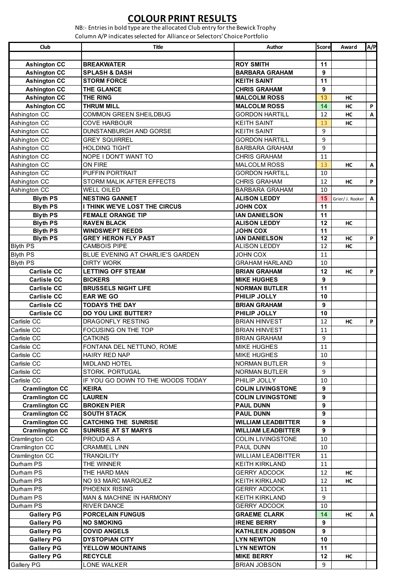### **COLOUR PRINT RESULTS**

NB:- Entries in bold type are the allocated Club entry for the Bewick Trophy Column A/P indicates selected for Alliance or Selectors' Choice Portfolio

| Club                  | <b>Title</b>                        | <b>Author</b>             | Score           | Award            | A/P                       |
|-----------------------|-------------------------------------|---------------------------|-----------------|------------------|---------------------------|
|                       |                                     |                           |                 |                  |                           |
| <b>Ashington CC</b>   | <b>BREAKWATER</b>                   | <b>ROY SMITH</b>          | 11              |                  |                           |
| <b>Ashington CC</b>   | <b>SPLASH &amp; DASH</b>            | <b>BARBARA GRAHAM</b>     | 9               |                  |                           |
| <b>Ashington CC</b>   | <b>STORM FORCE</b>                  | <b>KEITH SAINT</b>        | 11              |                  |                           |
| <b>Ashington CC</b>   | THE GLANCE                          | <b>CHRIS GRAHAM</b>       | 9               |                  |                           |
|                       | THE RING                            |                           | 13              |                  |                           |
| <b>Ashington CC</b>   |                                     | <b>MALCOLM ROSS</b>       |                 | HC               |                           |
| <b>Ashington CC</b>   | <b>THRUM MILL</b>                   | <b>MALCOLM ROSS</b>       | 14              | HC               | P                         |
| Ashington CC          | COMMON GREEN SHEILDBUG              | <b>GORDON HARTILL</b>     | 12              | HC               | $\boldsymbol{\mathsf{A}}$ |
| Ashington CC          | <b>COVE HARBOUR</b>                 | <b>KEITH SAINT</b>        | 13              | HC               |                           |
| Ashington CC          | DUNSTANBURGH AND GORSE              | <b>KEITH SAINT</b>        | 9               |                  |                           |
| Ashington CC          | <b>GREY SQUIRREL</b>                | <b>GORDON HARTILL</b>     | 9               |                  |                           |
| Ashington CC          | <b>HOLDING TIGHT</b>                | <b>BARBARA GRAHAM</b>     | 9               |                  |                           |
| Ashington CC          | NOPE I DON'T WANT TO                | <b>CHRIS GRAHAM</b>       | 11              |                  |                           |
| Ashington CC          | ON FIRE                             | <b>MALCOLM ROSS</b>       | 13              | НC               | Α                         |
| Ashington CC          | PUFFIN PORTRAIT                     | <b>GORDON HARTILL</b>     | 10              |                  |                           |
| Ashington CC          | STORM MALIK AFTER EFFECTS           | <b>CHRIS GRAHAM</b>       | 12              | НC               | P                         |
| Ashington CC          | <b>WELL OILED</b>                   | <b>BARBARA GRAHAM</b>     | 10              |                  |                           |
| <b>Blyth PS</b>       | <b>NESTING GANNET</b>               | <b>ALISON LEDDY</b>       | 15              | Grier/ J. Rooker | $\mathbf{A}$              |
| <b>Blyth PS</b>       | I THINK WE'VE LOST THE CIRCUS       | <b>JOHN COX</b>           | 11              |                  |                           |
| <b>Blyth PS</b>       | <b>FEMALE ORANGE TIP</b>            | <b>IAN DANIELSON</b>      | 11              |                  |                           |
| <b>Blyth PS</b>       | <b>RAVEN BLACK</b>                  | <b>ALISON LEDDY</b>       | 12              | HC               |                           |
| <b>Blyth PS</b>       | <b>WINDSWEPT REEDS</b>              | <b>JOHN COX</b>           | 11              |                  |                           |
| <b>Blyth PS</b>       | <b>GREY HERON FLY PAST</b>          | <b>IAN DANIELSON</b>      | $\overline{12}$ | HC               | P                         |
| <b>Blyth PS</b>       | <b>CAMBOIS PIPE</b>                 | <b>ALISON LEDDY</b>       | 12              | HC               |                           |
| Blyth PS              | BLUE EVENING AT CHARLIE'S GARDEN    | <b>JOHN COX</b>           | 11              |                  |                           |
| <b>Blyth PS</b>       | <b>DIRTY WORK</b>                   | <b>GRAHAM HARLAND</b>     | 10              |                  |                           |
| <b>Carlisle CC</b>    | <b>LETTING OFF STEAM</b>            | <b>BRIAN GRAHAM</b>       | 12              | HC               | P                         |
| <b>Carlisle CC</b>    | <b>BICKERS</b>                      | <b>MIKE HUGHES</b>        | 9               |                  |                           |
| <b>Carlisle CC</b>    | <b>BRUSSELS NIGHT LIFE</b>          | <b>NORMAN BUTLER</b>      | 11              |                  |                           |
|                       |                                     |                           | 10              |                  |                           |
| <b>Carlisle CC</b>    | <b>EAR WE GO</b>                    | PHILIP JOLLY              |                 |                  |                           |
| <b>Carlisle CC</b>    | <b>TODAYS THE DAY</b>               | <b>BRIAN GRAHAM</b>       | 9               |                  |                           |
| <b>Carlisle CC</b>    | DO YOU LIKE BUTTER?                 | PHILIP JOLLY              | 10              |                  |                           |
| Carlisle CC           | DRAGONFLY RESTING                   | <b>BRIAN HINVEST</b>      | 12              | НC               | $\mathsf P$               |
| Carlisle CC           | FOCUSING ON THE TOP                 | <b>BRIAN HINVEST</b>      | 11              |                  |                           |
| Carlisle CC           | <b>CATKINS</b>                      | <b>BRIAN GRAHAM</b>       | 9               |                  |                           |
| Carlisle CC           | FONTANA DEL NETTUNO, ROME           | <b>MIKE HUGHES</b>        | 11              |                  |                           |
| Carlisle CC           | HAIRY RED NAP                       | <b>MIKE HUGHES</b>        | $10\,$          |                  |                           |
| Carlisle CC           | <b>MIDLAND HOTEL</b>                | <b>NORMAN BUTLER</b>      | 9               |                  |                           |
| Carlisle CC           | <b>STORK, PORTUGAL</b>              | <b>NORMAN BUTLER</b>      | 9               |                  |                           |
| Carlisle CC           | IF YOU GO DOWN TO THE WOODS TODAY   | PHILIP JOLLY              | 10              |                  |                           |
| <b>Cramlington CC</b> | <b>KEIRA</b>                        | <b>COLIN LIVINGSTONE</b>  | 9               |                  |                           |
| <b>Cramlington CC</b> | <b>LAUREN</b>                       | <b>COLIN LIVINGSTONE</b>  | 9               |                  |                           |
| <b>Cramlington CC</b> | <b>BROKEN PIER</b>                  | <b>PAUL DUNN</b>          | 9               |                  |                           |
| <b>Cramlington CC</b> | <b>SOUTH STACK</b>                  | <b>PAUL DUNN</b>          | 9               |                  |                           |
| <b>Cramlington CC</b> | <b>CATCHING THE SUNRISE</b>         | <b>WILLIAM LEADBITTER</b> | 9               |                  |                           |
| <b>Cramlington CC</b> | <b>SUNRISE AT ST MARYS</b>          | WILLIAM LEADBITTER        | 9               |                  |                           |
| Cramlington CC        | PROUD AS A                          | <b>COLIN LIVINGSTONE</b>  | 10              |                  |                           |
| Cramlington CC        | <b>CRAMMEL LINN</b>                 | PAUL DUNN                 | 10              |                  |                           |
| Cramlington CC        | TRANQILITY                          | <b>WILLIAM LEADBITTER</b> | 11              |                  |                           |
| Durham PS             | THE WINNER                          | <b>KEITH KIRKLAND</b>     |                 |                  |                           |
|                       |                                     |                           | 11              |                  |                           |
| Durham PS             | THE HARD MAN                        | <b>GERRY ADCOCK</b>       | 12              | HC               |                           |
| Durham PS             | NO 93 MARC MARQUEZ                  | <b>KEITH KIRKLAND</b>     | 12              | НC               |                           |
| Durham PS             | PHOENIX RISING                      | <b>GERRY ADCOCK</b>       | 11              |                  |                           |
| Durham PS             | <b>MAN &amp; MACHINE IN HARMONY</b> | <b>KEITH KIRKLAND</b>     | 9               |                  |                           |
| Durham PS             | <b>RIVER DANCE</b>                  | <b>GERRY ADCOCK</b>       | 10              |                  |                           |
| <b>Gallery PG</b>     | <b>PORCELAIN FUNGUS</b>             | <b>GRAEME CLARK</b>       | 14              | НC               | A                         |
| <b>Gallery PG</b>     | <b>NO SMOKING</b>                   | <b>IRENE BERRY</b>        | 9               |                  |                           |
| <b>Gallery PG</b>     | <b>COVID ANGELS</b>                 | <b>KATHLEEN JOBSON</b>    | 9               |                  |                           |
| <b>Gallery PG</b>     | <b>DYSTOPIAN CITY</b>               | <b>LYN NEWTON</b>         | 10              |                  |                           |
| <b>Gallery PG</b>     | <b>YELLOW MOUNTAINS</b>             | <b>LYN NEWTON</b>         | 11              |                  |                           |
| <b>Gallery PG</b>     | <b>RECYCLE</b>                      | <b>MIKE BERRY</b>         | 12              | НC               |                           |
| Gallery PG            | LONE WALKER                         | <b>BRIAN JOBSON</b>       | 9               |                  |                           |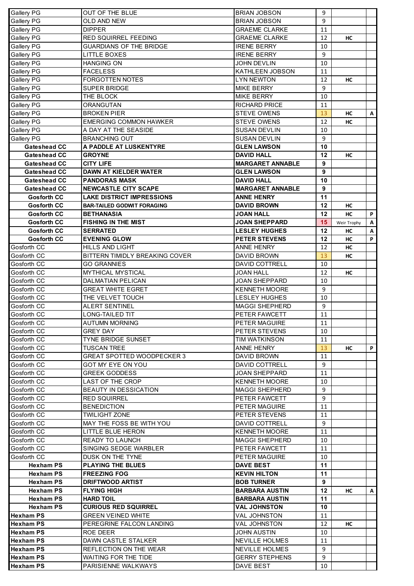| Gallery PG                                 | OUT OF THE BLUE                                        | <b>BRIAN JOBSON</b>                          | 9        |             |   |
|--------------------------------------------|--------------------------------------------------------|----------------------------------------------|----------|-------------|---|
| <b>Gallery PG</b>                          | <b>OLD AND NEW</b>                                     | <b>BRIAN JOBSON</b>                          | 9        |             |   |
| Gallery PG                                 | <b>DIPPER</b>                                          | <b>GRAEME CLARKE</b>                         | 11       |             |   |
| Gallery PG                                 | <b>RED SQUIRREL FEEDING</b>                            | <b>GRAEME CLARKE</b>                         | 12       | HC          |   |
| Gallery PG                                 | <b>GUARDIANS OF THE BRIDGE</b>                         | <b>IRENE BERRY</b>                           | 10       |             |   |
| Gallery PG                                 | <b>LITTLE BOXES</b>                                    | <b>IRENE BERRY</b>                           | 9        |             |   |
| Gallery PG                                 | <b>HANGING ON</b>                                      | JOHN DEVLIN                                  | 10       |             |   |
| Gallery PG                                 | FACELESS                                               | <b>KATHLEEN JOBSON</b>                       | 11       |             |   |
| Gallery PG                                 | <b>FORGOTTEN NOTES</b>                                 | <b>LYN NEWTON</b>                            | 12       | HC          |   |
| Gallery PG                                 | <b>SUPER BRIDGE</b>                                    | <b>MIKE BERRY</b>                            | 9        |             |   |
| Gallery PG                                 | THE BLOCK                                              | <b>MIKE BERRY</b>                            | 10       |             |   |
| Gallery PG                                 | ORANGUTAN                                              | <b>RICHARD PRICE</b>                         | 11       |             |   |
| Gallery PG                                 | <b>BROKEN PIER</b>                                     | <b>STEVE OWENS</b>                           | 13       | HC          | Α |
| Gallery PG                                 | <b>EMERGING COMMON HAWKER</b>                          | <b>STEVE OWENS</b>                           | 12       | НC          |   |
| Gallery PG                                 | A DAY AT THE SEASIDE                                   | <b>SUSAN DEVLIN</b>                          | 10       |             |   |
| Gallery PG                                 | <b>BRANCHING OUT</b>                                   | <b>SUSAN DEVLIN</b>                          | 9        |             |   |
| <b>Gateshead CC</b>                        | A PADDLE AT LUSKENTYRE                                 | <b>GLEN LAWSON</b>                           | 10       |             |   |
| Gateshead CC                               | <b>GROYNE</b>                                          | <b>DAVID HALL</b>                            | 12       | HC          |   |
| <b>Gateshead CC</b>                        | <b>CITY LIFE</b>                                       | <b>MARGARET ANNABLE</b>                      | 9        |             |   |
| <b>Gateshead CC</b>                        | <b>DAWN AT KIELDER WATER</b>                           | <b>GLEN LAWSON</b>                           | 9        |             |   |
|                                            |                                                        |                                              |          |             |   |
| <b>Gateshead CC</b><br><b>Gateshead CC</b> | <b>PANDORAS MASK</b><br><b>NEWCASTLE CITY SCAPE</b>    | <b>DAVID HALL</b><br><b>MARGARET ANNABLE</b> | 10<br>9  |             |   |
|                                            |                                                        |                                              |          |             |   |
| <b>Gosforth CC</b>                         | <b>LAKE DISTRICT IMPRESSIONS</b>                       | <b>ANNE HENRY</b>                            | 11<br>12 |             |   |
| <b>Gosforth CC</b><br><b>Gosforth CC</b>   | <b>BAR-TAILED GODWIT FORAGING</b><br><b>BETHANASIA</b> | <b>DAVID BROWN</b><br><b>JOAN HALL</b>       | 12       | HC<br>HC    | P |
|                                            |                                                        |                                              | 15       |             |   |
| <b>Gosforth CC</b><br><b>Gosforth CC</b>   | <b>FISHING IN THE MIST</b><br><b>SERRATED</b>          | <b>JOAN SHEPPARD</b><br><b>LESLEY HUGHES</b> | 12       | Weir Trophy | A |
|                                            |                                                        |                                              | 12       | HC          | A |
| <b>Gosforth CC</b><br>Gosforth CC          | <b>EVENING GLOW</b>                                    | <b>PETER STEVENS</b>                         | 12       | HC          | P |
| Gosforth CC                                | HILLS AND LIGHT<br>BITTERN TIMIDLY BREAKING COVER      | <b>ANNE HENRY</b><br><b>DAVID BROWN</b>      | 13       | HC          |   |
| Gosforth CC                                | <b>GO GRANNIES</b>                                     | <b>DAVID COTTRELL</b>                        | 10       | HC          |   |
| Gosforth CC                                | <b>MYTHICAL MYSTICAL</b>                               | <b>JOAN HALL</b>                             | 12       | HC          |   |
| Gosforth CC                                | <b>DALMATIAN PELICAN</b>                               | <b>JOAN SHEPPARD</b>                         | 10       |             |   |
| Gosforth CC                                | <b>GREAT WHITE EGRET</b>                               | <b>KENNETH MOORE</b>                         | 9        |             |   |
| Gosforth CC                                | THE VELVET TOUCH                                       | <b>LESLEY HUGHES</b>                         | 10       |             |   |
| Gosforth CC                                | <b>ALERT SENTINEL</b>                                  | <b>MAGGI SHEPHERD</b>                        | 9        |             |   |
| Gosforth CC                                | LONG-TAILED TIT                                        | PETER FAWCETT                                | 11       |             |   |
| Gosforth CC                                | <b>AUTUMN MORNING</b>                                  | <b>PETER MAGUIRE</b>                         | 11       |             |   |
| Gosforth CC                                | GREY DAY                                               | PETER STEVENS                                | 10       |             |   |
| Gosforth CC                                | TYNE BRIDGE SUNSET                                     | TIM WATKINSON                                | 11       |             |   |
| Gosforth CC                                | <b>TUSCAN TREE</b>                                     | ANNE HENRY                                   | 13       | HC          | P |
| Gosforth CC                                | GREAT SPOTTED WOODPECKER 3                             | DAVID BROWN                                  | 11       |             |   |
| Gosforth CC                                | GOT MY EYE ON YOU                                      | DAVID COTTRELL                               | 9        |             |   |
| Gosforth CC                                | <b>GREEK GODDESS</b>                                   | JOAN SHEPPARD                                | 11       |             |   |
| Gosforth CC                                | LAST OF THE CROP                                       | <b>KENNETH MOORE</b>                         | 10       |             |   |
| Gosforth CC                                | BEAUTY IN DESSICATION                                  | MAGGI SHEPHERD                               | 9        |             |   |
| Gosforth CC                                | <b>RED SQUIRREL</b>                                    | <b>PETER FAWCETT</b>                         | 9        |             |   |
| Gosforth CC                                | <b>BENEDICTION</b>                                     | PETER MAGUIRE                                | 11       |             |   |
| Gosforth CC                                | TWILIGHT ZONE                                          | <b>PETER STEVENS</b>                         | 11       |             |   |
| Gosforth CC                                | MAY THE FOSS BE WITH YOU                               | DAVID COTTRELL                               | 9        |             |   |
| Gosforth CC                                | LITTLE BLUE HERON                                      | <b>KENNETH MOORE</b>                         | 11       |             |   |
| Gosforth CC                                | READY TO LAUNCH                                        | <b>MAGGI SHEPHERD</b>                        | 10       |             |   |
| Gosforth CC                                | SINGING SEDGE WARBLER                                  | <b>PETER FAWCETT</b>                         | 11       |             |   |
| Gosforth CC                                | DUSK ON THE TYNE                                       | <b>PETER MAGUIRE</b>                         | 10       |             |   |
| <b>Hexham PS</b>                           | <b>PLAYING THE BLUES</b>                               | <b>DAVE BEST</b>                             | 11       |             |   |
| <b>Hexham PS</b>                           | <b>FREEZING FOG</b>                                    | <b>KEVIN HILTON</b>                          | 11       |             |   |
| <b>Hexham PS</b>                           | <b>DRIFTWOOD ARTIST</b>                                | <b>BOB TURNER</b>                            | 9        |             |   |
| <b>Hexham PS</b>                           | <b>FLYING HIGH</b>                                     | <b>BARBARA AUSTIN</b>                        | 12       | HC          | Α |
| <b>Hexham PS</b>                           | <b>HARD TOIL</b>                                       | <b>BARBARA AUSTIN</b>                        | 11       |             |   |
| <b>Hexham PS</b>                           | <b>CURIOUS RED SQUIRREL</b>                            | <b>VAL JOHNSTON</b>                          | 10       |             |   |
| <b>Hexham PS</b>                           | <b>GREEN VEINED WHITE</b>                              | <b>VAL JOHNSTON</b>                          | 11       |             |   |
| <b>Hexham PS</b>                           | PEREGRINE FALCON LANDING                               | <b>VAL JOHNSTON</b>                          | 12       | HC          |   |
| <b>Hexham PS</b>                           | ROE DEER                                               | <b>JOHN AUSTIN</b>                           | 10       |             |   |
| <b>Hexham PS</b>                           | DAWN CASTLE STALKER                                    | <b>NEVILLE HOLMES</b>                        | 11       |             |   |
| <b>Hexham PS</b>                           | REFLECTION ON THE WEAR                                 | <b>NEVILLE HOLMES</b>                        | 9        |             |   |
| <b>Hexham PS</b>                           | WAITING FOR THE TIDE                                   | <b>GERRY STEPHENS</b>                        | 9        |             |   |
| <b>Hexham PS</b>                           | PARISIENNE WALKWAYS                                    | DAVE BEST                                    | 10       |             |   |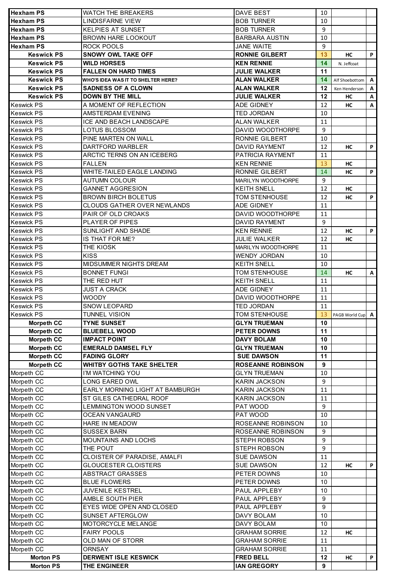| <b>Hexham PS</b>                       | <b>WATCH THE BREAKERS</b>                   | DAVE BEST                              | 10       |                     |   |
|----------------------------------------|---------------------------------------------|----------------------------------------|----------|---------------------|---|
| <b>Hexham PS</b>                       | LINDISFARNE VIEW                            | <b>BOB TURNER</b>                      | 10       |                     |   |
| <b>Hexham PS</b>                       | <b>KELPIES AT SUNSET</b>                    | <b>BOB TURNER</b>                      | 9        |                     |   |
| <b>Hexham PS</b>                       | <b>BROWN HARE LOOKOUT</b>                   | <b>BARBARA AUSTIN</b>                  | 10       |                     |   |
| <b>Hexham PS</b>                       | <b>ROCK POOLS</b>                           | JANE WAITE                             | 9        |                     |   |
| <b>Keswick PS</b>                      | <b>SNOWY OWL TAKE OFF</b>                   | <b>RONNIE GILBERT</b>                  | 13       | НC                  | P |
| <b>Keswick PS</b>                      | <b>WILD HORSES</b>                          | <b>KEN RENNIE</b>                      | 14       | N. Jeffcoat         |   |
| <b>Keswick PS</b>                      | <b>FALLEN ON HARD TIMES</b>                 | <b>JULIE WALKER</b>                    | 11       |                     |   |
| <b>Keswick PS</b>                      | WHO'S IDEA WAS IT TO SHELTER HERE?          | <b>ALAN WALKER</b>                     | 14       | Alf Shoebottom      | A |
| <b>Keswick PS</b>                      | <b>SADNESS OF A CLOWN</b>                   | <b>ALAN WALKER</b>                     | 12       | Ken Henderson       | A |
| <b>Keswick PS</b>                      | <b>DOWN BY THE MILL</b>                     | <b>JULIE WALKER</b>                    | 12       | HC                  | Α |
| <b>Keswick PS</b>                      | A MOMENT OF REFLECTION                      | ADE GIDNEY                             | 12       | НC                  | Α |
| <b>Keswick PS</b>                      | AMSTERDAM EVENING                           | <b>TED JORDAN</b>                      | 10       |                     |   |
| <b>Keswick PS</b>                      | ICE AND BEACH LANDSCAPE                     | <b>ALAN WALKER</b>                     | 11       |                     |   |
| <b>Keswick PS</b>                      | <b>LOTUS BLOSSOM</b>                        | DAVID WOODTHORPE                       | 9        |                     |   |
| <b>Keswick PS</b>                      | PINE MARTEN ON WALL                         | RONNIE GILBERT                         | 10       |                     |   |
| <b>Keswick PS</b>                      | DARTFORD WARBLER                            | <b>DAVID RAYMENT</b>                   | 12       | НC                  | P |
| <b>Keswick PS</b>                      | ARCTIC TERNS ON AN ICEBERG                  | PATRICIA RAYMENT                       | 11       |                     |   |
| <b>Keswick PS</b>                      | FALLEN                                      | <b>KEN RENNIE</b>                      | 13       | НC                  |   |
| <b>Keswick PS</b>                      | <b>WHITE-TAILED EAGLE LANDING</b>           | RONNIE GILBERT                         | 14       | HC                  | P |
| <b>Keswick PS</b>                      | AUTUMN COLOUR                               | MARILYN WOODTHORPE                     | 9        |                     |   |
| <b>Keswick PS</b>                      | <b>GANNET AGGRESION</b>                     | <b>KEITH SNELL</b>                     | 12       | HC                  |   |
| <b>Keswick PS</b>                      | <b>BROWN BIRCH BOLETUS</b>                  | <b>TOM STENHOUSE</b>                   | 12       | HС                  | P |
| <b>Keswick PS</b>                      | <b>CLOUDS GATHER OVER NEWLANDS</b>          | ADE GIDNEY                             | 11       |                     |   |
| <b>Keswick PS</b>                      | PAIR OF OLD CROAKS                          | DAVID WOODTHORPE                       | 11       |                     |   |
| <b>Keswick PS</b>                      | PLAYER OF PIPES                             | <b>DAVID RAYMENT</b>                   | 9        |                     |   |
| <b>Keswick PS</b>                      | SUNLIGHT AND SHADE                          | <b>KEN RENNIE</b>                      | 12       | НC                  | P |
| <b>Keswick PS</b>                      | IS THAT FOR ME?                             | JULIE WALKER                           | 12       | HC                  |   |
| <b>Keswick PS</b>                      | THE KIOSK                                   | MARILYN WOODTHORPE                     | 11       |                     |   |
| <b>Keswick PS</b>                      | KISS                                        | WENDY JORDAN                           | 10       |                     |   |
| <b>Keswick PS</b>                      | MIDSUMMER NIGHTS DREAM                      | <b>KEITH SNELL</b>                     | 10       |                     |   |
| <b>Keswick PS</b>                      | <b>BONNET FUNGI</b>                         | TOM STENHOUSE                          | 14       | НC                  | Α |
| <b>Keswick PS</b>                      | THE RED HUT                                 | <b>KEITH SNELL</b>                     | 11<br>11 |                     |   |
| <b>Keswick PS</b>                      | JUST A CRACK                                | ADE GIDNEY                             |          |                     |   |
| <b>Keswick PS</b>                      | WOODY<br><b>SNOW LEOPARD</b>                | DAVID WOODTHORPE<br>TED JORDAN         | 11<br>11 |                     |   |
| <b>Keswick PS</b><br><b>Keswick PS</b> | <b>TUNNEL VISION</b>                        | TOM STENHOUSE                          |          | 13 PAGB World Cup A |   |
| <b>Morpeth CC</b>                      | <b>TYNE SUNSET</b>                          | GLYN TRUEMAN                           | 10       |                     |   |
| <b>Morpeth CC</b>                      | <b>BLUEBELL WOOD</b>                        | <b>PETER DOWNS</b>                     | 11       |                     |   |
| <b>Morpeth CC</b>                      | <b>IMPACT POINT</b>                         | <b>DAVY BOLAM</b>                      | 10       |                     |   |
| <b>Morpeth CC</b>                      | <b>EMERALD DAMSEL FLY</b>                   | <b>GLYN TRUEMAN</b>                    | 10       |                     |   |
| Morpeth <sub>CC</sub>                  | <b>FADING GLORY</b>                         | <b>SUE DAWSON</b>                      | 11       |                     |   |
| Morpeth <sub>CC</sub>                  | <b>WHITBY GOTHS TAKE SHELTER</b>            | <b>ROSEANNE ROBINSON</b>               | 9        |                     |   |
| Morpeth CC                             | I'M WATCHING YOU                            | <b>GLYN TRUEMAN</b>                    | 10       |                     |   |
| Morpeth CC                             | LONG EARED OWL                              | <b>KARIN JACKSON</b>                   | 9        |                     |   |
| Morpeth CC                             | EARLY MORNING LIGHT AT BAMBURGH             | <b>KARIN JACKSON</b>                   | 11       |                     |   |
| Morpeth CC                             | ST GILES CATHEDRAL ROOF                     | <b>KARIN JACKSON</b>                   | 11       |                     |   |
| Morpeth CC                             | LEMMINGTON WOOD SUNSET                      | PAT WOOD                               | 9        |                     |   |
| Morpeth CC                             | <b>OCEAN VANGAURD</b>                       | PAT WOOD                               | 10       |                     |   |
| Morpeth CC                             | HARE IN MEADOW                              | ROSEANNE ROBINSON                      | 10       |                     |   |
| Morpeth CC                             | <b>SUSSEX BARN</b>                          | ROSEANNE ROBINSON                      | 9        |                     |   |
| Morpeth CC                             | <b>MOUNTAINS AND LOCHS</b>                  | STEPH ROBSON                           | 9        |                     |   |
| Morpeth CC                             | THE POUT                                    | <b>STEPH ROBSON</b>                    | 9        |                     |   |
| Morpeth CC                             | CLOISTER OF PARADISE, AMALFI                | <b>SUE DAWSON</b>                      | 11       |                     |   |
| Morpeth CC                             |                                             |                                        |          |                     |   |
|                                        | GLOUCESTER CLOISTERS                        | SUE DAWSON                             | 12       | HC                  | P |
| Morpeth CC                             | <b>ABSTRACT GRASSES</b>                     | PETER DOWNS                            | 10       |                     |   |
| Morpeth CC                             | <b>BLUE FLOWERS</b>                         | PETER DOWNS                            | 10       |                     |   |
| Morpeth CC                             | <b>JUVENILE KESTREL</b>                     | PAUL APPLEBY                           | 10       |                     |   |
| Morpeth CC                             | AMBLE SOUTH PIER                            | PAUL APPLEBY                           | 9        |                     |   |
| Morpeth CC                             | EYES WIDE OPEN AND CLOSED                   | PAUL APPLEBY                           | 9        |                     |   |
| Morpeth CC                             | SUNSET AFTERGLOW                            | DAVY BOLAM                             | 10       |                     |   |
| Morpeth CC                             | MOTORCYCLE MELANGE                          | DAVY BOLAM                             | 10       |                     |   |
| Morpeth CC                             | <b>FAIRY POOLS</b>                          | <b>GRAHAM SORRIE</b>                   | 12       | HC                  |   |
| Morpeth CC                             | OLD MAN OF STORR                            | <b>GRAHAM SORRIE</b>                   | 11       |                     |   |
| Morpeth CC                             | <b>ORNSAY</b>                               | <b>GRAHAM SORRIE</b>                   | 11       |                     |   |
| <b>Morton PS</b><br><b>Morton PS</b>   | <b>DERWENT ISLE KESWICK</b><br>THE ENGINEER | <b>FRED BELL</b><br><b>IAN GREGORY</b> | 12       | HC                  | P |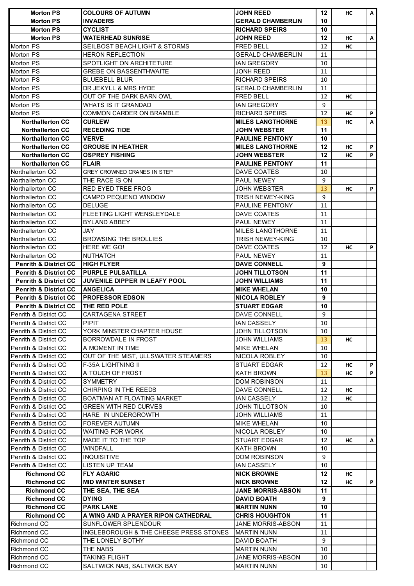| <b>Morton PS</b>                 | <b>COLOURS OF AUTUMN</b>               | <b>JOHN REED</b>         | 12 | HC. | A  |
|----------------------------------|----------------------------------------|--------------------------|----|-----|----|
| <b>Morton PS</b>                 | <b>INVADERS</b>                        | <b>GERALD CHAMBERLIN</b> | 10 |     |    |
| <b>Morton PS</b>                 | CYCLIST                                | <b>RICHARD SPEIRS</b>    | 10 |     |    |
| <b>Morton PS</b>                 | <b>WATERHEAD SUNRISE</b>               | <b>JOHN REED</b>         | 12 | НC  | A  |
| <b>Morton PS</b>                 | SEILBOST BEACH LIGHT & STORMS          | <b>FRED BELL</b>         | 12 | НC  |    |
| Morton PS                        | <b>HERON REFLECTION</b>                | <b>GERALD CHAMBERLIN</b> | 11 |     |    |
| Morton PS                        | SPOTLIGHT ON ARCHITETURE               | <b>IAN GREGORY</b>       | 10 |     |    |
| Morton PS                        | <b>GREBE ON BASSENTHWAITE</b>          | <b>JONH REED</b>         | 11 |     |    |
| Morton PS                        | <b>BLUEBELL BLUR</b>                   | <b>RICHARD SPEIRS</b>    | 10 |     |    |
| Morton PS                        | DR JEKYLL & MRS HYDE                   | <b>GERALD CHAMBERLIN</b> | 11 |     |    |
| Morton PS                        | OUT OF THE DARK BARN OWL               | <b>FRED BELL</b>         | 12 | НC  |    |
| Morton PS                        | <b>WHATS IS IT GRANDAD</b>             | <b>IAN GREGORY</b>       | 9  |     |    |
| Morton PS                        | COMMON CARDER ON BRAMBLE               | <b>RICHARD SPEIRS</b>    | 12 | НC  | P  |
| <b>Northallerton CC</b>          | <b>CURLEW</b>                          | <b>MILES LANGTHORNE</b>  | 13 | НC  | A  |
| <b>Northallerton CC</b>          | <b>RECEDING TIDE</b>                   | <b>JOHN WEBSTER</b>      | 11 |     |    |
| <b>Northallerton CC</b>          | <b>VERVE</b>                           | <b>PAULINE PENTONY</b>   | 10 |     |    |
| <b>Northallerton CC</b>          | <b>GROUSE IN HEATHER</b>               | <b>MILES LANGTHORNE</b>  | 12 | НC  | P  |
| <b>Northallerton CC</b>          | <b>OSPREY FISHING</b>                  | <b>JOHN WEBSTER</b>      | 12 | НC  | P  |
| <b>Northallerton CC</b>          | <b>FLAIR</b>                           | <b>PAULINE PENTONY</b>   | 11 |     |    |
| Northallerton CC                 | GREY CROWNED CRANES IN STEP            | DAVE COATES              | 10 |     |    |
| Northallerton CC                 | THE RACE IS ON                         | PAUL NEWEY               | 9  |     |    |
| Northallerton CC                 | RED EYED TREE FROG                     | <b>JOHN WEBSTER</b>      | 13 | НC  | P. |
| Northallerton CC                 | CAMPO PEQUENO WINDOW                   | <b>TRISH NEWEY-KING</b>  | 9  |     |    |
| Northallerton CC                 | <b>DELUGE</b>                          | <b>PAULINE PENTONY</b>   | 11 |     |    |
|                                  |                                        |                          | 11 |     |    |
| Northallerton CC                 | FLEETING LIGHT WENSLEYDALE             | DAVE COATES              |    |     |    |
| Northallerton CC                 | <b>BYLAND ABBEY</b>                    | PAUL NEWEY               | 11 |     |    |
| Northallerton CC                 | JAY                                    | <b>MILES LANGTHORNE</b>  | 11 |     |    |
| Northallerton CC                 | <b>BROWSING THE BROLLIES</b>           | <b>TRISH NEWEY-KING</b>  | 10 |     |    |
| Northallerton CC                 | HERE WE GO!                            | DAVE COATES              | 12 | НC  | P  |
| Northallerton CC                 | <b>NUTHATCH</b>                        | PAUL NEWEY               | 11 |     |    |
| <b>Penrith &amp; District CC</b> | <b>HIGH FLYER</b>                      | <b>DAVE CONNELL</b>      | 9  |     |    |
| <b>Penrith &amp; District CC</b> | <b>PURPLE PULSATILLA</b>               | <b>JOHN TILLOTSON</b>    | 11 |     |    |
| <b>Penrith &amp; District CC</b> | JUVENILE DIPPER IN LEAFY POOL          | <b>JOHN WILLIAMS</b>     | 11 |     |    |
| <b>Penrith &amp; District CC</b> | <b>ANGELICA</b>                        | <b>MIKE WHELAN</b>       | 10 |     |    |
| <b>Penrith &amp; District CC</b> | <b>PROFESSOR EDSON</b>                 | <b>NICOLA ROBLEY</b>     | 9  |     |    |
| <b>Penrith &amp; District CC</b> | THE RED POLE                           | <b>STUART EDGAR</b>      | 10 |     |    |
| Penrith & District CC            | CARTAGENA STREET                       | DAVE CONNELL             | 9  |     |    |
| Penrith & District CC            | <b>PIPIT</b>                           | <b>IAN CASSELY</b>       | 10 |     |    |
| Penrith & District CC            | YORK MINSTER CHAPTER HOUSE             | JOHN TILLOTSON           | 10 |     |    |
| Penrith & District CC            | BORROWDALE IN FROST                    | <b>JOHN WILLIAMS</b>     | 13 | HC  |    |
| Penrith & District CC            | A MOMENT IN TIME                       | <b>MIKE WHELAN</b>       | 10 |     |    |
| Penrith & District CC            | OUT OF THE MIST, ULLSWATER STEAMERS    | <b>NICOLA ROBLEY</b>     | 10 |     |    |
| Penrith & District CC            | <b>F-35A LIGHTNING II</b>              | <b>STUART EDGAR</b>      | 12 | НC  | P  |
| Penrith & District CC            | A TOUCH OF FROST                       | <b>KATH BROWN</b>        | 13 | НC  | P  |
| Penrith & District CC            | SYMMETRY                               | DOM ROBINSON             | 11 |     |    |
| Penrith & District CC            | CHIRPING IN THE REEDS                  |                          | 12 |     |    |
|                                  |                                        | DAVE CONNELL             |    | НC  |    |
| Penrith & District CC            | BOATMAN AT FLOATING MARKET             | <b>IAN CASSELY</b>       | 12 | HC  |    |
| Penrith & District CC            | <b>GREEN WITH RED CURVES</b>           | JOHN TILLOTSON           | 10 |     |    |
| Penrith & District CC            | HARE IN UNDERGROWTH                    | JOHN WILLIAMS            | 11 |     |    |
| Penrith & District CC            | <b>FOREVER AUTUMN</b>                  | <b>MIKE WHELAN</b>       | 10 |     |    |
| Penrith & District CC            | WAITING FOR WORK                       | NICOLA ROBLEY            | 10 |     |    |
| Penrith & District CC            | MADE IT TO THE TOP                     | STUART EDGAR             | 12 | HC  | A  |
| Penrith & District CC            | WINDFALL                               | <b>KATH BROWN</b>        | 10 |     |    |
| Penrith & District CC            | INQUISITIVE                            | DOM ROBINSON             | 9  |     |    |
| Penrith & District CC            | LISTEN UP TEAM                         | IAN CASSELY              | 10 |     |    |
| <b>Richmond CC</b>               | <b>FLY AGARIC</b>                      | <b>NICK BROWNE</b>       | 12 | HC  |    |
| <b>Richmond CC</b>               | <b>MID WINTER SUNSET</b>               | <b>NICK BROWNE</b>       | 12 | HC  | P  |
| <b>Richmond CC</b>               | THE SEA, THE SEA                       | <b>JANE MORRIS-ABSON</b> | 11 |     |    |
| <b>Richmond CC</b>               | <b>DYING</b>                           | <b>DAVID BOATH</b>       | 9  |     |    |
| <b>Richmond CC</b>               | <b>PARK LANE</b>                       | <b>MARTIN NUNN</b>       | 10 |     |    |
| <b>Richmond CC</b>               | A WING AND A PRAYER RIPON CATHEDRAL    | <b>CHRIS HOUGHTON</b>    | 11 |     |    |
| Richmond CC                      | SUNFLOWER SPLENDOUR                    | JANE MORRIS-ABSON        | 11 |     |    |
| Richmond CC                      | INGLEBOROUGH & THE CHEESE PRESS STONES | IMARTIN NUNN             | 11 |     |    |
| Richmond CC                      | THE LONELY BOTHY                       | DAVID BOATH              | 9  |     |    |
| Richmond CC                      | THE NABS                               | <b>MARTIN NUNN</b>       | 10 |     |    |
| Richmond CC                      | TAKING FLIGHT                          | <b>JANE MORRIS-ABSON</b> | 10 |     |    |
|                                  |                                        |                          |    |     |    |
| Richmond CC                      | SALTWICK NAB, SALTWICK BAY             | <b>MARTIN NUNN</b>       | 10 |     |    |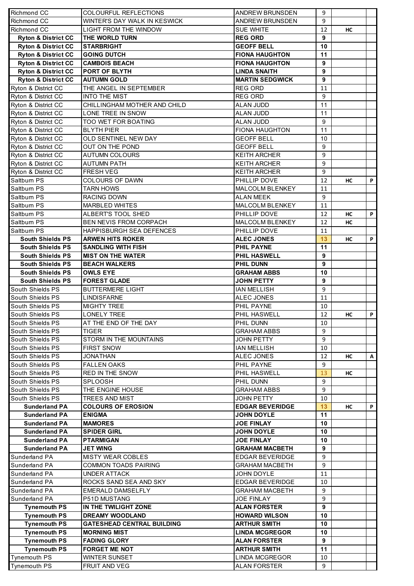|                                            | COLOURFUL REFLECTIONS                                | <b>ANDREW BRUNSDEN</b>                       | 9        |           |   |
|--------------------------------------------|------------------------------------------------------|----------------------------------------------|----------|-----------|---|
| Richmond CC                                | WINTER'S DAY WALK IN KESWICK                         | <b>ANDREW BRUNSDEN</b>                       | 9        |           |   |
| Richmond CC                                | LIGHT FROM THE WINDOW                                | <b>SUE WHITE</b>                             | 12       | <b>HC</b> |   |
| <b>Ryton &amp; District CC</b>             | THE WORLD TURN                                       | <b>REG ORD</b>                               | 9        |           |   |
| <b>Ryton &amp; District CC</b>             | <b>STARBRIGHT</b>                                    | <b>GEOFF BELL</b>                            | 10       |           |   |
| <b>Ryton &amp; District CC</b>             | <b>GOING DUTCH</b>                                   | <b>FIONA HAUGHTON</b>                        | 11       |           |   |
| <b>Ryton &amp; District CC</b>             | <b>CAMBOIS BEACH</b>                                 | <b>FIONA HAUGHTON</b>                        | 9        |           |   |
| <b>Ryton &amp; District CC</b>             | <b>PORT OF BLYTH</b>                                 | <b>LINDA SNAITH</b>                          | 9        |           |   |
| <b>Ryton &amp; District CC</b>             | <b>AUTUMN GOLD</b>                                   | <b>MARTIN SEDGWICK</b>                       | 9        |           |   |
| Ryton & District CC                        | THE ANGEL IN SEPTEMBER                               | <b>REG ORD</b>                               | 11       |           |   |
| Ryton & District CC                        | <b>INTO THE MIST</b>                                 | <b>REG ORD</b>                               | 9        |           |   |
| Ryton & District CC                        | CHILLINGHAM MOTHER AND CHILD                         | ALAN JUDD                                    | 11       |           |   |
| Ryton & District CC                        | LONE TREE IN SNOW                                    | ALAN JUDD                                    | 11       |           |   |
| Ryton & District CC                        | TOO WET FOR BOATING                                  | ALAN JUDD                                    | 9        |           |   |
| Ryton & District CC                        | <b>BLYTH PIER</b>                                    | <b>FIONA HAUGHTON</b>                        | 11       |           |   |
| Ryton & District CC                        | OLD SENTINEL NEW DAY                                 | <b>GEOFF BELL</b>                            | 10       |           |   |
| Ryton & District CC                        | <b>OUT ON THE POND</b>                               | <b>GEOFF BELL</b>                            | 9        |           |   |
| Ryton & District CC                        | <b>AUTUMN COLOURS</b>                                | <b>KEITH ARCHER</b>                          | 9        |           |   |
| Ryton & District CC                        | <b>AUTUMN PATH</b>                                   | <b>KEITH ARCHER</b>                          | 9        |           |   |
| Ryton & District CC                        | <b>FRESH VEG</b>                                     | <b>KEITH ARCHER</b>                          | 9        |           |   |
| Saltburn PS                                | COLOURS OF DAWN                                      | PHILLIP DOVE                                 | 12       | HC        | P |
| Saltburn PS                                | <b>TARN HOWS</b>                                     | MALCOLM BLENKEY                              | 11       |           |   |
| Saltburn PS                                | <b>RACING DOWN</b>                                   | ALAN MEEK                                    | 9        |           |   |
| Saltburn PS                                | <b>MARBLED WHITES</b>                                | MALCOLM BLENKEY                              | 11       |           |   |
| Saltburn PS                                | ALBERT'S TOOL SHED                                   | PHILLIP DOVE                                 | 12       | HC        | P |
| Saltburn PS<br>Saltburn PS                 | BEN NEVIS FROM CORPACH                               | MALCOLM BLENKEY                              | 12<br>11 | HC        |   |
| <b>South Shields PS</b>                    | HAPPISBURGH SEA DEFENCES                             | PHILLIP DOVE                                 |          |           |   |
| <b>South Shields PS</b>                    | <b>ARWEN HITS ROKER</b><br><b>SANDLING WITH FISH</b> | <b>ALEC JONES</b><br>PHIL PAYNE              | 13<br>11 | HC        | P |
| <b>South Shields PS</b>                    | <b>MIST ON THE WATER</b>                             | PHIL HASWELL                                 | 9        |           |   |
| <b>South Shields PS</b>                    | <b>BEACH WALKERS</b>                                 | <b>PHIL DUNN</b>                             | 9        |           |   |
| <b>South Shields PS</b>                    | <b>OWLS EYE</b>                                      | <b>GRAHAM ABBS</b>                           | 10       |           |   |
| <b>South Shields PS</b>                    | <b>FOREST GLADE</b>                                  | <b>JOHN PETTY</b>                            | 9        |           |   |
| South Shields PS                           | <b>BUTTERMERE LIGHT</b>                              | <b>IAN MELLISH</b>                           | 9        |           |   |
| South Shields PS                           | <b>LINDISFARNE</b>                                   | ALEC JONES                                   | 11       |           |   |
| South Shields PS                           | <b>MIGHTY TREE</b>                                   | PHIL PAYNE                                   |          |           |   |
|                                            |                                                      |                                              |          |           |   |
|                                            |                                                      |                                              | 10       |           |   |
| South Shields PS                           | <b>LONELY TREE</b>                                   | PHIL HASWELL                                 | 12       | НC        | P |
| South Shields PS<br>South Shields PS       | AT THE END OF THE DAY<br><b>TIGER</b>                | PHIL DUNN<br><b>GRAHAM ABBS</b>              | 10<br>9  |           |   |
| South Shields PS                           | STORM IN THE MOUNTAINS                               | <b>JOHN PETTY</b>                            | 9        |           |   |
| South Shields PS                           | <b>FIRST SNOW</b>                                    | IAN MELLISH                                  | 10       |           |   |
| South Shields PS                           | JONATHAN                                             | ALEC JONES                                   | 12       | HС        | A |
| South Shields PS                           | <b>FALLEN OAKS</b>                                   | PHIL PAYNE                                   | 9        |           |   |
| South Shields PS                           | <b>RED IN THE SNOW</b>                               | PHIL HASWELL                                 | 13       | HC        |   |
| South Shields PS                           | <b>SPLOOSH</b>                                       | PHIL DUNN                                    | 9        |           |   |
| South Shields PS                           | THE ENGINE HOUSE                                     | GRAHAM ABBS                                  | 9        |           |   |
| South Shields PS                           | TREES AND MIST                                       | <b>JOHN PETTY</b>                            | 10       |           |   |
| <b>Sunderland PA</b>                       | <b>COLOURS OF EROSION</b>                            | <b>EDGAR BEVERIDGE</b>                       | 13       | HC        | P |
| <b>Sunderland PA</b>                       | <b>ENIGMA</b>                                        | <b>JOHN DOYLE</b>                            | 11       |           |   |
| <b>Sunderland PA</b>                       | <b>MAMORES</b>                                       | <b>JOE FINLAY</b>                            | 10       |           |   |
| <b>Sunderland PA</b>                       | <b>SPIDER GIRL</b>                                   | <b>JOHN DOYLE</b>                            | 10       |           |   |
| <b>Sunderland PA</b>                       | <b>PTARMIGAN</b>                                     | <b>JOE FINLAY</b>                            | 10       |           |   |
| <b>Sunderland PA</b>                       | <b>JET WING</b>                                      | <b>GRAHAM MACBETH</b>                        | 9        |           |   |
| Sunderland PA                              | <b>MISTY WEAR COBLES</b>                             | <b>EDGAR BEVERIDGE</b>                       | 9        |           |   |
| Sunderland PA                              | <b>COMMON TOADS PAIRING</b>                          | <b>GRAHAM MACBETH</b>                        | 9        |           |   |
| Sunderland PA                              | <b>UNDER ATTACK</b>                                  | <b>JOHN DOYLE</b>                            | 11       |           |   |
| Sunderland PA                              | ROCKS SAND SEA AND SKY                               | <b>EDGAR BEVERIDGE</b>                       | 10       |           |   |
| Sunderland PA                              | EMERALD DAMSELFLY                                    | <b>GRAHAM MACBETH</b>                        | 9        |           |   |
| Sunderland PA                              | P51D MUSTANG                                         | <b>JOE FINLAY</b>                            | 9        |           |   |
| <b>Tynemouth PS</b>                        | IN THE TWILIGHT ZONE                                 | ALAN FORSTER                                 | 9        |           |   |
| <b>Tynemouth PS</b>                        | <b>DREAMY WOODLAND</b>                               | <b>HOWARD WILSON</b>                         | 10       |           |   |
| <b>Tynemouth PS</b>                        | <b>GATESHEAD CENTRAL BUILDING</b>                    | <b>ARTHUR SMITH</b>                          | 10       |           |   |
| <b>Tynemouth PS</b>                        | <b>MORNING MIST</b>                                  | <b>LINDA MCGREGOR</b>                        | 10       |           |   |
| <b>Tynemouth PS</b>                        | <b>FADING GLORY</b>                                  | <b>ALAN FORSTER</b>                          | 9        |           |   |
| <b>Tynemouth PS</b><br><b>Tynemouth PS</b> | <b>FORGET ME NOT</b><br><b>WINTER SUNSET</b>         | <b>ARTHUR SMITH</b><br><b>LINDA MCGREGOR</b> | 11<br>10 |           |   |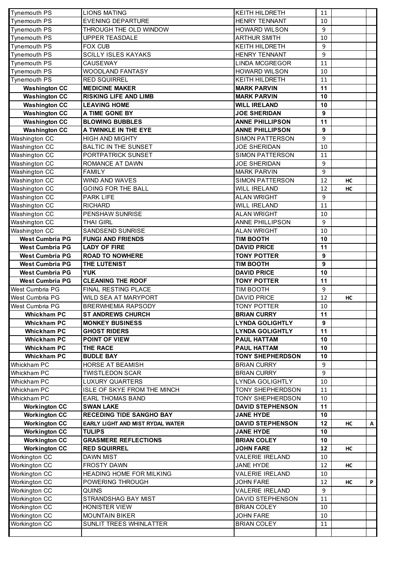| <b>Tynemouth PS</b>     | <b>LIONS MATING</b>                | <b>KEITH HILDRETH</b>   | 11 |    |              |
|-------------------------|------------------------------------|-------------------------|----|----|--------------|
| Tynemouth <sub>PS</sub> | <b>EVENING DEPARTURE</b>           | <b>HENRY TENNANT</b>    | 10 |    |              |
| Tynemouth PS            | THROUGH THE OLD WINDOW             | <b>HOWARD WILSON</b>    | 9  |    |              |
| <b>Tynemouth PS</b>     | <b>UPPER TEASDALE</b>              | <b>ARTHUR SMITH</b>     | 10 |    |              |
| <b>Tynemouth PS</b>     | FOX CUB                            | KEITH HILDRETH          | 9  |    |              |
| <b>Tynemouth PS</b>     | <b>SCILLY ISLES KAYAKS</b>         | <b>HENRY TENNANT</b>    | 9  |    |              |
| <b>Tynemouth PS</b>     | CAUSEWAY                           | <b>LINDA MCGREGOR</b>   | 11 |    |              |
| Tynemouth <sub>PS</sub> | WOODLAND FANTASY                   | <b>HOWARD WILSON</b>    | 10 |    |              |
| <b>Tynemouth PS</b>     | <b>RED SQUIRREL</b>                | KEITH HILDRETH          | 11 |    |              |
| <b>Washington CC</b>    | <b>MEDICINE MAKER</b>              | <b>MARK PARVIN</b>      | 11 |    |              |
| <b>Washington CC</b>    | <b>RISKING LIFE AND LIMB</b>       | <b>MARK PARVIN</b>      | 10 |    |              |
| <b>Washington CC</b>    | <b>LEAVING HOME</b>                | <b>WILL IRELAND</b>     | 10 |    |              |
| <b>Washington CC</b>    | A TIME GONE BY                     | <b>JOE SHERIDAN</b>     | 9  |    |              |
| <b>Washington CC</b>    | <b>BLOWING BUBBLES</b>             | <b>ANNE PHILLIPSON</b>  | 11 |    |              |
| <b>Washington CC</b>    | A TWINKLE IN THE EYE               | <b>ANNE PHILLIPSON</b>  | 9  |    |              |
| Washington CC           | <b>HIGH AND MIGHTY</b>             | <b>SIMON PATTERSON</b>  | 9  |    |              |
|                         | <b>BALTIC IN THE SUNSET</b>        | <b>JOE SHERIDAN</b>     | 10 |    |              |
| Washington CC           |                                    |                         |    |    |              |
| Washington CC           | PORTPATRICK SUNSET                 | <b>SIMON PATTERSON</b>  | 11 |    |              |
| Washington CC           | ROMANCE AT DAWN                    | <b>JOE SHERIDAN</b>     | 9  |    |              |
| Washington CC           | <b>FAMILY</b>                      | <b>MARK PARVIN</b>      | 9  |    |              |
| Washington CC           | WIND AND WAVES                     | <b>SIMON PATTERSON</b>  | 12 | HC |              |
| Washington CC           | <b>GOING FOR THE BALL</b>          | <b>WILL IRELAND</b>     | 12 | HC |              |
| Washington CC           | <b>PARK LIFE</b>                   | <b>ALAN WRIGHT</b>      | 9  |    |              |
| Washington CC           | <b>RICHARD</b>                     | <b>WILL IRELAND</b>     | 11 |    |              |
| Washington CC           | PENSHAW SUNRISE                    | <b>ALAN WRIGHT</b>      | 10 |    |              |
| Washington CC           | <b>THAI GIRL</b>                   | <b>ANNE PHILLIPSON</b>  | 9  |    |              |
| Washington CC           | <b>SANDSEND SUNRISE</b>            | <b>ALAN WRIGHT</b>      | 10 |    |              |
| <b>West Cumbria PG</b>  | <b>FUNGI AND FRIENDS</b>           | <b>TIM BOOTH</b>        | 10 |    |              |
| <b>West Cumbria PG</b>  | <b>LADY OF FIRE</b>                | <b>DAVID PRICE</b>      | 11 |    |              |
| <b>West Cumbria PG</b>  | <b>ROAD TO NOWHERE</b>             | <b>TONY POTTER</b>      | 9  |    |              |
| <b>West Cumbria PG</b>  | THE LUTENIST                       | <b>TIM BOOTH</b>        | 9  |    |              |
| <b>West Cumbria PG</b>  | <b>YUK</b>                         | <b>DAVID PRICE</b>      | 10 |    |              |
| <b>West Cumbria PG</b>  | <b>CLEANING THE ROOF</b>           | <b>TONY POTTER</b>      | 11 |    |              |
| West Cumbria PG         | FINAL RESTING PLACE                | <b>TIM BOOTH</b>        | 9  |    |              |
| West Cumbria PG         | WILD SEA AT MARYPORT               | <b>DAVID PRICE</b>      | 12 | НC |              |
| West Cumbria PG         | <b>BRERWHEMIA RAPSODY</b>          | <b>TONY POTTER</b>      | 10 |    |              |
| <b>Whickham PC</b>      | <b>ST ANDREWS CHURCH</b>           | <b>BRIAN CURRY</b>      | 11 |    |              |
| <b>Whickham PC</b>      | <b>MONKEY BUSINESS</b>             | <b>LYNDA GOLIGHTLY</b>  | 9  |    |              |
| <b>Whickham PC</b>      | <b>GHOST RIDERS</b>                | <b>LYNDA GOLIGHTLY</b>  | 11 |    |              |
| <b>Whickham PC</b>      | POINT OF VIEW                      | <b>PAUL HATTAM</b>      | 10 |    |              |
| <b>Whickham PC</b>      | THE RACE                           | <b>PAUL HATTAM</b>      | 10 |    |              |
| <b>Whickham PC</b>      | <b>BUDLE BAY</b>                   | <b>TONY SHEPHERDSON</b> | 10 |    |              |
| Whickham PC             | HORSE AT BEAMISH                   | <b>BRIAN CURRY</b>      | 9  |    |              |
| Whickham PC             | <b>TWISTLEDON SCAR</b>             | <b>BRIAN CURRY</b>      | 9  |    |              |
| Whickham PC             | <b>LUXURY QUARTERS</b>             | LYNDA GOLIGHTLY         | 10 |    |              |
| Whickham PC             | <b>ISLE OF SKYE FROM THE MINCH</b> | TONY SHEPHERDSON        | 11 |    |              |
| Whickham PC             | <b>EARL THOMAS BAND</b>            | <b>TONY SHEPHERDSON</b> | 10 |    |              |
| <b>Workington CC</b>    | <b>SWAN LAKE</b>                   | <b>DAVID STEPHENSON</b> | 11 |    |              |
| <b>Workington CC</b>    | <b>RECEDING TIDE SANGHO BAY</b>    | <b>JANE HYDE</b>        | 10 |    |              |
| <b>Workington CC</b>    | EARLY LIGHT AND MIST RYDAL WATER   | <b>DAVID STEPHENSON</b> | 12 | HC | $\mathsf{A}$ |
| <b>Workington CC</b>    | <b>TULIPS</b>                      | <b>JANE HYDE</b>        | 10 |    |              |
| <b>Workington CC</b>    | <b>GRASMERE REFLECTIONS</b>        | <b>BRIAN COLEY</b>      | 10 |    |              |
| <b>Workington CC</b>    | <b>RED SQUIRREL</b>                | <b>JOHN FARE</b>        | 12 | HC |              |
| Workington CC           | <b>DAWN MIST</b>                   | <b>VALERIE IRELAND</b>  | 10 |    |              |
| Workington CC           | <b>FROSTY DAWN</b>                 | <b>JANE HYDE</b>        | 12 | HC |              |
| Workington CC           | HEADING HOME FOR MILKING           | <b>VALERIE IRELAND</b>  | 10 |    |              |
|                         | POWERING THROUGH                   | <b>JOHN FARE</b>        | 12 |    |              |
| Workington CC           |                                    |                         |    | HC | P            |
| Workington CC           | <b>QUINS</b>                       | <b>VALERIE IRELAND</b>  | 9  |    |              |
| Workington CC           | STRANDSHAG BAY MIST                | DAVID STEPHENSON        | 11 |    |              |
| Workington CC           | <b>HONISTER VIEW</b>               | <b>BRIAN COLEY</b>      | 10 |    |              |
| Workington CC           |                                    |                         |    |    |              |
|                         | <b>MOUNTAIN BIKER</b>              | <b>JOHN FARE</b>        | 10 |    |              |
| Workington CC           | SUNLIT TREES WHINLATTER            | <b>BRIAN COLEY</b>      | 11 |    |              |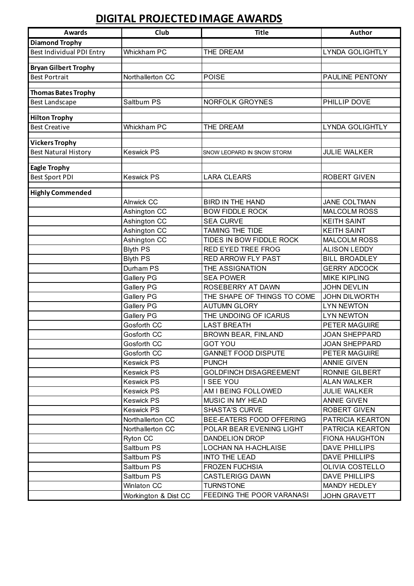# **DIGITAL PROJECTED IMAGE AWARDS**

| <b>Awards</b>                                       | Club                 | <b>Title</b>                  | Author                 |
|-----------------------------------------------------|----------------------|-------------------------------|------------------------|
| <b>Diamond Trophy</b>                               |                      |                               |                        |
| Best Individual PDI Entry                           | Whickham PC          | THE DREAM                     | <b>LYNDA GOLIGHTLY</b> |
|                                                     |                      |                               |                        |
| <b>Bryan Gilbert Trophy</b><br><b>Best Portrait</b> | Northallerton CC     |                               |                        |
|                                                     |                      | <b>POISE</b>                  | PAULINE PENTONY        |
| <b>Thomas Bates Trophy</b>                          |                      |                               |                        |
| <b>Best Landscape</b>                               | Saltburn PS          | <b>NORFOLK GROYNES</b>        | PHILLIP DOVE           |
| <b>Hilton Trophy</b>                                |                      |                               |                        |
| <b>Best Creative</b>                                | Whickham PC          | THE DREAM                     | <b>LYNDA GOLIGHTLY</b> |
|                                                     |                      |                               |                        |
| <b>Vickers Trophy</b>                               |                      |                               |                        |
| <b>Best Natural History</b>                         | <b>Keswick PS</b>    | SNOW LEOPARD IN SNOW STORM    | <b>JULIE WALKER</b>    |
| <b>Eagle Trophy</b>                                 |                      |                               |                        |
| <b>Best Sport PDI</b>                               | <b>Keswick PS</b>    | <b>LARA CLEARS</b>            | <b>ROBERT GIVEN</b>    |
|                                                     |                      |                               |                        |
| <b>Highly Commended</b>                             |                      |                               |                        |
|                                                     | <b>Alnwick CC</b>    | <b>BIRD IN THE HAND</b>       | <b>JANE COLTMAN</b>    |
|                                                     | Ashington CC         | <b>BOW FIDDLE ROCK</b>        | <b>MALCOLM ROSS</b>    |
|                                                     | Ashington CC         | <b>SEA CURVE</b>              | <b>KEITH SAINT</b>     |
|                                                     | Ashington CC         | TAMING THE TIDE               | <b>KEITH SAINT</b>     |
|                                                     | Ashington CC         | TIDES IN BOW FIDDLE ROCK      | <b>MALCOLM ROSS</b>    |
|                                                     | <b>Blyth PS</b>      | RED EYED TREE FROG            | <b>ALISON LEDDY</b>    |
|                                                     | <b>Blyth PS</b>      | <b>RED ARROW FLY PAST</b>     | <b>BILL BROADLEY</b>   |
|                                                     | Durham PS            | THE ASSIGNATION               | <b>GERRY ADCOCK</b>    |
|                                                     | <b>Gallery PG</b>    | <b>SEA POWER</b>              | <b>MIKE KIPLING</b>    |
|                                                     | <b>Gallery PG</b>    | ROSEBERRY AT DAWN             | <b>JOHN DEVLIN</b>     |
|                                                     | <b>Gallery PG</b>    | THE SHAPE OF THINGS TO COME   | <b>JOHN DILWORTH</b>   |
|                                                     | Gallery PG           | <b>AUTUMN GLORY</b>           | <b>LYN NEWTON</b>      |
|                                                     | Gallery PG           | THE UNDOING OF ICARUS         | <b>LYN NEWTON</b>      |
|                                                     | Gosforth CC          | <b>LAST BREATH</b>            | PETER MAGUIRE          |
|                                                     | Gosforth CC          | <b>BROWN BEAR, FINLAND</b>    | <b>JOAN SHEPPARD</b>   |
|                                                     | Gosforth CC          | <b>GOT YOU</b>                | <b>JOAN SHEPPARD</b>   |
|                                                     | Gosforth CC          | <b>GANNET FOOD DISPUTE</b>    | PETER MAGUIRE          |
|                                                     | <b>Keswick PS</b>    | <b>PUNCH</b>                  | <b>ANNIE GIVEN</b>     |
|                                                     | <b>Keswick PS</b>    | <b>GOLDFINCH DISAGREEMENT</b> | <b>RONNIE GILBERT</b>  |
|                                                     | <b>Keswick PS</b>    | I SEE YOU                     | <b>ALAN WALKER</b>     |
|                                                     | <b>Keswick PS</b>    | AM I BEING FOLLOWED           | <b>JULIE WALKER</b>    |
|                                                     | <b>Keswick PS</b>    | MUSIC IN MY HEAD              | <b>ANNIE GIVEN</b>     |
|                                                     | <b>Keswick PS</b>    | <b>SHASTA'S CURVE</b>         | ROBERT GIVEN           |
|                                                     | Northallerton CC     | BEE-EATERS FOOD OFFERING      | PATRICIA KEARTON       |
|                                                     | Northallerton CC     | POLAR BEAR EVENING LIGHT      | PATRICIA KEARTON       |
|                                                     | Ryton CC             | <b>DANDELION DROP</b>         | <b>FIONA HAUGHTON</b>  |
|                                                     | Saltburn PS          | <b>LOCHAN NA H-ACHLAISE</b>   | DAVE PHILLIPS          |
|                                                     | Saltburn PS          | <b>INTO THE LEAD</b>          | DAVE PHILLIPS          |
|                                                     | Saltburn PS          | <b>FROZEN FUCHSIA</b>         | <b>OLIVIA COSTELLO</b> |
|                                                     | Saltburn PS          | <b>CASTLERIGG DAWN</b>        | <b>DAVE PHILLIPS</b>   |
|                                                     | Winlaton CC          | <b>TURNSTONE</b>              | MANDY HEDLEY           |
|                                                     | Workington & Dist CC | FEEDING THE POOR VARANASI     | <b>JOHN GRAVETT</b>    |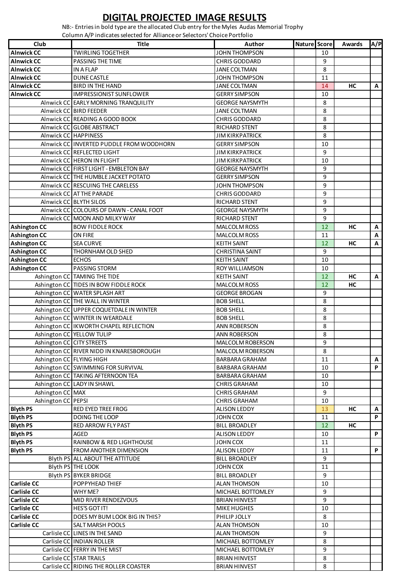## **DIGITAL PROJECTED IMAGE RESULTS**

NB:- Entries in bold type are the allocated Club entry for the Myles Audas Memorial Trophy Column A/P indicates selected for Alliance or Selectors' Choice Portfolio

|                           | CONTINUES INTO SERVED TO AMERICA OF SCIECIO STIDUCE FOR HOLD |                        |              |        |     |
|---------------------------|--------------------------------------------------------------|------------------------|--------------|--------|-----|
| Club                      | Title                                                        | Author                 | Nature Score | Awards | A/P |
| <b>Alnwick CC</b>         | <b>TWIRLING TOGETHER</b>                                     | <b>JOHN THOMPSON</b>   | 10           |        |     |
| <b>Alnwick CC</b>         | PASSING THE TIME                                             | <b>CHRIS GODDARD</b>   | 9            |        |     |
| <b>Alnwick CC</b>         | <b>IN A FLAP</b>                                             | <b>JANE COLTMAN</b>    | 8            |        |     |
| <b>Alnwick CC</b>         | <b>DUNE CASTLE</b>                                           | <b>JOHN THOMPSON</b>   | 11           |        |     |
| <b>Alnwick CC</b>         | <b>BIRD IN THE HAND</b>                                      | <b>JANE COLTMAN</b>    | 14           | HC     | Α   |
| <b>Alnwick CC</b>         | <b>IMPRESSIONIST SUNFLOWER</b>                               | <b>GERRY SIMPSON</b>   | 10           |        |     |
|                           | Alnwick CC EARLY MORNING TRANQUILITY                         | <b>GEORGE NAYSMYTH</b> | 8            |        |     |
|                           | Alnwick CC BIRD FEEDER                                       | <b>JANE COLTMAN</b>    | 8            |        |     |
|                           | Alnwick CC READING A GOOD BOOK                               | <b>CHRIS GODDARD</b>   | 8            |        |     |
|                           | Alnwick CC GLOBE ABSTRACT                                    | <b>RICHARD STENT</b>   | 8            |        |     |
|                           | Alnwick CC HAPPINESS                                         | <b>JIM KIRKPATRICK</b> | 8            |        |     |
|                           | Alnwick CC INVERTED PUDDLE FROM WOODHORN                     | <b>GERRY SIMPSON</b>   | 10           |        |     |
|                           | Alnwick CC REFLECTED LIGHT                                   | <b>JIM KIRKPATRICK</b> | 9            |        |     |
|                           | Alnwick CC HERON IN FLIGHT                                   | <b>JIM KIRKPATRICK</b> | 10           |        |     |
|                           | Alnwick CC FIRST LIGHT - EMBLETON BAY                        | <b>GEORGE NAYSMYTH</b> | 9            |        |     |
|                           | Alnwick CC THE HUMBLE JACKET POTATO                          | <b>GERRY SIMPSON</b>   | 9            |        |     |
|                           | Alnwick CC RESCUING THE CARELESS                             | <b>JOHN THOMPSON</b>   | 9            |        |     |
|                           | Alnwick CC AT THE PARADE                                     | <b>CHRIS GODDARD</b>   | 9            |        |     |
|                           | Alnwick CC BLYTH SILOS                                       | <b>RICHARD STENT</b>   | 9            |        |     |
|                           | Alnwick CC COLOURS OF DAWN - CANAL FOOT                      | <b>GEORGE NAYSMYTH</b> | 9            |        |     |
|                           | Alnwick CC MOON AND MILKY WAY                                | <b>RICHARD STENT</b>   | 9            |        |     |
|                           |                                                              |                        |              |        |     |
| <b>Ashington CC</b>       | <b>BOW FIDDLE ROCK</b>                                       | <b>MALCOLM ROSS</b>    | 12           | HС     | Α   |
| <b>Ashington CC</b>       | ON FIRE                                                      | <b>MALCOLM ROSS</b>    | 11           |        | Α   |
| <b>Ashington CC</b>       | <b>SEA CURVE</b>                                             | <b>KEITH SAINT</b>     | 12           | НC     | A   |
| <b>Ashington CC</b>       | THORNHAM OLD SHED                                            | <b>CHRISTINA SAINT</b> | 9            |        |     |
| <b>Ashington CC</b>       | <b>ECHOS</b>                                                 | <b>KEITH SAINT</b>     | 10           |        |     |
| <b>Ashington CC</b>       | PASSING STORM                                                | ROY WILLIAMSON         | 10           |        |     |
|                           | Ashington CC TAMING THE TIDE                                 | <b>KEITH SAINT</b>     | 12           | HC     | A   |
|                           | Ashington CC TIDES IN BOW FIDDLE ROCK                        | <b>MALCOLM ROSS</b>    | 12           | HC     |     |
|                           | Ashington CC WATER SPLASH ART                                | <b>GEORGE BROGAN</b>   | 9            |        |     |
|                           | Ashington CC THE WALL IN WINTER                              | <b>BOB SHELL</b>       | 8            |        |     |
|                           | Ashington CC UPPER COQUETDALE IN WINTER                      | <b>BOB SHELL</b>       | 8            |        |     |
|                           | Ashington CC WINTER IN WEARDALE                              | <b>BOB SHELL</b>       | 8            |        |     |
|                           | Ashington CC IKWORTH CHAPEL REFLECTION                       | <b>ANN ROBERSON</b>    | 8            |        |     |
|                           | Ashington CC YELLOW TULIP                                    | <b>ANN ROBERSON</b>    | 8            |        |     |
| Ashington CC CITY STREETS |                                                              | MALCOLM ROBERSON       | 9            |        |     |
|                           | Ashington CC RIVER NIDD IN KNARESBOROUGH                     | MALCOLM ROBERSON       | 8            |        |     |
| Ashington CC FLYING HIGH  |                                                              | <b>BARBARA GRAHAM</b>  | 11           |        | A   |
|                           | Ashington CC SWIMMING FOR SURVIVAL                           | <b>BARBARA GRAHAM</b>  | 10           |        | P   |
|                           | Ashington CC TAKING AFTERNOON TEA                            | <b>BARBARA GRAHAM</b>  | 10           |        |     |
|                           | Ashington CC LADY IN SHAWL                                   | <b>CHRIS GRAHAM</b>    | 10           |        |     |
| Ashington CC MAX          |                                                              | <b>CHRIS GRAHAM</b>    | 9            |        |     |
| Ashington CC PEPSI        |                                                              | <b>CHRIS GRAHAM</b>    | 10           |        |     |
| <b>Blyth PS</b>           | <b>RED EYED TREE FROG</b>                                    | <b>ALISON LEDDY</b>    | 13           | HC     | A   |
| <b>Blyth PS</b>           | DOING THE LOOP                                               | JOHN COX               | 11           |        | P   |
| <b>Blyth PS</b>           | RED ARROW FLY PAST                                           | <b>BILL BROADLEY</b>   | 12           | HC     |     |
| <b>Blyth PS</b>           | AGED                                                         | <b>ALISON LEDDY</b>    | 10           |        | P   |
| <b>Blyth PS</b>           | <b>RAINBOW &amp; RED LIGHTHOUSE</b>                          | JOHN COX               | 11           |        |     |
|                           |                                                              |                        |              |        |     |
| <b>Blyth PS</b>           | FROM ANOTHER DIMENSION                                       | <b>ALISON LEDDY</b>    | 11           |        | P   |
|                           | Blyth PS ALL ABOUT THE ATTITUDE                              | <b>BILL BROADLEY</b>   | 9            |        |     |
|                           | Blyth PS THE LOOK                                            | JOHN COX               | 11           |        |     |
|                           | Blyth PS BYKER BRIDGE                                        | <b>BILL BROADLEY</b>   | 9            |        |     |
| <b>Carlisle CC</b>        | POPPYHEAD THIEF                                              | <b>ALAN THOMSON</b>    | 10           |        |     |
| <b>Carlisle CC</b>        | WHY ME?                                                      | MICHAEL BOTTOMLEY      | 9            |        |     |
| <b>Carlisle CC</b>        | MID RIVER RENDEZVOUS                                         | <b>BRIAN HINVEST</b>   | 9            |        |     |
| <b>Carlisle CC</b>        | <b>HES'S GOT IT!</b>                                         | MIKE HUGHES            | 10           |        |     |
| <b>Carlisle CC</b>        | DOES MY BUM LOOK BIG IN THIS?                                | PHILIP JOLLY           | 8            |        |     |
| <b>Carlisle CC</b>        | SALT MARSH POOLS                                             | <b>ALAN THOMSON</b>    | 10           |        |     |
|                           | Carlisle CC LINES IN THE SAND                                | <b>ALAN THOMSON</b>    | 9            |        |     |
|                           | Carlisle CC INDIAN ROLLER                                    | MICHAEL BOTTOMLEY      | 8            |        |     |
|                           | Carlisle CC FERRY IN THE MIST                                | MICHAEL BOTTOMLEY      | 9            |        |     |
|                           | Carlisle CC STAR TRAILS                                      | <b>BRIAN HINVEST</b>   | 8            |        |     |
|                           | Carlisle CC RIDING THE ROLLER COASTER                        | <b>BRIAN HINVEST</b>   | 8            |        |     |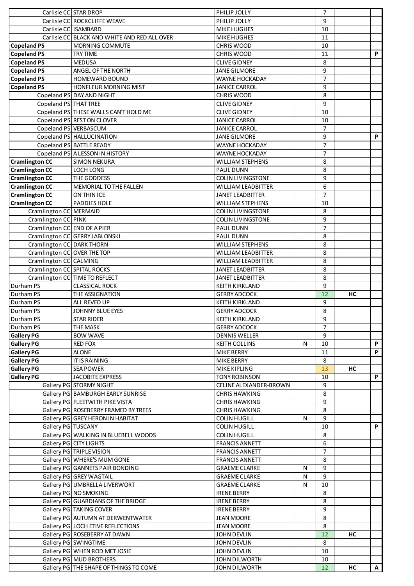|                              | Carlisle CC STAR DROP                                               | PHILIP JOLLY                                   |   | 7                   |    |              |
|------------------------------|---------------------------------------------------------------------|------------------------------------------------|---|---------------------|----|--------------|
|                              | Carlisle CC ROCKCLIFFE WEAVE                                        | PHILIP JOLLY                                   |   | 9                   |    |              |
|                              | Carlisle CC ISAMBARD                                                | <b>MIKE HUGHES</b>                             |   | 10                  |    |              |
|                              | Carlisle CC BLACK AND WHITE AND RED ALL OVER                        | <b>MIKE HUGHES</b>                             |   | 11                  |    |              |
| <b>Copeland PS</b>           | MORNING COMMUTE                                                     | CHRIS WOOD                                     |   | 10                  |    |              |
| <b>Copeland PS</b>           | <b>TRY TIME</b>                                                     | CHRIS WOOD                                     |   | 11                  |    | P            |
| <b>Copeland PS</b>           | <b>MEDUSA</b>                                                       | <b>CLIVE GIDNEY</b>                            |   | 8                   |    |              |
| <b>Copeland PS</b>           | ANGEL OF THE NORTH                                                  | JANE GILMORE                                   |   | 9                   |    |              |
| <b>Copeland PS</b>           | <b>HOMEWARD BOUND</b>                                               | WAYNE HOCKADAY                                 |   | $\overline{7}$      |    |              |
| <b>Copeland PS</b>           | HONFLEUR MORNING MIST                                               | <b>JANICE CARROL</b>                           |   | 9                   |    |              |
|                              | Copeland PS DAY AND NIGHT                                           | <b>CHRIS WOOD</b>                              |   | 8                   |    |              |
| Copeland PS THAT TREE        |                                                                     | <b>CLIVE GIDNEY</b>                            |   | 9                   |    |              |
|                              | Copeland PS THESE WALLS CAN'T HOLD ME<br>Copeland PS REST ON CLOVER | <b>CLIVE GIDNEY</b><br><b>JANICE CARROL</b>    |   | 10<br>10            |    |              |
|                              | Copeland PS VERBASCUM                                               | <b>JANICE CARROL</b>                           |   | $\overline{7}$      |    |              |
|                              | Copeland PS HALLUCINATION                                           | <b>JANE GILMORE</b>                            |   | 9                   |    | P.           |
|                              | Copeland PS BATTLE READY                                            | <b>WAYNE HOCKADAY</b>                          |   | $\overline{7}$      |    |              |
|                              | Copeland PS A LESSON IN HISTORY                                     | WAYNE HOCKADAY                                 |   | $\overline{7}$      |    |              |
| <b>Cramlington CC</b>        | <b>SIMON NEKURA</b>                                                 | <b>WILLIAM STEPHENS</b>                        |   | 8                   |    |              |
| <b>Cramlington CC</b>        | <b>LOCH LONG</b>                                                    | <b>PAUL DUNN</b>                               |   | 8                   |    |              |
| <b>Cramlington CC</b>        | THE GODDESS                                                         | <b>COLIN LIVINGSTONE</b>                       |   | 9                   |    |              |
| <b>Cramlington CC</b>        | MEMORIAL TO THE FALLEN                                              | <b>WILLIAM LEADBITTER</b>                      |   | 6                   |    |              |
| <b>Cramlington CC</b>        | ON THIN ICE                                                         | <b>JANET LEADBITTER</b>                        |   | $\overline{7}$      |    |              |
| <b>Cramlington CC</b>        | PADDIES HOLE                                                        | <b>WILLIAM STEPHENS</b>                        |   | 10                  |    |              |
| Cramlington CC MERMAID       |                                                                     | <b>COLIN LIVINGSTONE</b>                       |   | 8                   |    |              |
| Cramlington CC PINK          |                                                                     | <b>COLIN LIVINGSTONE</b>                       |   | 9                   |    |              |
| Cramlington CC END OF A PIER |                                                                     | PAUL DUNN                                      |   | $\overline{7}$      |    |              |
|                              | Cramlington CC GERRY JABLONSKI                                      | PAUL DUNN                                      |   | 8                   |    |              |
| Cramlington CC DARK THORN    |                                                                     | WILLIAM STEPHENS                               |   | 8                   |    |              |
| Cramlington CC OVER THE TOP  |                                                                     | <b>WILLIAM LEADBITTER</b>                      |   | 8                   |    |              |
| Cramlington CC CALMING       |                                                                     | <b>WILLIAM LEADBITTER</b>                      |   | 8                   |    |              |
| Cramlington CC SPITAL ROCKS  |                                                                     | JANET LEADBITTER                               |   | 8                   |    |              |
|                              | Cramlington CC TIME TO REFLECT                                      | JANET LEADBITTER                               |   | 8                   |    |              |
| Durham PS                    | <b>CLASSICAL ROCK</b>                                               | KEITH KIRKLAND                                 |   | 9                   |    |              |
|                              |                                                                     |                                                |   |                     |    |              |
| Durham PS                    | THE ASSIGNATION                                                     | <b>GERRY ADCOCK</b>                            |   | 12                  | HC |              |
| Durham PS                    | ALL REVED UP                                                        | <b>KEITH KIRKLAND</b>                          |   | 9                   |    |              |
| Durham PS                    | JOHNNY BLUE EYES                                                    | <b>GERRY ADCOCK</b>                            |   | 8                   |    |              |
| Durham PS                    | <b>STAR RIDER</b>                                                   | <b>KEITH KIRKLAND</b>                          |   | $\mathsf{q}$        |    |              |
| Durham PS                    | THE MASK                                                            | <b>GERRY ADCOCK</b>                            |   | $\overline{7}$      |    |              |
| Gallery PG                   | <b>BOW WAVE</b>                                                     | <b>DENNIS WELLER</b>                           |   | 9                   |    |              |
| <b>Gallery PG</b>            | <b>RED FOX</b>                                                      | <b>KEITH COLLINS</b>                           | N | 10                  |    | P.           |
| <b>Gallery PG</b>            | <b>ALONE</b>                                                        | MIKE BERRY                                     |   | 11                  |    | P.           |
| <b>Gallery PG</b>            | <b>IT IS RAINING</b>                                                | MIKE BERRY                                     |   | 8                   |    |              |
| <b>Gallery PG</b>            | <b>SEA POWER</b>                                                    | MIKE KIPLING                                   |   | 13                  | HC |              |
| <b>Gallery PG</b>            | <b>JACOBITE EXPRESS</b>                                             | <b>TONY ROBINSON</b>                           |   | 10                  |    | P.           |
|                              | Gallery PG STORMY NIGHT                                             | CELINE ALEXANDER-BROWN                         |   | 9                   |    |              |
|                              | Gallery PG   BAMBURGH EARLY SUNRISE                                 | <b>CHRIS HAWKING</b>                           |   | 8                   |    |              |
|                              | Gallery PG FLEETWITH PIKE VISTA                                     | <b>CHRIS HAWKING</b>                           |   | 9                   |    |              |
|                              | Gallery PG ROSEBERRY FRAMED BY TREES                                | CHRIS HAWKING                                  |   | 8                   |    |              |
|                              | Gallery PG GREY HERON IN HABITAT                                    | <b>COLIN HUGILL</b>                            | N | 9                   |    |              |
| Gallery PG TUSCANY           |                                                                     | <b>COLIN HUGILL</b>                            |   | 10                  |    | P.           |
|                              | Gallery PG WALKING IN BLUEBELL WOODS                                | <b>COLIN HUGILL</b>                            |   | 8                   |    |              |
|                              | Gallery PG CITY LIGHTS                                              | <b>FRANCIS ANNETT</b>                          |   | 6                   |    |              |
|                              | Gallery PG TRIPLE VISION                                            | <b>FRANCIS ANNETT</b><br><b>FRANCIS ANNETT</b> |   | $\overline{7}$<br>8 |    |              |
|                              | Gallery PG WHERE'S MUM GONE<br>Gallery PG GANNETS PAIR BONDING      | <b>GRAEME CLARKE</b>                           | N | 9                   |    |              |
|                              | Gallery PG GREY WAGTAIL                                             | <b>GRAEME CLARKE</b>                           | N | 9                   |    |              |
|                              | Gallery PG UMBRELLA LIVERWORT                                       | <b>GRAEME CLARKE</b>                           | N | 10                  |    |              |
|                              | Gallery PG NO SMOKING                                               | <b>IRENE BERRY</b>                             |   | 8                   |    |              |
|                              | Gallery PG GUARDIANS OF THE BRIDGE                                  | <b>IRENE BERRY</b>                             |   | 8                   |    |              |
|                              | Gallery PG TAKING COVER                                             | <b>IRENE BERRY</b>                             |   | 9                   |    |              |
|                              | Gallery PG AUTUMN AT DERWENTWATER                                   | <b>JEAN MOORE</b>                              |   | 8                   |    |              |
|                              | Gallery PG LOCH ETIVE REFLECTIONS                                   | JEAN MOORE                                     |   | 8                   |    |              |
|                              | Gallery PG ROSEBERRY AT DAWN                                        | JOHN DEVLIN                                    |   | 12                  | НC |              |
|                              | Gallery PG SWINGTIME                                                | JOHN DEVLIN                                    |   | 8                   |    |              |
|                              | Gallery PG WHEN ROD MET JOSIE                                       | JOHN DEVLIN                                    |   | 10                  |    |              |
|                              | Gallery PG MUD BROTHERS<br>Gallery PG THE SHAPE OF THINGS TO COME   | JOHN DILWORTH<br>JOHN DILWORTH                 |   | 10<br>12            | HC | $\mathsf{A}$ |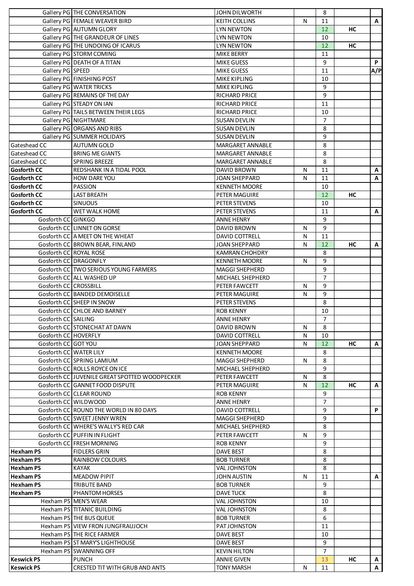|                                          | Gallery PG THE CONVERSATION                                | <b>JOHN DILWORTH</b>              |           | 8                   |    |              |
|------------------------------------------|------------------------------------------------------------|-----------------------------------|-----------|---------------------|----|--------------|
|                                          | Gallery PG FEMALE WEAVER BIRD                              | <b>KEITH COLLINS</b>              | N         | 11                  |    | $\mathsf{A}$ |
|                                          | Gallery PG AUTUMN GLORY                                    | <b>LYN NEWTON</b>                 |           | 12                  | HC |              |
|                                          | Gallery PG THE GRANDEUR OF LINES                           | <b>LYN NEWTON</b>                 |           | 10                  |    |              |
|                                          | Gallery PG THE UNDOING OF ICARUS                           | <b>LYN NEWTON</b>                 |           | 12                  | HC |              |
|                                          | Gallery PG STORM COMING                                    | <b>MIKE BERRY</b>                 |           | 11                  |    |              |
|                                          | Gallery PG DEATH OF A TITAN                                | <b>MIKE GUESS</b>                 |           | 9                   |    | P.           |
| Gallery PG SPEED                         |                                                            | <b>MIKE GUESS</b>                 |           | 11                  |    | A/P          |
|                                          | Gallery PG FINISHING POST                                  | <b>MIKE KIPLING</b>               |           | 10                  |    |              |
|                                          | Gallery PG WATER TRICKS                                    | <b>MIKE KIPLING</b>               |           | 9                   |    |              |
|                                          | Gallery PG REMAINS OF THE DAY                              | <b>RICHARD PRICE</b>              |           | 9                   |    |              |
|                                          | Gallery PG STEADY ON IAN                                   | <b>RICHARD PRICE</b>              |           | 11                  |    |              |
|                                          | Gallery PG TAILS BETWEEN THEIR LEGS                        | <b>RICHARD PRICE</b>              |           | 10                  |    |              |
|                                          | Gallery PG NIGHTMARE                                       | <b>SUSAN DEVLIN</b>               |           | $\overline{7}$      |    |              |
|                                          | Gallery PG ORGANS AND RIBS                                 | SUSAN DEVLIN                      |           | 8                   |    |              |
|                                          | Gallery PG SUMMER HOLIDAYS                                 | <b>SUSAN DEVLIN</b>               |           | 9                   |    |              |
| Gateshead CC                             | <b>AUTUMN GOLD</b>                                         | MARGARET ANNABLE                  |           | 8                   |    |              |
| Gateshead CC                             | <b>BRING ME GIANTS</b>                                     | MARGARET ANNABLE                  |           | 8                   |    |              |
| Gateshead CC                             | <b>SPRING BREEZE</b>                                       | MARGARET ANNABLE                  |           | 8                   |    |              |
| <b>Gosforth CC</b>                       | REDSHANK IN A TIDAL POOL                                   | <b>DAVID BROWN</b>                | N         | 11                  |    | A            |
| <b>Gosforth CC</b><br><b>Gosforth CC</b> | HOW DARE YOU                                               | <b>JOAN SHEPPARD</b>              | N         | 11                  |    | A            |
|                                          | PASSION                                                    | <b>KENNETH MOORE</b>              |           | 10                  |    |              |
| <b>Gosforth CC</b>                       | <b>LAST BREATH</b>                                         | PETER MAGUIRE                     |           | 12                  | HC |              |
| <b>Gosforth CC</b>                       | <b>SINUOUS</b>                                             | PETER STEVENS                     |           | 10                  |    |              |
| <b>Gosforth CC</b>                       | WET WALK HOME                                              | PETER STEVENS                     |           | 11                  |    | A            |
| Gosforth CC GINKGO                       |                                                            | <b>ANNE HENRY</b>                 |           | 9                   |    |              |
|                                          | Gosforth CC LINNET ON GORSE                                | <b>DAVID BROWN</b>                | ${\sf N}$ | 9                   |    |              |
|                                          | Gosforth CC A MEET ON THE WHEAT                            | <b>DAVID COTTRELL</b>             | N         | 11                  |    |              |
|                                          | Gosforth CC BROWN BEAR, FINLAND                            | JOAN SHEPPARD                     | N         | 12                  | HC | A            |
|                                          | Gosforth CC ROYAL ROSE                                     | <b>KAMRAN CHOHDRY</b>             |           | 8                   |    |              |
|                                          | Gosforth CC DRAGONFLY                                      | <b>KENNETH MOORE</b>              | N         | 9                   |    |              |
|                                          | Gosforth CC TWO SERIOUS YOUNG FARMERS                      | MAGGI SHEPHERD                    |           | 9                   |    |              |
| Gosforth CC CROSSBILL                    | Gosforth CC ALL WASHED UP                                  | MICHAEL SHEPHERD<br>PETER FAWCETT | N         | $\overline{7}$<br>9 |    |              |
|                                          |                                                            | PETER MAGUIRE                     | N         | 9                   |    |              |
|                                          | Gosforth CC BANDED DEMOISELLE<br>Gosforth CC SHEEP IN SNOW | PETER STEVENS                     |           | 8                   |    |              |
|                                          | Gosforth CC CHLOE AND BARNEY                               | <b>ROB KENNY</b>                  |           | 10                  |    |              |
| Gosforth CC SAILING                      |                                                            | <b>ANNE HENRY</b>                 |           | $\overline{7}$      |    |              |
|                                          | Gosforth CC STONECHAT AT DAWN                              | DAVID BROWN                       | N         | 8                   |    |              |
| Gosforth CC HOVERFLY                     |                                                            | <b>DAVID COTTRELL</b>             | N         | 10                  |    |              |
| Gosforth CC GOT YOU                      |                                                            | <b>JOAN SHEPPARD</b>              | N         | 12                  | HС | $\mathsf{A}$ |
|                                          | Gosforth CC WATER LILY                                     | <b>KENNETH MOORE</b>              |           | 8                   |    |              |
|                                          | Gosforth CC SPRING LAMIUM                                  | <b>MAGGI SHEPHERD</b>             | N         | 8                   |    |              |
|                                          | Gosforth CC ROLLS ROYCE ON ICE                             | <b>MICHAEL SHEPHERD</b>           |           | 9                   |    |              |
|                                          | Gosforth CC JUVENILE GREAT SPOTTED WOODPECKER              | PETER FAWCETT                     | N         | 8                   |    |              |
|                                          | Gosforth CC GANNET FOOD DISPUTE                            | PETER MAGUIRE                     | N         | 12                  | HС | A            |
|                                          | Gosforth CC CLEAR ROUND                                    | ROB KENNY                         |           | 9                   |    |              |
|                                          | Gosforth CC WILDWOOD                                       | <b>ANNE HENRY</b>                 |           | $\overline{7}$      |    |              |
|                                          | Gosforth CC ROUND THE WORLD IN 80 DAYS                     | <b>DAVID COTTRELL</b>             |           | 9                   |    | P.           |
|                                          | Gosforth CC SWEET JENNY WREN                               | <b>MAGGI SHEPHERD</b>             |           | 9                   |    |              |
|                                          | Gosforth CC WHERE'S WALLY'S RED CAR                        | MICHAEL SHEPHERD                  |           | 8                   |    |              |
|                                          | Gosforth CC   PUFFIN IN FLIGHT                             | PETER FAWCETT                     | N         | 9                   |    |              |
|                                          | Gosforth CC FRESH MORNING                                  | ROB KENNY                         |           | 9                   |    |              |
| <b>Hexham PS</b>                         | <b>FIDLERS GRIN</b>                                        | DAVE BEST                         |           | 8                   |    |              |
| <b>Hexham PS</b>                         | RAINBOW COLOURS                                            | BOB TURNER                        |           | 8                   |    |              |
| <b>Hexham PS</b>                         | KAYAK                                                      | VAL JOHNSTON                      |           | 8                   |    |              |
| <b>Hexham PS</b>                         | <b>MEADOW PIPIT</b>                                        | JOHN AUSTIN                       | N         | 11                  |    | A            |
| <b>Hexham PS</b>                         | TRIBUTE BAND                                               | <b>BOB TURNER</b>                 |           | 9                   |    |              |
| <b>Hexham PS</b>                         | PHANTOM HORSES                                             | <b>DAVE TUCK</b>                  |           | 8                   |    |              |
|                                          | Hexham PS MEN'S WEAR                                       | VAL JOHNSTON                      |           | 10                  |    |              |
|                                          | Hexham PS TITANIC BUILDING                                 | VAL JOHNSTON                      |           | 8                   |    |              |
|                                          | Hexham PS THE BUS QUEUE                                    | <b>BOB TURNER</b>                 |           | 6                   |    |              |
|                                          | Hexham PS VIEW FRON JUNGFRAUJOCH                           | <b>PATJOHNSTON</b>                |           | 11                  |    |              |
|                                          | Hexham PS THE RICE FARMER                                  | <b>DAVE BEST</b>                  |           | 10                  |    |              |
|                                          | Hexham PS ST MARY'S LIGHTHOUSE                             | <b>DAVE BEST</b>                  |           | 9                   |    |              |
|                                          | Hexham PS SWANNING OFF                                     | <b>KEVIN HILTON</b>               |           | $\overline{7}$      |    |              |
| <b>Keswick PS</b>                        | <b>PUNCH</b>                                               | <b>ANNIE GIVEN</b>                |           | 13                  | HC | A            |
| <b>Keswick PS</b>                        | CRESTED TIT WITH GRUB AND ANTS                             | <b>TONY MARSH</b>                 | N         | 11                  |    | A            |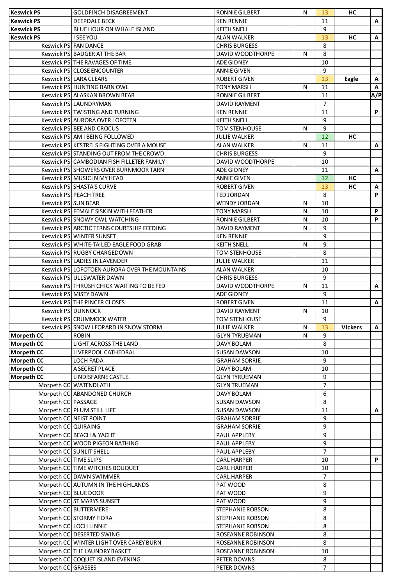| <b>DEEPDALE BECK</b><br><b>KEN RENNIE</b><br>11<br>A<br>9<br><b>BLUE HOUR ON WHALE ISLAND</b><br><b>KEITH SNELL</b><br><b>Keswick PS</b><br>13<br><b>I SEE YOU</b><br><b>ALAN WALKER</b><br>НC<br>A<br>Keswick PS FAN DANCE<br>8<br><b>CHRIS BURGESS</b><br>8<br>Keswick PS BADGER AT THE BAR<br>DAVID WOODTHORPE<br>N<br>Keswick PS THE RAVAGES OF TIME<br>10<br><b>ADE GIDNEY</b><br>Keswick PS CLOSE ENCOUNTER<br>9<br><b>ANNIE GIVEN</b><br>Keswick PS LARA CLEARS<br>13<br><b>ROBERT GIVEN</b><br>Eagle<br>A<br>Keswick PS HUNTING BARN OWL<br><b>TONY MARSH</b><br>N<br>11<br>A<br>Keswick PS ALASKAN BROWN BEAR<br>A/P<br><b>RONNIE GILBERT</b><br>11<br>$\overline{7}$<br>Keswick PS LAUNDRYMAN<br><b>DAVID RAYMENT</b><br>Keswick PS TWISTING AND TURNING<br>P<br><b>KEN RENNIE</b><br>11<br>Keswick PS AURORA OVER LOFOTEN<br>9<br><b>KEITH SNELL</b><br>Keswick PS BEE AND CROCUS<br>9<br><b>TOM STENHOUSE</b><br>N<br>Keswick PS AM I BEING FOLLOWED<br>12<br><b>JULIE WALKER</b><br>НC<br>Keswick PS KESTRELS FIGHTING OVER A MOUSE<br><b>ALAN WALKER</b><br>11<br>N<br>A<br>9<br>Keswick PS STANDING OUT FROM THE CROWD<br><b>CHRIS BURGESS</b><br>Keswick PS CAMBODIAN FISH FILLETER FAMILY<br><b>DAVID WOODTHORPE</b><br>10<br>Keswick PS SHOWERS OVER BURNMOOR TARN<br><b>ADE GIDNEY</b><br>11<br>Α<br>12<br>Keswick PS MUSIC IN MY HEAD<br>HC<br><b>ANNIE GIVEN</b><br>Keswick PS SHASTA'S CURVE<br>13<br>НC<br>ROBERT GIVEN<br>A<br>Keswick PS PEACH TREE<br>8<br>P<br>TED JORDAN<br>Keswick PS SUN BEAR<br>10<br>WENDY JORDAN<br>N<br>P<br>Keswick PS FEMALE SISKIN WITH FEATHER<br><b>TONY MARSH</b><br>N<br>10<br>Keswick PS SNOWY OWL WATCHING<br>P<br><b>RONNIE GILBERT</b><br>N<br>10<br>Keswick PS ARCTIC TERNS COURTSHIP FEEDING<br>9<br><b>DAVID RAYMENT</b><br>N<br>9<br>Keswick PS WINTER SUNSET<br><b>KEN RENNIE</b><br>Keswick PS WHITE-TAILED EAGLE FOOD GRAB<br>9<br><b>KEITH SNELL</b><br>N<br>Keswick PS RUGBY CHARGEDOWN<br>8<br><b>TOM STENHOUSE</b><br>Keswick PS LADIES IN LAVENDER<br><b>JULIE WALKER</b><br>11<br>Keswick PS LOFOTOEN AURORA OVER THE MOUNTAINS<br><b>ALAN WALKER</b><br>10<br>Keswick PS ULLSWATER DAWN<br>9<br><b>CHRIS BURGESS</b><br>Keswick PS THRUSH CHICK WAITING TO BE FED<br>DAVID WOODTHORPE<br>N<br>11<br>A<br>Keswick PS MISTY DAWN<br>9<br><b>ADE GIDNEY</b><br>Keswick PS THE PINCER CLOSES<br><b>ROBERT GIVEN</b><br>11<br>A<br><b>Keswick PS DUNNOCK</b><br><b>DAVID RAYMENT</b><br>N<br>10<br>Keswick PS CRUMMOCK WATER<br>$\mathbf{q}$<br><b>TOM STENHOUSE</b><br>Keswick PS SNOW LEOPARD IN SNOW STORM<br>13<br><b>Vickers</b><br><b>JULIE WALKER</b><br>N<br>$\mathsf{A}$<br>N<br>9<br><b>Morpeth CC</b><br><b>ROBIN</b><br><b>GLYN TYRUEMAN</b><br>8<br>LIGHT ACROSS THE LAND<br>DAVY BOLAM<br><b>Morpeth CC</b><br><b>Morpeth CC</b><br><b>SUSAN DAWSON</b><br>10<br>LIVERPOOL CATHEDRAL<br><b>Morpeth CC</b><br>9<br>LOCH FADA<br><b>GRAHAM SORRIE</b><br><b>Morpeth CC</b><br>A SECRET PLACE<br>DAVY BOLAM<br>10<br><b>Morpeth CC</b><br>LINDISFARNE CASTLE.<br><b>GLYN TYRUEMAN</b><br>9<br>7<br>Morpeth CC WATENDLATH<br><b>GLYN TRUEMAN</b><br>Morpeth CC ABANDONED CHURCH<br>6<br>DAVY BOLAM<br>Morpeth CC PASSAGE<br>8<br><b>SUSAN DAWSON</b><br>Morpeth CC PLUM STILL LIFE<br><b>SUSAN DAWSON</b><br>11<br>$\mathsf{A}$<br>Morpeth CC NEIST POINT<br>9<br><b>GRAHAM SORRIE</b><br>9<br>Morpeth CC QUIRAING<br><b>GRAHAM SORRIE</b><br>Morpeth CC BEACH & YACHT<br>9<br>PAUL APPLEBY<br>9<br>Morpeth CC WOOD PIGEON BATHING<br>PAUL APPLEBY<br>$\overline{7}$<br>Morpeth CC SUNLIT SHELL<br>PAUL APPLEBY<br>P<br>Morpeth CC TIME SLIPS<br>10<br><b>CARL HARPER</b><br>Morpeth CC TIME WITCHES BOUQUET<br>10<br><b>CARL HARPER</b><br>$\overline{7}$<br>Morpeth CC DAWN SWIMMER<br>CARL HARPER<br>8<br>Morpeth CC AUTUMN IN THE HIGHLANDS<br>PAT WOOD<br>9<br>Morpeth CC BLUE DOOR<br>PAT WOOD<br>9<br>Morpeth CC ST MARYS SUNSET<br>PAT WOOD<br>8<br>Morpeth CC BUTTERMERE<br>STEPHANIE ROBSON<br>Morpeth CC STORMY FIDRA<br>8<br>STEPHANIE ROBSON<br>Morpeth CC LOCH LINNIE<br>8<br>STEPHANIE ROBSON<br>8<br>Morpeth CC DESERTED SWING<br>ROSEANNE ROBINSON<br>8<br>Morpeth CC WINTER LIGHT OVER CAREY BURN<br>ROSEANNE ROBINSON<br>10<br>Morpeth CC THE LAUNDRY BASKET<br>ROSEANNE ROBINSON<br>Morpeth CC COQUET ISLAND EVENING<br>8<br>PETER DOWNS<br>Morpeth CC GRASSES | <b>Keswick PS</b> | <b>GOLDFINCH DISAGREEMENT</b> | <b>RONNIE GILBERT</b> | N | 13             | HС |  |
|--------------------------------------------------------------------------------------------------------------------------------------------------------------------------------------------------------------------------------------------------------------------------------------------------------------------------------------------------------------------------------------------------------------------------------------------------------------------------------------------------------------------------------------------------------------------------------------------------------------------------------------------------------------------------------------------------------------------------------------------------------------------------------------------------------------------------------------------------------------------------------------------------------------------------------------------------------------------------------------------------------------------------------------------------------------------------------------------------------------------------------------------------------------------------------------------------------------------------------------------------------------------------------------------------------------------------------------------------------------------------------------------------------------------------------------------------------------------------------------------------------------------------------------------------------------------------------------------------------------------------------------------------------------------------------------------------------------------------------------------------------------------------------------------------------------------------------------------------------------------------------------------------------------------------------------------------------------------------------------------------------------------------------------------------------------------------------------------------------------------------------------------------------------------------------------------------------------------------------------------------------------------------------------------------------------------------------------------------------------------------------------------------------------------------------------------------------------------------------------------------------------------------------------------------------------------------------------------------------------------------------------------------------------------------------------------------------------------------------------------------------------------------------------------------------------------------------------------------------------------------------------------------------------------------------------------------------------------------------------------------------------------------------------------------------------------------------------------------------------------------------------------------------------------------------------------------------------------------------------------------------------------------------------------------------------------------------------------------------------------------------------------------------------------------------------------------------------------------------------------------------------------------------------------------------------------------------------------------------------------------------------------------------------------------------------------------------------------------------------------------------------------------------------------------------------------------------------------------------------------------------------------------------------------------------------------------------------------------------------------------------------------------------------------------------------------------------------------------------------------------------------------------------------------------------------------------------------------------------------------------------------------------------------------------------------------------------------------------------------------|-------------------|-------------------------------|-----------------------|---|----------------|----|--|
|                                                                                                                                                                                                                                                                                                                                                                                                                                                                                                                                                                                                                                                                                                                                                                                                                                                                                                                                                                                                                                                                                                                                                                                                                                                                                                                                                                                                                                                                                                                                                                                                                                                                                                                                                                                                                                                                                                                                                                                                                                                                                                                                                                                                                                                                                                                                                                                                                                                                                                                                                                                                                                                                                                                                                                                                                                                                                                                                                                                                                                                                                                                                                                                                                                                                                                                                                                                                                                                                                                                                                                                                                                                                                                                                                                                                                                                                                                                                                                                                                                                                                                                                                                                                                                                                                                                                                                    | <b>Keswick PS</b> |                               |                       |   |                |    |  |
|                                                                                                                                                                                                                                                                                                                                                                                                                                                                                                                                                                                                                                                                                                                                                                                                                                                                                                                                                                                                                                                                                                                                                                                                                                                                                                                                                                                                                                                                                                                                                                                                                                                                                                                                                                                                                                                                                                                                                                                                                                                                                                                                                                                                                                                                                                                                                                                                                                                                                                                                                                                                                                                                                                                                                                                                                                                                                                                                                                                                                                                                                                                                                                                                                                                                                                                                                                                                                                                                                                                                                                                                                                                                                                                                                                                                                                                                                                                                                                                                                                                                                                                                                                                                                                                                                                                                                                    | <b>Keswick PS</b> |                               |                       |   |                |    |  |
|                                                                                                                                                                                                                                                                                                                                                                                                                                                                                                                                                                                                                                                                                                                                                                                                                                                                                                                                                                                                                                                                                                                                                                                                                                                                                                                                                                                                                                                                                                                                                                                                                                                                                                                                                                                                                                                                                                                                                                                                                                                                                                                                                                                                                                                                                                                                                                                                                                                                                                                                                                                                                                                                                                                                                                                                                                                                                                                                                                                                                                                                                                                                                                                                                                                                                                                                                                                                                                                                                                                                                                                                                                                                                                                                                                                                                                                                                                                                                                                                                                                                                                                                                                                                                                                                                                                                                                    |                   |                               |                       |   |                |    |  |
|                                                                                                                                                                                                                                                                                                                                                                                                                                                                                                                                                                                                                                                                                                                                                                                                                                                                                                                                                                                                                                                                                                                                                                                                                                                                                                                                                                                                                                                                                                                                                                                                                                                                                                                                                                                                                                                                                                                                                                                                                                                                                                                                                                                                                                                                                                                                                                                                                                                                                                                                                                                                                                                                                                                                                                                                                                                                                                                                                                                                                                                                                                                                                                                                                                                                                                                                                                                                                                                                                                                                                                                                                                                                                                                                                                                                                                                                                                                                                                                                                                                                                                                                                                                                                                                                                                                                                                    |                   |                               |                       |   |                |    |  |
|                                                                                                                                                                                                                                                                                                                                                                                                                                                                                                                                                                                                                                                                                                                                                                                                                                                                                                                                                                                                                                                                                                                                                                                                                                                                                                                                                                                                                                                                                                                                                                                                                                                                                                                                                                                                                                                                                                                                                                                                                                                                                                                                                                                                                                                                                                                                                                                                                                                                                                                                                                                                                                                                                                                                                                                                                                                                                                                                                                                                                                                                                                                                                                                                                                                                                                                                                                                                                                                                                                                                                                                                                                                                                                                                                                                                                                                                                                                                                                                                                                                                                                                                                                                                                                                                                                                                                                    |                   |                               |                       |   |                |    |  |
|                                                                                                                                                                                                                                                                                                                                                                                                                                                                                                                                                                                                                                                                                                                                                                                                                                                                                                                                                                                                                                                                                                                                                                                                                                                                                                                                                                                                                                                                                                                                                                                                                                                                                                                                                                                                                                                                                                                                                                                                                                                                                                                                                                                                                                                                                                                                                                                                                                                                                                                                                                                                                                                                                                                                                                                                                                                                                                                                                                                                                                                                                                                                                                                                                                                                                                                                                                                                                                                                                                                                                                                                                                                                                                                                                                                                                                                                                                                                                                                                                                                                                                                                                                                                                                                                                                                                                                    |                   |                               |                       |   |                |    |  |
|                                                                                                                                                                                                                                                                                                                                                                                                                                                                                                                                                                                                                                                                                                                                                                                                                                                                                                                                                                                                                                                                                                                                                                                                                                                                                                                                                                                                                                                                                                                                                                                                                                                                                                                                                                                                                                                                                                                                                                                                                                                                                                                                                                                                                                                                                                                                                                                                                                                                                                                                                                                                                                                                                                                                                                                                                                                                                                                                                                                                                                                                                                                                                                                                                                                                                                                                                                                                                                                                                                                                                                                                                                                                                                                                                                                                                                                                                                                                                                                                                                                                                                                                                                                                                                                                                                                                                                    |                   |                               |                       |   |                |    |  |
|                                                                                                                                                                                                                                                                                                                                                                                                                                                                                                                                                                                                                                                                                                                                                                                                                                                                                                                                                                                                                                                                                                                                                                                                                                                                                                                                                                                                                                                                                                                                                                                                                                                                                                                                                                                                                                                                                                                                                                                                                                                                                                                                                                                                                                                                                                                                                                                                                                                                                                                                                                                                                                                                                                                                                                                                                                                                                                                                                                                                                                                                                                                                                                                                                                                                                                                                                                                                                                                                                                                                                                                                                                                                                                                                                                                                                                                                                                                                                                                                                                                                                                                                                                                                                                                                                                                                                                    |                   |                               |                       |   |                |    |  |
|                                                                                                                                                                                                                                                                                                                                                                                                                                                                                                                                                                                                                                                                                                                                                                                                                                                                                                                                                                                                                                                                                                                                                                                                                                                                                                                                                                                                                                                                                                                                                                                                                                                                                                                                                                                                                                                                                                                                                                                                                                                                                                                                                                                                                                                                                                                                                                                                                                                                                                                                                                                                                                                                                                                                                                                                                                                                                                                                                                                                                                                                                                                                                                                                                                                                                                                                                                                                                                                                                                                                                                                                                                                                                                                                                                                                                                                                                                                                                                                                                                                                                                                                                                                                                                                                                                                                                                    |                   |                               |                       |   |                |    |  |
|                                                                                                                                                                                                                                                                                                                                                                                                                                                                                                                                                                                                                                                                                                                                                                                                                                                                                                                                                                                                                                                                                                                                                                                                                                                                                                                                                                                                                                                                                                                                                                                                                                                                                                                                                                                                                                                                                                                                                                                                                                                                                                                                                                                                                                                                                                                                                                                                                                                                                                                                                                                                                                                                                                                                                                                                                                                                                                                                                                                                                                                                                                                                                                                                                                                                                                                                                                                                                                                                                                                                                                                                                                                                                                                                                                                                                                                                                                                                                                                                                                                                                                                                                                                                                                                                                                                                                                    |                   |                               |                       |   |                |    |  |
|                                                                                                                                                                                                                                                                                                                                                                                                                                                                                                                                                                                                                                                                                                                                                                                                                                                                                                                                                                                                                                                                                                                                                                                                                                                                                                                                                                                                                                                                                                                                                                                                                                                                                                                                                                                                                                                                                                                                                                                                                                                                                                                                                                                                                                                                                                                                                                                                                                                                                                                                                                                                                                                                                                                                                                                                                                                                                                                                                                                                                                                                                                                                                                                                                                                                                                                                                                                                                                                                                                                                                                                                                                                                                                                                                                                                                                                                                                                                                                                                                                                                                                                                                                                                                                                                                                                                                                    |                   |                               |                       |   |                |    |  |
|                                                                                                                                                                                                                                                                                                                                                                                                                                                                                                                                                                                                                                                                                                                                                                                                                                                                                                                                                                                                                                                                                                                                                                                                                                                                                                                                                                                                                                                                                                                                                                                                                                                                                                                                                                                                                                                                                                                                                                                                                                                                                                                                                                                                                                                                                                                                                                                                                                                                                                                                                                                                                                                                                                                                                                                                                                                                                                                                                                                                                                                                                                                                                                                                                                                                                                                                                                                                                                                                                                                                                                                                                                                                                                                                                                                                                                                                                                                                                                                                                                                                                                                                                                                                                                                                                                                                                                    |                   |                               |                       |   |                |    |  |
|                                                                                                                                                                                                                                                                                                                                                                                                                                                                                                                                                                                                                                                                                                                                                                                                                                                                                                                                                                                                                                                                                                                                                                                                                                                                                                                                                                                                                                                                                                                                                                                                                                                                                                                                                                                                                                                                                                                                                                                                                                                                                                                                                                                                                                                                                                                                                                                                                                                                                                                                                                                                                                                                                                                                                                                                                                                                                                                                                                                                                                                                                                                                                                                                                                                                                                                                                                                                                                                                                                                                                                                                                                                                                                                                                                                                                                                                                                                                                                                                                                                                                                                                                                                                                                                                                                                                                                    |                   |                               |                       |   |                |    |  |
|                                                                                                                                                                                                                                                                                                                                                                                                                                                                                                                                                                                                                                                                                                                                                                                                                                                                                                                                                                                                                                                                                                                                                                                                                                                                                                                                                                                                                                                                                                                                                                                                                                                                                                                                                                                                                                                                                                                                                                                                                                                                                                                                                                                                                                                                                                                                                                                                                                                                                                                                                                                                                                                                                                                                                                                                                                                                                                                                                                                                                                                                                                                                                                                                                                                                                                                                                                                                                                                                                                                                                                                                                                                                                                                                                                                                                                                                                                                                                                                                                                                                                                                                                                                                                                                                                                                                                                    |                   |                               |                       |   |                |    |  |
|                                                                                                                                                                                                                                                                                                                                                                                                                                                                                                                                                                                                                                                                                                                                                                                                                                                                                                                                                                                                                                                                                                                                                                                                                                                                                                                                                                                                                                                                                                                                                                                                                                                                                                                                                                                                                                                                                                                                                                                                                                                                                                                                                                                                                                                                                                                                                                                                                                                                                                                                                                                                                                                                                                                                                                                                                                                                                                                                                                                                                                                                                                                                                                                                                                                                                                                                                                                                                                                                                                                                                                                                                                                                                                                                                                                                                                                                                                                                                                                                                                                                                                                                                                                                                                                                                                                                                                    |                   |                               |                       |   |                |    |  |
|                                                                                                                                                                                                                                                                                                                                                                                                                                                                                                                                                                                                                                                                                                                                                                                                                                                                                                                                                                                                                                                                                                                                                                                                                                                                                                                                                                                                                                                                                                                                                                                                                                                                                                                                                                                                                                                                                                                                                                                                                                                                                                                                                                                                                                                                                                                                                                                                                                                                                                                                                                                                                                                                                                                                                                                                                                                                                                                                                                                                                                                                                                                                                                                                                                                                                                                                                                                                                                                                                                                                                                                                                                                                                                                                                                                                                                                                                                                                                                                                                                                                                                                                                                                                                                                                                                                                                                    |                   |                               |                       |   |                |    |  |
|                                                                                                                                                                                                                                                                                                                                                                                                                                                                                                                                                                                                                                                                                                                                                                                                                                                                                                                                                                                                                                                                                                                                                                                                                                                                                                                                                                                                                                                                                                                                                                                                                                                                                                                                                                                                                                                                                                                                                                                                                                                                                                                                                                                                                                                                                                                                                                                                                                                                                                                                                                                                                                                                                                                                                                                                                                                                                                                                                                                                                                                                                                                                                                                                                                                                                                                                                                                                                                                                                                                                                                                                                                                                                                                                                                                                                                                                                                                                                                                                                                                                                                                                                                                                                                                                                                                                                                    |                   |                               |                       |   |                |    |  |
|                                                                                                                                                                                                                                                                                                                                                                                                                                                                                                                                                                                                                                                                                                                                                                                                                                                                                                                                                                                                                                                                                                                                                                                                                                                                                                                                                                                                                                                                                                                                                                                                                                                                                                                                                                                                                                                                                                                                                                                                                                                                                                                                                                                                                                                                                                                                                                                                                                                                                                                                                                                                                                                                                                                                                                                                                                                                                                                                                                                                                                                                                                                                                                                                                                                                                                                                                                                                                                                                                                                                                                                                                                                                                                                                                                                                                                                                                                                                                                                                                                                                                                                                                                                                                                                                                                                                                                    |                   |                               |                       |   |                |    |  |
|                                                                                                                                                                                                                                                                                                                                                                                                                                                                                                                                                                                                                                                                                                                                                                                                                                                                                                                                                                                                                                                                                                                                                                                                                                                                                                                                                                                                                                                                                                                                                                                                                                                                                                                                                                                                                                                                                                                                                                                                                                                                                                                                                                                                                                                                                                                                                                                                                                                                                                                                                                                                                                                                                                                                                                                                                                                                                                                                                                                                                                                                                                                                                                                                                                                                                                                                                                                                                                                                                                                                                                                                                                                                                                                                                                                                                                                                                                                                                                                                                                                                                                                                                                                                                                                                                                                                                                    |                   |                               |                       |   |                |    |  |
|                                                                                                                                                                                                                                                                                                                                                                                                                                                                                                                                                                                                                                                                                                                                                                                                                                                                                                                                                                                                                                                                                                                                                                                                                                                                                                                                                                                                                                                                                                                                                                                                                                                                                                                                                                                                                                                                                                                                                                                                                                                                                                                                                                                                                                                                                                                                                                                                                                                                                                                                                                                                                                                                                                                                                                                                                                                                                                                                                                                                                                                                                                                                                                                                                                                                                                                                                                                                                                                                                                                                                                                                                                                                                                                                                                                                                                                                                                                                                                                                                                                                                                                                                                                                                                                                                                                                                                    |                   |                               |                       |   |                |    |  |
|                                                                                                                                                                                                                                                                                                                                                                                                                                                                                                                                                                                                                                                                                                                                                                                                                                                                                                                                                                                                                                                                                                                                                                                                                                                                                                                                                                                                                                                                                                                                                                                                                                                                                                                                                                                                                                                                                                                                                                                                                                                                                                                                                                                                                                                                                                                                                                                                                                                                                                                                                                                                                                                                                                                                                                                                                                                                                                                                                                                                                                                                                                                                                                                                                                                                                                                                                                                                                                                                                                                                                                                                                                                                                                                                                                                                                                                                                                                                                                                                                                                                                                                                                                                                                                                                                                                                                                    |                   |                               |                       |   |                |    |  |
|                                                                                                                                                                                                                                                                                                                                                                                                                                                                                                                                                                                                                                                                                                                                                                                                                                                                                                                                                                                                                                                                                                                                                                                                                                                                                                                                                                                                                                                                                                                                                                                                                                                                                                                                                                                                                                                                                                                                                                                                                                                                                                                                                                                                                                                                                                                                                                                                                                                                                                                                                                                                                                                                                                                                                                                                                                                                                                                                                                                                                                                                                                                                                                                                                                                                                                                                                                                                                                                                                                                                                                                                                                                                                                                                                                                                                                                                                                                                                                                                                                                                                                                                                                                                                                                                                                                                                                    |                   |                               |                       |   |                |    |  |
|                                                                                                                                                                                                                                                                                                                                                                                                                                                                                                                                                                                                                                                                                                                                                                                                                                                                                                                                                                                                                                                                                                                                                                                                                                                                                                                                                                                                                                                                                                                                                                                                                                                                                                                                                                                                                                                                                                                                                                                                                                                                                                                                                                                                                                                                                                                                                                                                                                                                                                                                                                                                                                                                                                                                                                                                                                                                                                                                                                                                                                                                                                                                                                                                                                                                                                                                                                                                                                                                                                                                                                                                                                                                                                                                                                                                                                                                                                                                                                                                                                                                                                                                                                                                                                                                                                                                                                    |                   |                               |                       |   |                |    |  |
|                                                                                                                                                                                                                                                                                                                                                                                                                                                                                                                                                                                                                                                                                                                                                                                                                                                                                                                                                                                                                                                                                                                                                                                                                                                                                                                                                                                                                                                                                                                                                                                                                                                                                                                                                                                                                                                                                                                                                                                                                                                                                                                                                                                                                                                                                                                                                                                                                                                                                                                                                                                                                                                                                                                                                                                                                                                                                                                                                                                                                                                                                                                                                                                                                                                                                                                                                                                                                                                                                                                                                                                                                                                                                                                                                                                                                                                                                                                                                                                                                                                                                                                                                                                                                                                                                                                                                                    |                   |                               |                       |   |                |    |  |
|                                                                                                                                                                                                                                                                                                                                                                                                                                                                                                                                                                                                                                                                                                                                                                                                                                                                                                                                                                                                                                                                                                                                                                                                                                                                                                                                                                                                                                                                                                                                                                                                                                                                                                                                                                                                                                                                                                                                                                                                                                                                                                                                                                                                                                                                                                                                                                                                                                                                                                                                                                                                                                                                                                                                                                                                                                                                                                                                                                                                                                                                                                                                                                                                                                                                                                                                                                                                                                                                                                                                                                                                                                                                                                                                                                                                                                                                                                                                                                                                                                                                                                                                                                                                                                                                                                                                                                    |                   |                               |                       |   |                |    |  |
|                                                                                                                                                                                                                                                                                                                                                                                                                                                                                                                                                                                                                                                                                                                                                                                                                                                                                                                                                                                                                                                                                                                                                                                                                                                                                                                                                                                                                                                                                                                                                                                                                                                                                                                                                                                                                                                                                                                                                                                                                                                                                                                                                                                                                                                                                                                                                                                                                                                                                                                                                                                                                                                                                                                                                                                                                                                                                                                                                                                                                                                                                                                                                                                                                                                                                                                                                                                                                                                                                                                                                                                                                                                                                                                                                                                                                                                                                                                                                                                                                                                                                                                                                                                                                                                                                                                                                                    |                   |                               |                       |   |                |    |  |
|                                                                                                                                                                                                                                                                                                                                                                                                                                                                                                                                                                                                                                                                                                                                                                                                                                                                                                                                                                                                                                                                                                                                                                                                                                                                                                                                                                                                                                                                                                                                                                                                                                                                                                                                                                                                                                                                                                                                                                                                                                                                                                                                                                                                                                                                                                                                                                                                                                                                                                                                                                                                                                                                                                                                                                                                                                                                                                                                                                                                                                                                                                                                                                                                                                                                                                                                                                                                                                                                                                                                                                                                                                                                                                                                                                                                                                                                                                                                                                                                                                                                                                                                                                                                                                                                                                                                                                    |                   |                               |                       |   |                |    |  |
|                                                                                                                                                                                                                                                                                                                                                                                                                                                                                                                                                                                                                                                                                                                                                                                                                                                                                                                                                                                                                                                                                                                                                                                                                                                                                                                                                                                                                                                                                                                                                                                                                                                                                                                                                                                                                                                                                                                                                                                                                                                                                                                                                                                                                                                                                                                                                                                                                                                                                                                                                                                                                                                                                                                                                                                                                                                                                                                                                                                                                                                                                                                                                                                                                                                                                                                                                                                                                                                                                                                                                                                                                                                                                                                                                                                                                                                                                                                                                                                                                                                                                                                                                                                                                                                                                                                                                                    |                   |                               |                       |   |                |    |  |
|                                                                                                                                                                                                                                                                                                                                                                                                                                                                                                                                                                                                                                                                                                                                                                                                                                                                                                                                                                                                                                                                                                                                                                                                                                                                                                                                                                                                                                                                                                                                                                                                                                                                                                                                                                                                                                                                                                                                                                                                                                                                                                                                                                                                                                                                                                                                                                                                                                                                                                                                                                                                                                                                                                                                                                                                                                                                                                                                                                                                                                                                                                                                                                                                                                                                                                                                                                                                                                                                                                                                                                                                                                                                                                                                                                                                                                                                                                                                                                                                                                                                                                                                                                                                                                                                                                                                                                    |                   |                               |                       |   |                |    |  |
|                                                                                                                                                                                                                                                                                                                                                                                                                                                                                                                                                                                                                                                                                                                                                                                                                                                                                                                                                                                                                                                                                                                                                                                                                                                                                                                                                                                                                                                                                                                                                                                                                                                                                                                                                                                                                                                                                                                                                                                                                                                                                                                                                                                                                                                                                                                                                                                                                                                                                                                                                                                                                                                                                                                                                                                                                                                                                                                                                                                                                                                                                                                                                                                                                                                                                                                                                                                                                                                                                                                                                                                                                                                                                                                                                                                                                                                                                                                                                                                                                                                                                                                                                                                                                                                                                                                                                                    |                   |                               |                       |   |                |    |  |
|                                                                                                                                                                                                                                                                                                                                                                                                                                                                                                                                                                                                                                                                                                                                                                                                                                                                                                                                                                                                                                                                                                                                                                                                                                                                                                                                                                                                                                                                                                                                                                                                                                                                                                                                                                                                                                                                                                                                                                                                                                                                                                                                                                                                                                                                                                                                                                                                                                                                                                                                                                                                                                                                                                                                                                                                                                                                                                                                                                                                                                                                                                                                                                                                                                                                                                                                                                                                                                                                                                                                                                                                                                                                                                                                                                                                                                                                                                                                                                                                                                                                                                                                                                                                                                                                                                                                                                    |                   |                               |                       |   |                |    |  |
|                                                                                                                                                                                                                                                                                                                                                                                                                                                                                                                                                                                                                                                                                                                                                                                                                                                                                                                                                                                                                                                                                                                                                                                                                                                                                                                                                                                                                                                                                                                                                                                                                                                                                                                                                                                                                                                                                                                                                                                                                                                                                                                                                                                                                                                                                                                                                                                                                                                                                                                                                                                                                                                                                                                                                                                                                                                                                                                                                                                                                                                                                                                                                                                                                                                                                                                                                                                                                                                                                                                                                                                                                                                                                                                                                                                                                                                                                                                                                                                                                                                                                                                                                                                                                                                                                                                                                                    |                   |                               |                       |   |                |    |  |
|                                                                                                                                                                                                                                                                                                                                                                                                                                                                                                                                                                                                                                                                                                                                                                                                                                                                                                                                                                                                                                                                                                                                                                                                                                                                                                                                                                                                                                                                                                                                                                                                                                                                                                                                                                                                                                                                                                                                                                                                                                                                                                                                                                                                                                                                                                                                                                                                                                                                                                                                                                                                                                                                                                                                                                                                                                                                                                                                                                                                                                                                                                                                                                                                                                                                                                                                                                                                                                                                                                                                                                                                                                                                                                                                                                                                                                                                                                                                                                                                                                                                                                                                                                                                                                                                                                                                                                    |                   |                               |                       |   |                |    |  |
|                                                                                                                                                                                                                                                                                                                                                                                                                                                                                                                                                                                                                                                                                                                                                                                                                                                                                                                                                                                                                                                                                                                                                                                                                                                                                                                                                                                                                                                                                                                                                                                                                                                                                                                                                                                                                                                                                                                                                                                                                                                                                                                                                                                                                                                                                                                                                                                                                                                                                                                                                                                                                                                                                                                                                                                                                                                                                                                                                                                                                                                                                                                                                                                                                                                                                                                                                                                                                                                                                                                                                                                                                                                                                                                                                                                                                                                                                                                                                                                                                                                                                                                                                                                                                                                                                                                                                                    |                   |                               |                       |   |                |    |  |
|                                                                                                                                                                                                                                                                                                                                                                                                                                                                                                                                                                                                                                                                                                                                                                                                                                                                                                                                                                                                                                                                                                                                                                                                                                                                                                                                                                                                                                                                                                                                                                                                                                                                                                                                                                                                                                                                                                                                                                                                                                                                                                                                                                                                                                                                                                                                                                                                                                                                                                                                                                                                                                                                                                                                                                                                                                                                                                                                                                                                                                                                                                                                                                                                                                                                                                                                                                                                                                                                                                                                                                                                                                                                                                                                                                                                                                                                                                                                                                                                                                                                                                                                                                                                                                                                                                                                                                    |                   |                               |                       |   |                |    |  |
|                                                                                                                                                                                                                                                                                                                                                                                                                                                                                                                                                                                                                                                                                                                                                                                                                                                                                                                                                                                                                                                                                                                                                                                                                                                                                                                                                                                                                                                                                                                                                                                                                                                                                                                                                                                                                                                                                                                                                                                                                                                                                                                                                                                                                                                                                                                                                                                                                                                                                                                                                                                                                                                                                                                                                                                                                                                                                                                                                                                                                                                                                                                                                                                                                                                                                                                                                                                                                                                                                                                                                                                                                                                                                                                                                                                                                                                                                                                                                                                                                                                                                                                                                                                                                                                                                                                                                                    |                   |                               |                       |   |                |    |  |
|                                                                                                                                                                                                                                                                                                                                                                                                                                                                                                                                                                                                                                                                                                                                                                                                                                                                                                                                                                                                                                                                                                                                                                                                                                                                                                                                                                                                                                                                                                                                                                                                                                                                                                                                                                                                                                                                                                                                                                                                                                                                                                                                                                                                                                                                                                                                                                                                                                                                                                                                                                                                                                                                                                                                                                                                                                                                                                                                                                                                                                                                                                                                                                                                                                                                                                                                                                                                                                                                                                                                                                                                                                                                                                                                                                                                                                                                                                                                                                                                                                                                                                                                                                                                                                                                                                                                                                    |                   |                               |                       |   |                |    |  |
|                                                                                                                                                                                                                                                                                                                                                                                                                                                                                                                                                                                                                                                                                                                                                                                                                                                                                                                                                                                                                                                                                                                                                                                                                                                                                                                                                                                                                                                                                                                                                                                                                                                                                                                                                                                                                                                                                                                                                                                                                                                                                                                                                                                                                                                                                                                                                                                                                                                                                                                                                                                                                                                                                                                                                                                                                                                                                                                                                                                                                                                                                                                                                                                                                                                                                                                                                                                                                                                                                                                                                                                                                                                                                                                                                                                                                                                                                                                                                                                                                                                                                                                                                                                                                                                                                                                                                                    |                   |                               |                       |   |                |    |  |
|                                                                                                                                                                                                                                                                                                                                                                                                                                                                                                                                                                                                                                                                                                                                                                                                                                                                                                                                                                                                                                                                                                                                                                                                                                                                                                                                                                                                                                                                                                                                                                                                                                                                                                                                                                                                                                                                                                                                                                                                                                                                                                                                                                                                                                                                                                                                                                                                                                                                                                                                                                                                                                                                                                                                                                                                                                                                                                                                                                                                                                                                                                                                                                                                                                                                                                                                                                                                                                                                                                                                                                                                                                                                                                                                                                                                                                                                                                                                                                                                                                                                                                                                                                                                                                                                                                                                                                    |                   |                               |                       |   |                |    |  |
|                                                                                                                                                                                                                                                                                                                                                                                                                                                                                                                                                                                                                                                                                                                                                                                                                                                                                                                                                                                                                                                                                                                                                                                                                                                                                                                                                                                                                                                                                                                                                                                                                                                                                                                                                                                                                                                                                                                                                                                                                                                                                                                                                                                                                                                                                                                                                                                                                                                                                                                                                                                                                                                                                                                                                                                                                                                                                                                                                                                                                                                                                                                                                                                                                                                                                                                                                                                                                                                                                                                                                                                                                                                                                                                                                                                                                                                                                                                                                                                                                                                                                                                                                                                                                                                                                                                                                                    |                   |                               |                       |   |                |    |  |
|                                                                                                                                                                                                                                                                                                                                                                                                                                                                                                                                                                                                                                                                                                                                                                                                                                                                                                                                                                                                                                                                                                                                                                                                                                                                                                                                                                                                                                                                                                                                                                                                                                                                                                                                                                                                                                                                                                                                                                                                                                                                                                                                                                                                                                                                                                                                                                                                                                                                                                                                                                                                                                                                                                                                                                                                                                                                                                                                                                                                                                                                                                                                                                                                                                                                                                                                                                                                                                                                                                                                                                                                                                                                                                                                                                                                                                                                                                                                                                                                                                                                                                                                                                                                                                                                                                                                                                    |                   |                               |                       |   |                |    |  |
|                                                                                                                                                                                                                                                                                                                                                                                                                                                                                                                                                                                                                                                                                                                                                                                                                                                                                                                                                                                                                                                                                                                                                                                                                                                                                                                                                                                                                                                                                                                                                                                                                                                                                                                                                                                                                                                                                                                                                                                                                                                                                                                                                                                                                                                                                                                                                                                                                                                                                                                                                                                                                                                                                                                                                                                                                                                                                                                                                                                                                                                                                                                                                                                                                                                                                                                                                                                                                                                                                                                                                                                                                                                                                                                                                                                                                                                                                                                                                                                                                                                                                                                                                                                                                                                                                                                                                                    |                   |                               |                       |   |                |    |  |
|                                                                                                                                                                                                                                                                                                                                                                                                                                                                                                                                                                                                                                                                                                                                                                                                                                                                                                                                                                                                                                                                                                                                                                                                                                                                                                                                                                                                                                                                                                                                                                                                                                                                                                                                                                                                                                                                                                                                                                                                                                                                                                                                                                                                                                                                                                                                                                                                                                                                                                                                                                                                                                                                                                                                                                                                                                                                                                                                                                                                                                                                                                                                                                                                                                                                                                                                                                                                                                                                                                                                                                                                                                                                                                                                                                                                                                                                                                                                                                                                                                                                                                                                                                                                                                                                                                                                                                    |                   |                               |                       |   |                |    |  |
|                                                                                                                                                                                                                                                                                                                                                                                                                                                                                                                                                                                                                                                                                                                                                                                                                                                                                                                                                                                                                                                                                                                                                                                                                                                                                                                                                                                                                                                                                                                                                                                                                                                                                                                                                                                                                                                                                                                                                                                                                                                                                                                                                                                                                                                                                                                                                                                                                                                                                                                                                                                                                                                                                                                                                                                                                                                                                                                                                                                                                                                                                                                                                                                                                                                                                                                                                                                                                                                                                                                                                                                                                                                                                                                                                                                                                                                                                                                                                                                                                                                                                                                                                                                                                                                                                                                                                                    |                   |                               |                       |   |                |    |  |
|                                                                                                                                                                                                                                                                                                                                                                                                                                                                                                                                                                                                                                                                                                                                                                                                                                                                                                                                                                                                                                                                                                                                                                                                                                                                                                                                                                                                                                                                                                                                                                                                                                                                                                                                                                                                                                                                                                                                                                                                                                                                                                                                                                                                                                                                                                                                                                                                                                                                                                                                                                                                                                                                                                                                                                                                                                                                                                                                                                                                                                                                                                                                                                                                                                                                                                                                                                                                                                                                                                                                                                                                                                                                                                                                                                                                                                                                                                                                                                                                                                                                                                                                                                                                                                                                                                                                                                    |                   |                               |                       |   |                |    |  |
|                                                                                                                                                                                                                                                                                                                                                                                                                                                                                                                                                                                                                                                                                                                                                                                                                                                                                                                                                                                                                                                                                                                                                                                                                                                                                                                                                                                                                                                                                                                                                                                                                                                                                                                                                                                                                                                                                                                                                                                                                                                                                                                                                                                                                                                                                                                                                                                                                                                                                                                                                                                                                                                                                                                                                                                                                                                                                                                                                                                                                                                                                                                                                                                                                                                                                                                                                                                                                                                                                                                                                                                                                                                                                                                                                                                                                                                                                                                                                                                                                                                                                                                                                                                                                                                                                                                                                                    |                   |                               |                       |   |                |    |  |
|                                                                                                                                                                                                                                                                                                                                                                                                                                                                                                                                                                                                                                                                                                                                                                                                                                                                                                                                                                                                                                                                                                                                                                                                                                                                                                                                                                                                                                                                                                                                                                                                                                                                                                                                                                                                                                                                                                                                                                                                                                                                                                                                                                                                                                                                                                                                                                                                                                                                                                                                                                                                                                                                                                                                                                                                                                                                                                                                                                                                                                                                                                                                                                                                                                                                                                                                                                                                                                                                                                                                                                                                                                                                                                                                                                                                                                                                                                                                                                                                                                                                                                                                                                                                                                                                                                                                                                    |                   |                               |                       |   |                |    |  |
|                                                                                                                                                                                                                                                                                                                                                                                                                                                                                                                                                                                                                                                                                                                                                                                                                                                                                                                                                                                                                                                                                                                                                                                                                                                                                                                                                                                                                                                                                                                                                                                                                                                                                                                                                                                                                                                                                                                                                                                                                                                                                                                                                                                                                                                                                                                                                                                                                                                                                                                                                                                                                                                                                                                                                                                                                                                                                                                                                                                                                                                                                                                                                                                                                                                                                                                                                                                                                                                                                                                                                                                                                                                                                                                                                                                                                                                                                                                                                                                                                                                                                                                                                                                                                                                                                                                                                                    |                   |                               |                       |   |                |    |  |
|                                                                                                                                                                                                                                                                                                                                                                                                                                                                                                                                                                                                                                                                                                                                                                                                                                                                                                                                                                                                                                                                                                                                                                                                                                                                                                                                                                                                                                                                                                                                                                                                                                                                                                                                                                                                                                                                                                                                                                                                                                                                                                                                                                                                                                                                                                                                                                                                                                                                                                                                                                                                                                                                                                                                                                                                                                                                                                                                                                                                                                                                                                                                                                                                                                                                                                                                                                                                                                                                                                                                                                                                                                                                                                                                                                                                                                                                                                                                                                                                                                                                                                                                                                                                                                                                                                                                                                    |                   |                               |                       |   |                |    |  |
|                                                                                                                                                                                                                                                                                                                                                                                                                                                                                                                                                                                                                                                                                                                                                                                                                                                                                                                                                                                                                                                                                                                                                                                                                                                                                                                                                                                                                                                                                                                                                                                                                                                                                                                                                                                                                                                                                                                                                                                                                                                                                                                                                                                                                                                                                                                                                                                                                                                                                                                                                                                                                                                                                                                                                                                                                                                                                                                                                                                                                                                                                                                                                                                                                                                                                                                                                                                                                                                                                                                                                                                                                                                                                                                                                                                                                                                                                                                                                                                                                                                                                                                                                                                                                                                                                                                                                                    |                   |                               |                       |   |                |    |  |
|                                                                                                                                                                                                                                                                                                                                                                                                                                                                                                                                                                                                                                                                                                                                                                                                                                                                                                                                                                                                                                                                                                                                                                                                                                                                                                                                                                                                                                                                                                                                                                                                                                                                                                                                                                                                                                                                                                                                                                                                                                                                                                                                                                                                                                                                                                                                                                                                                                                                                                                                                                                                                                                                                                                                                                                                                                                                                                                                                                                                                                                                                                                                                                                                                                                                                                                                                                                                                                                                                                                                                                                                                                                                                                                                                                                                                                                                                                                                                                                                                                                                                                                                                                                                                                                                                                                                                                    |                   |                               |                       |   |                |    |  |
|                                                                                                                                                                                                                                                                                                                                                                                                                                                                                                                                                                                                                                                                                                                                                                                                                                                                                                                                                                                                                                                                                                                                                                                                                                                                                                                                                                                                                                                                                                                                                                                                                                                                                                                                                                                                                                                                                                                                                                                                                                                                                                                                                                                                                                                                                                                                                                                                                                                                                                                                                                                                                                                                                                                                                                                                                                                                                                                                                                                                                                                                                                                                                                                                                                                                                                                                                                                                                                                                                                                                                                                                                                                                                                                                                                                                                                                                                                                                                                                                                                                                                                                                                                                                                                                                                                                                                                    |                   |                               |                       |   |                |    |  |
|                                                                                                                                                                                                                                                                                                                                                                                                                                                                                                                                                                                                                                                                                                                                                                                                                                                                                                                                                                                                                                                                                                                                                                                                                                                                                                                                                                                                                                                                                                                                                                                                                                                                                                                                                                                                                                                                                                                                                                                                                                                                                                                                                                                                                                                                                                                                                                                                                                                                                                                                                                                                                                                                                                                                                                                                                                                                                                                                                                                                                                                                                                                                                                                                                                                                                                                                                                                                                                                                                                                                                                                                                                                                                                                                                                                                                                                                                                                                                                                                                                                                                                                                                                                                                                                                                                                                                                    |                   |                               |                       |   |                |    |  |
|                                                                                                                                                                                                                                                                                                                                                                                                                                                                                                                                                                                                                                                                                                                                                                                                                                                                                                                                                                                                                                                                                                                                                                                                                                                                                                                                                                                                                                                                                                                                                                                                                                                                                                                                                                                                                                                                                                                                                                                                                                                                                                                                                                                                                                                                                                                                                                                                                                                                                                                                                                                                                                                                                                                                                                                                                                                                                                                                                                                                                                                                                                                                                                                                                                                                                                                                                                                                                                                                                                                                                                                                                                                                                                                                                                                                                                                                                                                                                                                                                                                                                                                                                                                                                                                                                                                                                                    |                   |                               |                       |   |                |    |  |
|                                                                                                                                                                                                                                                                                                                                                                                                                                                                                                                                                                                                                                                                                                                                                                                                                                                                                                                                                                                                                                                                                                                                                                                                                                                                                                                                                                                                                                                                                                                                                                                                                                                                                                                                                                                                                                                                                                                                                                                                                                                                                                                                                                                                                                                                                                                                                                                                                                                                                                                                                                                                                                                                                                                                                                                                                                                                                                                                                                                                                                                                                                                                                                                                                                                                                                                                                                                                                                                                                                                                                                                                                                                                                                                                                                                                                                                                                                                                                                                                                                                                                                                                                                                                                                                                                                                                                                    |                   |                               |                       |   |                |    |  |
|                                                                                                                                                                                                                                                                                                                                                                                                                                                                                                                                                                                                                                                                                                                                                                                                                                                                                                                                                                                                                                                                                                                                                                                                                                                                                                                                                                                                                                                                                                                                                                                                                                                                                                                                                                                                                                                                                                                                                                                                                                                                                                                                                                                                                                                                                                                                                                                                                                                                                                                                                                                                                                                                                                                                                                                                                                                                                                                                                                                                                                                                                                                                                                                                                                                                                                                                                                                                                                                                                                                                                                                                                                                                                                                                                                                                                                                                                                                                                                                                                                                                                                                                                                                                                                                                                                                                                                    |                   |                               |                       |   |                |    |  |
|                                                                                                                                                                                                                                                                                                                                                                                                                                                                                                                                                                                                                                                                                                                                                                                                                                                                                                                                                                                                                                                                                                                                                                                                                                                                                                                                                                                                                                                                                                                                                                                                                                                                                                                                                                                                                                                                                                                                                                                                                                                                                                                                                                                                                                                                                                                                                                                                                                                                                                                                                                                                                                                                                                                                                                                                                                                                                                                                                                                                                                                                                                                                                                                                                                                                                                                                                                                                                                                                                                                                                                                                                                                                                                                                                                                                                                                                                                                                                                                                                                                                                                                                                                                                                                                                                                                                                                    |                   |                               |                       |   |                |    |  |
|                                                                                                                                                                                                                                                                                                                                                                                                                                                                                                                                                                                                                                                                                                                                                                                                                                                                                                                                                                                                                                                                                                                                                                                                                                                                                                                                                                                                                                                                                                                                                                                                                                                                                                                                                                                                                                                                                                                                                                                                                                                                                                                                                                                                                                                                                                                                                                                                                                                                                                                                                                                                                                                                                                                                                                                                                                                                                                                                                                                                                                                                                                                                                                                                                                                                                                                                                                                                                                                                                                                                                                                                                                                                                                                                                                                                                                                                                                                                                                                                                                                                                                                                                                                                                                                                                                                                                                    |                   |                               |                       |   |                |    |  |
|                                                                                                                                                                                                                                                                                                                                                                                                                                                                                                                                                                                                                                                                                                                                                                                                                                                                                                                                                                                                                                                                                                                                                                                                                                                                                                                                                                                                                                                                                                                                                                                                                                                                                                                                                                                                                                                                                                                                                                                                                                                                                                                                                                                                                                                                                                                                                                                                                                                                                                                                                                                                                                                                                                                                                                                                                                                                                                                                                                                                                                                                                                                                                                                                                                                                                                                                                                                                                                                                                                                                                                                                                                                                                                                                                                                                                                                                                                                                                                                                                                                                                                                                                                                                                                                                                                                                                                    |                   |                               |                       |   |                |    |  |
|                                                                                                                                                                                                                                                                                                                                                                                                                                                                                                                                                                                                                                                                                                                                                                                                                                                                                                                                                                                                                                                                                                                                                                                                                                                                                                                                                                                                                                                                                                                                                                                                                                                                                                                                                                                                                                                                                                                                                                                                                                                                                                                                                                                                                                                                                                                                                                                                                                                                                                                                                                                                                                                                                                                                                                                                                                                                                                                                                                                                                                                                                                                                                                                                                                                                                                                                                                                                                                                                                                                                                                                                                                                                                                                                                                                                                                                                                                                                                                                                                                                                                                                                                                                                                                                                                                                                                                    |                   |                               |                       |   |                |    |  |
|                                                                                                                                                                                                                                                                                                                                                                                                                                                                                                                                                                                                                                                                                                                                                                                                                                                                                                                                                                                                                                                                                                                                                                                                                                                                                                                                                                                                                                                                                                                                                                                                                                                                                                                                                                                                                                                                                                                                                                                                                                                                                                                                                                                                                                                                                                                                                                                                                                                                                                                                                                                                                                                                                                                                                                                                                                                                                                                                                                                                                                                                                                                                                                                                                                                                                                                                                                                                                                                                                                                                                                                                                                                                                                                                                                                                                                                                                                                                                                                                                                                                                                                                                                                                                                                                                                                                                                    |                   |                               |                       |   |                |    |  |
|                                                                                                                                                                                                                                                                                                                                                                                                                                                                                                                                                                                                                                                                                                                                                                                                                                                                                                                                                                                                                                                                                                                                                                                                                                                                                                                                                                                                                                                                                                                                                                                                                                                                                                                                                                                                                                                                                                                                                                                                                                                                                                                                                                                                                                                                                                                                                                                                                                                                                                                                                                                                                                                                                                                                                                                                                                                                                                                                                                                                                                                                                                                                                                                                                                                                                                                                                                                                                                                                                                                                                                                                                                                                                                                                                                                                                                                                                                                                                                                                                                                                                                                                                                                                                                                                                                                                                                    |                   |                               |                       |   |                |    |  |
|                                                                                                                                                                                                                                                                                                                                                                                                                                                                                                                                                                                                                                                                                                                                                                                                                                                                                                                                                                                                                                                                                                                                                                                                                                                                                                                                                                                                                                                                                                                                                                                                                                                                                                                                                                                                                                                                                                                                                                                                                                                                                                                                                                                                                                                                                                                                                                                                                                                                                                                                                                                                                                                                                                                                                                                                                                                                                                                                                                                                                                                                                                                                                                                                                                                                                                                                                                                                                                                                                                                                                                                                                                                                                                                                                                                                                                                                                                                                                                                                                                                                                                                                                                                                                                                                                                                                                                    |                   |                               |                       |   |                |    |  |
|                                                                                                                                                                                                                                                                                                                                                                                                                                                                                                                                                                                                                                                                                                                                                                                                                                                                                                                                                                                                                                                                                                                                                                                                                                                                                                                                                                                                                                                                                                                                                                                                                                                                                                                                                                                                                                                                                                                                                                                                                                                                                                                                                                                                                                                                                                                                                                                                                                                                                                                                                                                                                                                                                                                                                                                                                                                                                                                                                                                                                                                                                                                                                                                                                                                                                                                                                                                                                                                                                                                                                                                                                                                                                                                                                                                                                                                                                                                                                                                                                                                                                                                                                                                                                                                                                                                                                                    |                   |                               |                       |   |                |    |  |
|                                                                                                                                                                                                                                                                                                                                                                                                                                                                                                                                                                                                                                                                                                                                                                                                                                                                                                                                                                                                                                                                                                                                                                                                                                                                                                                                                                                                                                                                                                                                                                                                                                                                                                                                                                                                                                                                                                                                                                                                                                                                                                                                                                                                                                                                                                                                                                                                                                                                                                                                                                                                                                                                                                                                                                                                                                                                                                                                                                                                                                                                                                                                                                                                                                                                                                                                                                                                                                                                                                                                                                                                                                                                                                                                                                                                                                                                                                                                                                                                                                                                                                                                                                                                                                                                                                                                                                    |                   |                               |                       |   |                |    |  |
|                                                                                                                                                                                                                                                                                                                                                                                                                                                                                                                                                                                                                                                                                                                                                                                                                                                                                                                                                                                                                                                                                                                                                                                                                                                                                                                                                                                                                                                                                                                                                                                                                                                                                                                                                                                                                                                                                                                                                                                                                                                                                                                                                                                                                                                                                                                                                                                                                                                                                                                                                                                                                                                                                                                                                                                                                                                                                                                                                                                                                                                                                                                                                                                                                                                                                                                                                                                                                                                                                                                                                                                                                                                                                                                                                                                                                                                                                                                                                                                                                                                                                                                                                                                                                                                                                                                                                                    |                   |                               |                       |   |                |    |  |
|                                                                                                                                                                                                                                                                                                                                                                                                                                                                                                                                                                                                                                                                                                                                                                                                                                                                                                                                                                                                                                                                                                                                                                                                                                                                                                                                                                                                                                                                                                                                                                                                                                                                                                                                                                                                                                                                                                                                                                                                                                                                                                                                                                                                                                                                                                                                                                                                                                                                                                                                                                                                                                                                                                                                                                                                                                                                                                                                                                                                                                                                                                                                                                                                                                                                                                                                                                                                                                                                                                                                                                                                                                                                                                                                                                                                                                                                                                                                                                                                                                                                                                                                                                                                                                                                                                                                                                    |                   |                               |                       |   |                |    |  |
|                                                                                                                                                                                                                                                                                                                                                                                                                                                                                                                                                                                                                                                                                                                                                                                                                                                                                                                                                                                                                                                                                                                                                                                                                                                                                                                                                                                                                                                                                                                                                                                                                                                                                                                                                                                                                                                                                                                                                                                                                                                                                                                                                                                                                                                                                                                                                                                                                                                                                                                                                                                                                                                                                                                                                                                                                                                                                                                                                                                                                                                                                                                                                                                                                                                                                                                                                                                                                                                                                                                                                                                                                                                                                                                                                                                                                                                                                                                                                                                                                                                                                                                                                                                                                                                                                                                                                                    |                   |                               |                       |   |                |    |  |
|                                                                                                                                                                                                                                                                                                                                                                                                                                                                                                                                                                                                                                                                                                                                                                                                                                                                                                                                                                                                                                                                                                                                                                                                                                                                                                                                                                                                                                                                                                                                                                                                                                                                                                                                                                                                                                                                                                                                                                                                                                                                                                                                                                                                                                                                                                                                                                                                                                                                                                                                                                                                                                                                                                                                                                                                                                                                                                                                                                                                                                                                                                                                                                                                                                                                                                                                                                                                                                                                                                                                                                                                                                                                                                                                                                                                                                                                                                                                                                                                                                                                                                                                                                                                                                                                                                                                                                    |                   |                               | PETER DOWNS           |   | $\overline{7}$ |    |  |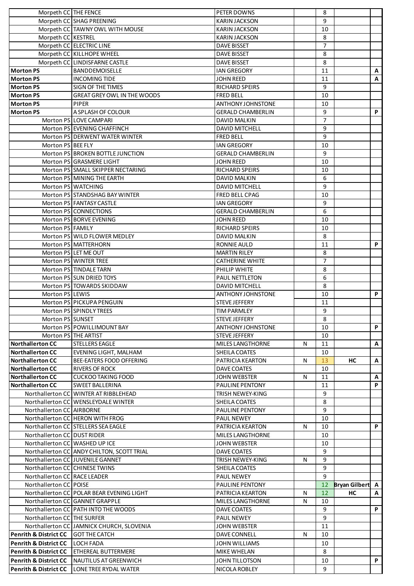| Morpeth CC THE FENCE                             |                                                                              | PETER DOWNS                               |           | 8               |                        |    |
|--------------------------------------------------|------------------------------------------------------------------------------|-------------------------------------------|-----------|-----------------|------------------------|----|
|                                                  | Morpeth CC SHAG PREENING                                                     | <b>KARIN JACKSON</b>                      |           | 9               |                        |    |
|                                                  | Morpeth CC TAWNY OWL WITH MOUSE                                              | <b>KARIN JACKSON</b>                      |           | 10              |                        |    |
| Morpeth CC KESTREL                               |                                                                              | KARIN JACKSON                             |           | 8               |                        |    |
|                                                  | Morpeth CC ELECTRIC LINE                                                     | <b>DAVE BISSET</b>                        |           | $\overline{7}$  |                        |    |
|                                                  | Morpeth CC KILLHOPE WHEEL                                                    | <b>DAVE BISSET</b>                        |           | 8               |                        |    |
|                                                  | Morpeth CC LINDISFARNE CASTLE                                                | <b>DAVE BISSET</b>                        |           | 8               |                        |    |
| <b>Morton PS</b>                                 | <b>BANDDEMOISELLE</b>                                                        | <b>IAN GREGORY</b>                        |           | 11              |                        | A  |
| <b>Morton PS</b>                                 | <b>INCOMING TIDE</b>                                                         | <b>JOHN REED</b>                          |           | 11              |                        | Α  |
| <b>Morton PS</b><br><b>Morton PS</b>             | <b>SIGN OF THE TIMES</b><br><b>GREAT GREY OWL IN THE WOODS</b>               | <b>RICHARD SPEIRS</b><br><b>FRED BELL</b> |           | 9<br>10         |                        |    |
| <b>Morton PS</b>                                 | <b>PIPER</b>                                                                 | ANTHONY JOHNSTONE                         |           | 10              |                        |    |
| <b>Morton PS</b>                                 | A SPLASH OF COLOUR                                                           | <b>GERALD CHAMBERLIN</b>                  |           | 9               |                        | P  |
|                                                  | Morton PS LOVE CAMPARI                                                       | <b>DAVID MALKIN</b>                       |           | $\overline{7}$  |                        |    |
|                                                  | Morton PS EVENING CHAFFINCH                                                  | <b>DAVID MITCHELL</b>                     |           | 9               |                        |    |
|                                                  | Morton PS DERWENT WATER WINTER                                               | FRED BELL                                 |           | 9               |                        |    |
| Morton PS BEE FLY                                |                                                                              | <b>IAN GREGORY</b>                        |           | 10              |                        |    |
|                                                  | Morton PS BROKEN BOTTLE JUNCTION                                             | <b>GERALD CHAMBERLIN</b>                  |           | 9               |                        |    |
|                                                  | Morton PS GRASMERE LIGHT                                                     | <b>JOHN REED</b>                          |           | 10              |                        |    |
|                                                  | Morton PS SMALL SKIPPER NECTARING                                            | <b>RICHARD SPEIRS</b>                     |           | 10              |                        |    |
|                                                  | Morton PS MINING THE EARTH                                                   | <b>DAVID MALKIN</b>                       |           | 6               |                        |    |
|                                                  | Morton PS WATCHING                                                           | <b>DAVID MITCHELL</b>                     |           | 9               |                        |    |
|                                                  | Morton PS STANDSHAG BAY WINTER                                               | FRED BELL CPAG                            |           | 10              |                        |    |
|                                                  | Morton PS FANTASY CASTLE                                                     | <b>IAN GREGORY</b>                        |           | 9               |                        |    |
|                                                  | Morton PS CONNECTIONS                                                        | <b>GERALD CHAMBERLIN</b>                  |           | 6               |                        |    |
|                                                  | Morton PS BORVE EVENING                                                      | <b>JOHN REED</b>                          |           | 10              |                        |    |
| Morton PS FAMILY                                 |                                                                              | RICHARD SPEIRS                            |           | 10              |                        |    |
|                                                  | Morton PS WILD FLOWER MEDLEY                                                 | DAVID MALKIN                              |           | 8               |                        |    |
|                                                  | Morton PS MATTERHORN<br>Morton PS LET ME OUT                                 | RONNIE AULD<br><b>MARTIN RILEY</b>        |           | 11<br>8         |                        | P  |
|                                                  | Morton PS WINTER TREE                                                        | <b>CATHERINE WHITE</b>                    |           | $\overline{7}$  |                        |    |
|                                                  | Morton PS TINDALE TARN                                                       | PHILIP WHITE                              |           | 8               |                        |    |
|                                                  | Morton PS SUN DRIED TOYS                                                     | <b>PAUL NETTLETON</b>                     |           | 6               |                        |    |
|                                                  | Morton PS TOWARDS SKIDDAW                                                    | <b>DAVID MITCHELL</b>                     |           | 8               |                        |    |
| Morton PS LEWIS                                  |                                                                              | ANTHONY JOHNSTONE                         |           | 10              |                        | P  |
|                                                  | Morton PS PICKUPA PENGUIN                                                    | <b>STEVE JEFFERY</b>                      |           | 11              |                        |    |
|                                                  | Morton PS SPINDLY TREES                                                      | <b>TIM PARMLEY</b>                        |           | 9               |                        |    |
| Morton PS SUNSET                                 |                                                                              | STEVE JEFFERY                             |           | 8               |                        |    |
|                                                  | Morton PS POWILLIMOUNT BAY                                                   | ANTHONY JOHNSTONE                         |           | 10              |                        | P. |
|                                                  | Morton PS THE ARTIST                                                         | <b>STEVE JEFFERY</b>                      |           | 10              |                        |    |
| <b>Northallerton CC</b>                          | <b>STELLERS EAGLE</b>                                                        | MILES LANGTHORNE                          | ${\sf N}$ | 11              |                        | A  |
| <b>Northallerton CC</b>                          | EVENING LIGHT, MALHAM                                                        | SHEILA COATES                             |           | 10              |                        |    |
| <b>Northallerton CC</b>                          | <b>BEE-EATERS FOOD OFFERING</b>                                              | PATRICIA KEARTON                          | N         | 13              | HC                     | A  |
| <b>Northallerton CC</b>                          | <b>RIVERS OF ROCK</b>                                                        | <b>DAVE COATES</b>                        |           | 10              |                        |    |
| <b>Northallerton CC</b>                          | <b>CUCKOO TAKING FOOD</b>                                                    | <b>JOHN WEBSTER</b>                       | N         | 11              |                        | A  |
| <b>Northallerton CC</b>                          | <b>SWEET BALLERINA</b>                                                       | <b>PAULINE PENTONY</b>                    |           | 11<br>9         |                        | P. |
|                                                  | Northallerton CC WINTER AT RIBBLEHEAD<br>Northallerton CC WENSLEYDALE WINTER | TRISH NEWEY-KING<br>SHEILA COATES         |           | 8               |                        |    |
| Northallerton CC AIRBORNE                        |                                                                              | PAULINE PENTONY                           |           | 9               |                        |    |
|                                                  | Northallerton CC HERON WITH FROG                                             | <b>PAUL NEWEY</b>                         |           | 10              |                        |    |
|                                                  | Northallerton CC STELLERS SEA EAGLE                                          | PATRICIA KEARTON                          | N         | 10              |                        | P. |
| Northallerton CC DUST RIDER                      |                                                                              | MILES LANGTHORNE                          |           | 10              |                        |    |
| Northallerton CC WASHED UP ICE                   |                                                                              | <b>JOHN WEBSTER</b>                       |           | 10              |                        |    |
|                                                  | Northallerton CC ANDY CHILTON, SCOTT TRIAL                                   | DAVE COATES                               |           | 9               |                        |    |
|                                                  | Northallerton CC JUVENILE GANNET                                             | TRISH NEWEY-KING                          | N         | 9               |                        |    |
| Northallerton CC CHINESE TWINS                   |                                                                              | SHEILA COATES                             |           | 9               |                        |    |
| Northallerton CC RACE LEADER                     |                                                                              | <b>PAUL NEWEY</b>                         |           | 9               |                        |    |
| Northallerton CC POISE                           |                                                                              | PAULINE PENTONY                           |           | 12 <sup>2</sup> | <b>Bryan Gilbert A</b> |    |
|                                                  | Northallerton CC POLAR BEAR EVENING LIGHT                                    | PATRICIA KEARTON                          | N         | 12              | НC                     | A  |
|                                                  | Northallerton CC GANNET GRAPPLE                                              | <b>MILES LANGTHORNE</b>                   | N         | 10              |                        |    |
|                                                  | Northallerton CC PATH INTO THE WOODS                                         | DAVE COATES                               |           | 9               |                        | P. |
| Northallerton CC THE SURFER                      |                                                                              | <b>PAUL NEWEY</b>                         |           | 9               |                        |    |
| <b>Penrith &amp; District CC   GOT THE CATCH</b> | Northallerton CC JAMNICK CHURCH, SLOVENIA                                    | <b>JOHN WEBSTER</b><br>DAVE CONNELL       | N         | 11<br>10        |                        |    |
| <b>Penrith &amp; District CC</b>                 | <b>LOCH FADA</b>                                                             | <b>JOHN WILLIAMS</b>                      |           | 10              |                        |    |
| <b>Penrith &amp; District CC</b>                 | <b>ETHEREAL BUTTERMERE</b>                                                   | MIKE WHELAN                               |           | 8               |                        |    |
| <b>Penrith &amp; District CC</b>                 | NAUTILUS AT GREENWICH                                                        | JOHN TILLOTSON                            |           | 10              |                        | P. |
| <b>Penrith &amp; District CC</b>                 | <b>LONE TREE RYDAL WATER</b>                                                 | NICOLA ROBLEY                             |           | 9               |                        |    |
|                                                  |                                                                              |                                           |           |                 |                        |    |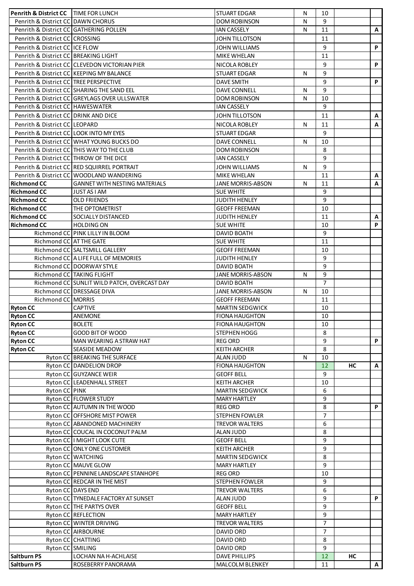| Penrith & District CC   TIME FOR LUNCH  |                                               | STUART EDGAR                                   | N | 10             |    |              |
|-----------------------------------------|-----------------------------------------------|------------------------------------------------|---|----------------|----|--------------|
| Penrith & District CC DAWN CHORUS       |                                               | <b>DOM ROBINSON</b>                            | N | 9              |    |              |
| Penrith & District CC GATHERING POLLEN  |                                               | <b>IAN CASSELY</b>                             | N | 11             |    | $\mathsf{A}$ |
| Penrith & District CC CROSSING          |                                               | <b>JOHN TILLOTSON</b>                          |   | 11             |    |              |
| Penrith & District CC ICE FLOW          |                                               | JOHN WILLIAMS                                  |   | 9              |    | P.           |
| Penrith & District CC BREAKING LIGHT    |                                               | <b>MIKE WHELAN</b>                             |   | 11             |    |              |
|                                         | Penrith & District CC CLEVEDON VICTORIAN PIER | NICOLA ROBLEY                                  |   | 9              |    | P.           |
|                                         | Penrith & District CC KEEPING MY BALANCE      | <b>STUART EDGAR</b>                            | N | 9              |    |              |
| Penrith & District CC TREE PERSPECTIVE  |                                               | <b>DAVE SMITH</b>                              |   | 9              |    | P.           |
|                                         | Penrith & District CC SHARING THE SAND EEL    | DAVE CONNELL                                   | N | 9              |    |              |
|                                         | Penrith & District CC GREYLAGS OVER ULLSWATER | <b>DOM ROBINSON</b>                            | N | 10             |    |              |
| Penrith & District CC HAWESWATER        |                                               | <b>IAN CASSELY</b>                             |   | 9              |    |              |
| Penrith & District CC DRINK AND DICE    |                                               | <b>JOHN TILLOTSON</b>                          |   | 11             |    | A            |
| Penrith & District CC LEOPARD           |                                               | NICOLA ROBLEY                                  | N | 11             |    | Α            |
| Penrith & District CC LOOK INTO MY EYES |                                               | <b>STUART EDGAR</b>                            |   | 9              |    |              |
|                                         | Penrith & District CC WHAT YOUNG BUCKS DO     | DAVE CONNELL                                   | N | 10             |    |              |
|                                         | Penrith & District CC THIS WAY TO THE CLUB    | <b>DOM ROBINSON</b>                            |   | 8              |    |              |
| Penrith & District CC THROW OF THE DICE |                                               | <b>IAN CASSELY</b>                             |   | 9              |    |              |
|                                         | Penrith & District CC RED SQUIRREL PORTRAIT   | <b>JOHN WILLIAMS</b>                           | N | 9              |    |              |
|                                         | Penrith & District CC WOODLAND WANDERING      | MIKE WHELAN                                    |   | 11             |    | A            |
| <b>Richmond CC</b>                      | <b>GANNET WITH NESTING MATERIALS</b>          | JANE MORRIS-ABSON                              | N | 11             |    | Α            |
| <b>Richmond CC</b>                      | <b>JUST AS I AM</b>                           | <b>SUE WHITE</b>                               |   | 9              |    |              |
| <b>Richmond CC</b>                      | <b>OLD FRIENDS</b>                            | <b>JUDITH HENLEY</b>                           |   | 9              |    |              |
| <b>Richmond CC</b>                      | THE OPTOMETRIST                               | <b>GEOFF FREEMAN</b>                           |   | 10             |    |              |
| <b>Richmond CC</b>                      | SOCIALLY DISTANCED                            | <b>JUDITH HENLEY</b>                           |   | 11             |    | А            |
| <b>Richmond CC</b>                      | <b>HOLDING ON</b>                             | <b>SUE WHITE</b>                               |   | 10             |    | P            |
|                                         | Richmond CC PINK LILLY IN BLOOM               | <b>DAVID BOATH</b>                             |   | 9              |    |              |
| Richmond CC AT THE GATE                 |                                               | <b>SUE WHITE</b>                               |   | 11             |    |              |
|                                         | Richmond CC SALTSMILL GALLERY                 | <b>GEOFF FREEMAN</b>                           |   | 10             |    |              |
|                                         | Richmond CC A LIFE FULL OF MEMORIES           | <b>JUDITH HENLEY</b>                           |   | 9              |    |              |
|                                         | Richmond CC DOORWAY STYLE                     | DAVID BOATH                                    |   | 9              |    |              |
|                                         | Richmond CC TAKING FLIGHT                     | <b>JANE MORRIS-ABSON</b>                       | N | 9              |    |              |
|                                         | Richmond CC SUNLIT WILD PATCH, OVERCAST DAY   | DAVID BOATH                                    |   | $\overline{7}$ |    |              |
|                                         | Richmond CC DRESSAGE DIVA                     | <b>JANE MORRIS-ABSON</b>                       | N | 10<br>11       |    |              |
| Richmond CC MORRIS<br><b>Ryton CC</b>   | <b>CAPTIVE</b>                                | <b>GEOFF FREEMAN</b><br><b>MARTIN SEDGWICK</b> |   | 10             |    |              |
| <b>Ryton CC</b>                         | <b>ANEMONE</b>                                | <b>FIONA HAUGHTON</b>                          |   | 10             |    |              |
| <b>Ryton CC</b>                         | <b>BOLETE</b>                                 | <b>FIONA HAUGHTON</b>                          |   | 10             |    |              |
| <b>Ryton CC</b>                         | <b>GOOD BIT OF WOOD</b>                       | <b>STEPHEN HOGG</b>                            |   | 8              |    |              |
| <b>Ryton CC</b>                         | MAN WEARING A STRAW HAT                       | <b>REG ORD</b>                                 |   | 9              |    | P            |
| <b>Ryton CC</b>                         | SEASIDE MEADOW                                | <b>KEITH ARCHER</b>                            |   | 8              |    |              |
|                                         | Ryton CC BREAKING THE SURFACE                 | ALAN JUDD                                      | N | 10             |    |              |
|                                         | Ryton CC DANDELION DROP                       | <b>FIONA HAUGHTON</b>                          |   | 12             | HC | A            |
|                                         | Ryton CC GUYZANCE WEIR                        | <b>GEOFF BELL</b>                              |   | 9              |    |              |
|                                         | Ryton CC LEADENHALL STREET                    | <b>KEITH ARCHER</b>                            |   | 10             |    |              |
| Ryton CC PINK                           |                                               | <b>MARTIN SEDGWICK</b>                         |   | 6              |    |              |
|                                         | Ryton CC FLOWER STUDY                         | <b>MARY HARTLEY</b>                            |   | 9              |    |              |
|                                         | Ryton CC AUTUMN IN THE WOOD                   | <b>REG ORD</b>                                 |   | 8              |    | P.           |
|                                         | Ryton CC OFFSHORE MIST POWER                  | <b>STEPHEN FOWLER</b>                          |   | $\overline{7}$ |    |              |
|                                         | Ryton CC ABANDONED MACHINERY                  | <b>TREVOR WALTERS</b>                          |   | 6              |    |              |
|                                         | Ryton CC COUCAL IN COCONUT PALM               | ALAN JUDD                                      |   | 8              |    |              |
|                                         | Ryton CC   I MIGHT LOOK CUTE                  | <b>GEOFF BELL</b>                              |   | 9              |    |              |
|                                         | Ryton CC ONLY ONE CUSTOMER                    | <b>KEITH ARCHER</b>                            |   | 9              |    |              |
|                                         | Ryton CC WATCHING                             | <b>MARTIN SEDGWICK</b>                         |   | 8              |    |              |
|                                         | Ryton CC MAUVE GLOW                           | <b>MARY HARTLEY</b>                            |   | 9              |    |              |
|                                         | Ryton CC PENNINE LANDSCAPE STANHOPE           | <b>REG ORD</b>                                 |   | 10             |    |              |
|                                         | Ryton CC REDCAR IN THE MIST                   | <b>STEPHEN FOWLER</b>                          |   | 9              |    |              |
|                                         | Ryton CC DAYS END                             | <b>TREVOR WALTERS</b>                          |   | 6              |    |              |
|                                         | Ryton CC TYNEDALE FACTORY AT SUNSET           | ALAN JUDD                                      |   | 9              |    | P            |
|                                         | Ryton CC THE PARTYS OVER                      | <b>GEOFF BELL</b>                              |   | 9              |    |              |
|                                         | Ryton CC REFLECTION                           | <b>MARY HARTLEY</b>                            |   | 9              |    |              |
|                                         | Ryton CC WINTER DRIVING                       | <b>TREVOR WALTERS</b>                          |   | $\overline{7}$ |    |              |
|                                         | Ryton CC AIRBOURNE                            | DAVID ORD                                      |   | 7              |    |              |
|                                         | Ryton CC CHATTING                             | DAVID ORD                                      |   | 8              |    |              |
| Ryton CC SMILING<br><b>Saltburn PS</b>  | LOCHAN NA H-ACHLAISE                          | DAVID ORD<br><b>DAVE PHILLIPS</b>              |   | 9<br>12        | НC |              |
| <b>Saltburn PS</b>                      | ROSEBERRY PANORAMA                            | <b>MALCOLM BLENKEY</b>                         |   | 11             |    | $\mathsf{A}$ |
|                                         |                                               |                                                |   |                |    |              |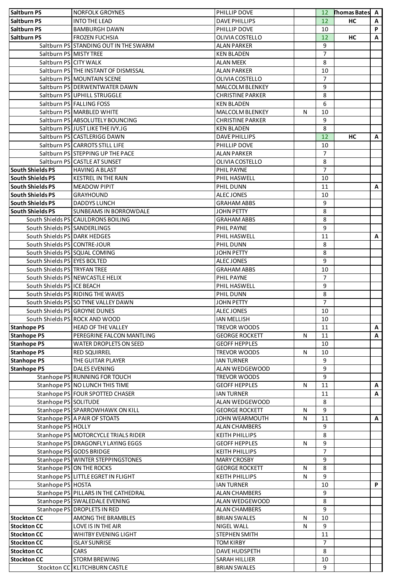| <b>Saltburn PS</b>                       | <b>NORFOLK GROYNES</b>                                       | <b>PHILLIP DOVE</b>                               |   | 12                   | <b>Thomas Bates</b> A |              |
|------------------------------------------|--------------------------------------------------------------|---------------------------------------------------|---|----------------------|-----------------------|--------------|
| <b>Saltburn PS</b>                       | <b>INTO THE LEAD</b>                                         | <b>DAVE PHILLIPS</b>                              |   | 12                   | НC                    | A            |
| Saltburn PS                              | <b>BAMBURGH DAWN</b>                                         | PHILLIP DOVE                                      |   | 10                   |                       | P.           |
| Saltburn PS                              | <b>FROZEN FUCHSIA</b>                                        | OLIVIA COSTELLO                                   |   | 12                   | HC                    | Α            |
|                                          | Saltburn PS STANDING OUT IN THE SWARM                        | <b>ALAN PARKER</b>                                |   | 9                    |                       |              |
| Saltburn PS MISTY TREE                   |                                                              | KEN BLADEN                                        |   | $\overline{7}$       |                       |              |
| Saltburn PS CITY WALK                    |                                                              | <b>ALAN MEEK</b>                                  |   | 8                    |                       |              |
|                                          | Saltburn PS THE INSTANT OF DISMISSAL                         | <b>ALAN PARKER</b>                                |   | 10                   |                       |              |
|                                          | Saltburn PS MOUNTAIN SCENE                                   | OLIVIA COSTELLO                                   |   | $\overline{7}$       |                       |              |
|                                          | Saltburn PS DERWENTWATER DAWN                                | <b>MALCOLM BLENKEY</b>                            |   | 9                    |                       |              |
|                                          | Saltburn PS UPHILL STRUGGLE                                  | <b>CHRISTINE PARKER</b>                           |   | 8                    |                       |              |
|                                          | Saltburn PS FALLING FOSS                                     | <b>KEN BLADEN</b>                                 |   | 6                    |                       |              |
|                                          | Saltburn PS MARBLED WHITE<br>Saltburn PS ABSOLUTELY BOUNCING | <b>MALCOLM BLENKEY</b><br><b>CHRISTINE PARKER</b> | N | 10<br>9              |                       |              |
|                                          | Saltburn PS JUST LIKE THE IVY.JG                             | <b>KEN BLADEN</b>                                 |   | 8                    |                       |              |
|                                          | Saltburn PS CASTLERIGG DAWN                                  | <b>DAVE PHILLIPS</b>                              |   | 12                   | HC                    | A            |
|                                          | Saltburn PS CARROTS STILL LIFE                               | PHILLIP DOVE                                      |   | 10                   |                       |              |
|                                          | Saltburn PS STEPPING UP THE PACE                             | <b>ALAN PARKER</b>                                |   | $\overline{7}$       |                       |              |
|                                          | Saltburn PS CASTLE AT SUNSET                                 | OLIVIA COSTELLO                                   |   | 8                    |                       |              |
| <b>South Shields PS</b>                  | <b>HAVING A BLAST</b>                                        | PHIL PAYNE                                        |   | $\overline{7}$       |                       |              |
| <b>South Shields PS</b>                  | <b>KESTREL IN THE RAIN</b>                                   | PHIL HASWELL                                      |   | 10                   |                       |              |
| <b>South Shields PS</b>                  | <b>MEADOW PIPIT</b>                                          | PHIL DUNN                                         |   | 11                   |                       | A            |
| <b>South Shields PS</b>                  | <b>GRAYHOUND</b>                                             | <b>ALEC JONES</b>                                 |   | 10                   |                       |              |
| <b>South Shields PS</b>                  | <b>DADDYS LUNCH</b>                                          | <b>GRAHAM ABBS</b>                                |   | 9                    |                       |              |
| <b>South Shields PS</b>                  | <b>SUNBEAMS IN BORROWDALE</b>                                | <b>JOHN PETTY</b>                                 |   | 8                    |                       |              |
|                                          | South Shields PS CAULDRONS BOILING                           | <b>GRAHAM ABBS</b>                                |   | 8                    |                       |              |
| South Shields PS SANDERLINGS             |                                                              | PHIL PAYNE                                        |   | 9                    |                       |              |
| South Shields PS DARK HEDGES             |                                                              | PHIL HASWELL                                      |   | 11                   |                       | A            |
| South Shields PS CONTRE-JOUR             |                                                              | PHIL DUNN                                         |   | 8                    |                       |              |
| South Shields PS SQUAL COMING            |                                                              | <b>JOHN PETTY</b>                                 |   | 8                    |                       |              |
| South Shields PS EYES BOLTED             |                                                              | <b>ALEC JONES</b>                                 |   | 9                    |                       |              |
| South Shields PS TRYFAN TREE             |                                                              | GRAHAM ABBS                                       |   | 10                   |                       |              |
|                                          | South Shields PS NEWCASTLE HELIX                             | PHIL PAYNE                                        |   | $\overline{7}$       |                       |              |
| South Shields PS ICE BEACH               |                                                              | PHIL HASWELL                                      |   | 9                    |                       |              |
|                                          | South Shields PS RIDING THE WAVES                            | PHIL DUNN                                         |   | 8                    |                       |              |
|                                          | South Shields PS SO TYNE VALLEY DAWN                         | <b>JOHN PETTY</b>                                 |   | $\overline{7}$       |                       |              |
| South Shields PS GROYNE DUNES            |                                                              | <b>ALEC JONES</b>                                 |   | 10                   |                       |              |
|                                          | South Shields PS ROCK AND WOOD                               | <b>IAN MELLISH</b>                                |   | 10                   |                       |              |
| <b>Stanhope PS</b>                       | <b>HEAD OF THE VALLEY</b>                                    | TREVOR WOODS                                      |   | 11                   |                       | $\mathbf{A}$ |
| <b>Stanhope PS</b>                       | PEREGRINE FALCON MANTLING                                    | <b>GEORGE ROCKETT</b>                             | N | 11                   |                       | $\mathsf{A}$ |
| <b>Stanhope PS</b><br><b>Stanhope PS</b> | <b>WATER DROPLETS ON SEED</b>                                | <b>GEOFF HEPPLES</b>                              | N | 10<br>10             |                       |              |
| <b>Stanhope PS</b>                       | <b>RED SQUIRREL</b><br>THE GUITAR PLAYER                     | TREVOR WOODS<br><b>IAN TURNER</b>                 |   | 9                    |                       |              |
| <b>Stanhope PS</b>                       | DALES EVENING                                                | ALAN WEDGEWOOD                                    |   | 9                    |                       |              |
|                                          | Stanhope PS RUNNING FOR TOUCH                                | TREVOR WOODS                                      |   | 9                    |                       |              |
|                                          | Stanhope PS NO LUNCH THIS TIME                               | <b>GEOFF HEPPLES</b>                              | N | 11                   |                       | Α            |
|                                          | Stanhope PS FOUR SPOTTED CHASER                              | <b>IAN TURNER</b>                                 |   | 11                   |                       | A            |
| Stanhope PS SOLITUDE                     |                                                              | ALAN WEDGEWOOD                                    |   | 8                    |                       |              |
|                                          | Stanhope PS SPARROWHAWK ON KILL                              | <b>GEORGE ROCKETT</b>                             | N | 9                    |                       |              |
|                                          | Stanhope PS A PAIR OF STOATS                                 | JOHN WEARMOUTH                                    | N | 11                   |                       | $\mathsf{A}$ |
| Stanhope PS HOLLY                        |                                                              | <b>ALAN CHAMBERS</b>                              |   | 9                    |                       |              |
|                                          | Stanhope PS MOTORCYCLE TRIALS RIDER                          | <b>KEITH PHILLIPS</b>                             |   | 8                    |                       |              |
|                                          | Stanhope PS DRAGONFLY LAYING EGGS                            | <b>GEOFF HEPPLES</b>                              | N | 9                    |                       |              |
|                                          | Stanhope PS GODS BRIDGE                                      | <b>KEITH PHILLIPS</b>                             |   | $\overline{7}$       |                       |              |
|                                          | Stanhope PS WINTER STEPPINGSTONES                            | <b>MARY CROSBY</b>                                |   | 9                    |                       |              |
|                                          | Stanhope PS ON THE ROCKS                                     | <b>GEORGE ROCKETT</b>                             | N | 8                    |                       |              |
|                                          | Stanhope PS LITTLE EGRET IN FLIGHT                           | <b>KEITH PHILLIPS</b>                             | N | 9                    |                       |              |
| Stanhope PS HOSTA                        |                                                              | <b>IAN TURNER</b>                                 |   | 10                   |                       | P            |
|                                          | Stanhope PS PILLARS IN THE CATHEDRAL                         | <b>ALAN CHAMBERS</b>                              |   | 9                    |                       |              |
|                                          | Stanhope PS SWALEDALE EVENING                                | ALAN WEDGEWOOD                                    |   | 8                    |                       |              |
|                                          | Stanhope PS DROPLETS IN RED                                  | <b>ALAN CHAMBERS</b>                              |   | 9                    |                       |              |
| <b>Stockton CC</b>                       | AMONG THE BRAMBLES                                           | <b>BRIAN SWALES</b>                               | N | 10                   |                       |              |
| <b>Stockton CC</b>                       | LOVE IS IN THE AIR                                           | <b>NIGEL WALL</b>                                 | N | 9                    |                       |              |
| <b>Stockton CC</b><br><b>Stockton CC</b> | WHITBY EVENING LIGHT                                         | <b>STEPHEN SMITH</b><br><b>TOM KIRBY</b>          |   | 11<br>$\overline{7}$ |                       |              |
| <b>Stockton CC</b>                       | <b>ISLAY SUNRISE</b><br>CARS                                 | <b>DAVE HUDSPETH</b>                              |   | 8                    |                       |              |
| <b>Stockton CC</b>                       | <b>STORM BREWING</b>                                         | SARAH HILLIER                                     |   | 10                   |                       |              |
|                                          | Stockton CC KLITCHBURN CASTLE                                | <b>BRIAN SWALES</b>                               |   | 9                    |                       |              |
|                                          |                                                              |                                                   |   |                      |                       |              |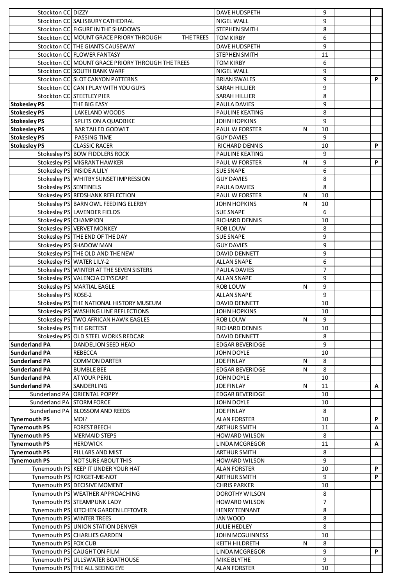| Stockton CC DIZZY         |                                                                 | <b>DAVE HUDSPETH</b>            |   | 9                      |    |
|---------------------------|-----------------------------------------------------------------|---------------------------------|---|------------------------|----|
|                           | Stockton CC SALISBURY CATHEDRAL                                 | <b>NIGEL WALL</b>               |   | 9                      |    |
|                           | Stockton CC FIGURE IN THE SHADOWS                               | STEPHEN SMITH                   |   | 8                      |    |
|                           | Stockton CC MOUNT GRACE PRIORY THROUGH<br>THE TREES             | <b>TOM KIRBY</b>                |   | 6                      |    |
|                           | Stockton CC THE GIANTS CAUSEWAY                                 | DAVE HUDSPETH                   |   | 9                      |    |
|                           | Stockton CC FLOWER FANTASY                                      | <b>STEPHEN SMITH</b>            |   | 11                     |    |
|                           | Stockton CC MOUNT GRACE PRIORY THROUGH THE TREES                | TOM KIRBY                       |   | 6                      |    |
|                           | Stockton CC SOUTH BANK WARF                                     | NIGEL WALL                      |   | 9                      |    |
|                           | Stockton CC SLOT CANYON PATTERNS                                | <b>BRIAN SWALES</b>             |   | 9                      | P  |
|                           | Stockton CC CAN I PLAY WITH YOU GUYS                            | SARAH HILLIER                   |   | 9                      |    |
|                           | Stockton CC STEETLEY PIER                                       | SARAH HILLIER                   |   | 8                      |    |
| <b>Stokesley PS</b>       | THE BIG EASY                                                    | PAULA DAVIES                    |   | 9                      |    |
| <b>Stokesley PS</b>       | LAKELAND WOODS                                                  | PAULINE KEATING                 |   | 8                      |    |
| <b>Stokesley PS</b>       | SPLITS ON A QUADBIKE                                            | <b>JOHN HOPKINS</b>             |   | 9                      |    |
| <b>Stokesley PS</b>       | <b>BAR TAILED GODWIT</b>                                        | PAUL W FORSTER                  | N | 10                     |    |
| <b>Stokesley PS</b>       | PASSING TIME                                                    | <b>GUY DAVIES</b>               |   | 9                      |    |
| <b>Stokesley PS</b>       | <b>CLASSIC RACER</b>                                            | RICHARD DENNIS                  |   | 10                     | P  |
|                           | Stokesley PS BOW FIDDLERS ROCK                                  | PAULINE KEATING                 |   | 9                      |    |
|                           | Stokesley PS MIGRANT HAWKER                                     | <b>PAUL W FORSTER</b>           | N | 9                      | P  |
|                           | Stokesley PS INSIDE A LILY                                      | <b>SUE SNAPE</b>                |   | 6                      |    |
|                           | Stokesley PS WHITBY SUNSET IMPRESSION                           | <b>GUY DAVIES</b>               |   | 8                      |    |
| Stokesley PS SENTINELS    |                                                                 | PAULA DAVIES                    |   | 8                      |    |
|                           | Stokesley PS REDSHANK REFLECTION                                | PAUL W FORSTER                  | N | 10                     |    |
|                           | Stokesley PS BARN OWL FEEDING ELERBY                            | <b>JOHN HOPKINS</b>             | N | 10                     |    |
|                           | Stokesley PS LAVENDER FIELDS                                    | <b>SUE SNAPE</b>                |   | 6                      |    |
| Stokesley PS CHAMPION     |                                                                 | <b>RICHARD DENNIS</b>           |   | 10                     |    |
|                           | Stokesley PS VERVET MONKEY                                      | <b>ROB LOUW</b>                 |   | 8                      |    |
|                           | Stokesley PS THE END OF THE DAY                                 | <b>SUE SNAPE</b>                |   | 9                      |    |
|                           | Stokesley PS SHADOW MAN                                         | <b>GUY DAVIES</b>               |   | 9                      |    |
|                           | Stokesley PS THE OLD AND THE NEW                                | <b>DAVID DENNETT</b>            |   | 9                      |    |
|                           | Stokesley PS WATER LILY-2                                       | <b>ALLAN SNAPE</b>              |   | 6                      |    |
|                           | Stokesley PS WINTER AT THE SEVEN SISTERS                        | PAULA DAVIES                    |   | $\overline{7}$         |    |
|                           | Stokesley PS VALENCIA CITYSCAPE                                 | <b>ALLAN SNAPE</b>              |   | 9                      |    |
|                           | Stokesley PS MARTIAL EAGLE                                      | <b>ROB LOUW</b>                 | N | 9                      |    |
| Stokesley PS ROSE-2       |                                                                 | <b>ALLAN SNAPE</b>              |   | 9                      |    |
|                           | Stokesley PS THE NATIONAL HISTORY MUSEUM                        | <b>DAVID DENNETT</b>            |   | 10                     |    |
|                           | Stokesley PS WASHING LINE REFLECTIONS                           | <b>JOHN HOPKINS</b>             |   | 10<br>$\boldsymbol{9}$ |    |
|                           | Stokesley PS TWO AFRICAN HAWK EAGLES                            | ROB LOUW                        | N | 10                     |    |
|                           | Stokesley PS THE GRETEST<br>Stokesley PS OLD STEEL WORKS REDCAR | RICHARD DENNIS<br>DAVID DENNETT |   | 8                      |    |
| <b>Sunderland PA</b>      | DANDELION SEED HEAD                                             | <b>EDGAR BEVERIDGE</b>          |   | 9                      |    |
| Sunderland PA             | <b>REBECCA</b>                                                  | <b>JOHN DOYLE</b>               |   | 10                     |    |
| <b>Sunderland PA</b>      | <b>COMMON DARTER</b>                                            | JOE FINLAY                      | N | 8                      |    |
| Sunderland PA             | <b>BUMBLE BEE</b>                                               | <b>EDGAR BEVERIDGE</b>          | N | 8                      |    |
| <b>Sunderland PA</b>      | <b>AT YOUR PERIL</b>                                            | JOHN DOYLE                      |   | 10                     |    |
| <b>Sunderland PA</b>      | SANDERLING                                                      | <b>JOE FINLAY</b>               | N | 11                     | A  |
|                           | Sunderland PA ORIENTAL POPPY                                    | <b>EDGAR BEVERIDGE</b>          |   | 10                     |    |
| Sunderland PA STORM FORCE |                                                                 | JOHN DOYLE                      |   | 10                     |    |
|                           | Sunderland PA BLOSSOM AND REEDS                                 | <b>JOE FINLAY</b>               |   | 8                      |    |
| <b>Tynemouth PS</b>       | MOI?                                                            | <b>ALAN FORSTER</b>             |   | 10                     | P. |
| <b>Tynemouth PS</b>       | <b>FOREST BEECH</b>                                             | <b>ARTHUR SMITH</b>             |   | 11                     | A  |
| <b>Tynemouth PS</b>       | <b>MERMAID STEPS</b>                                            | HOWARD WILSON                   |   | 8                      |    |
| <b>Tynemouth PS</b>       | <b>HERDWICK</b>                                                 | <b>LINDA MCGREGOR</b>           |   | 11                     | A  |
| <b>Tynemouth PS</b>       | PILLARS AND MIST                                                | <b>ARTHUR SMITH</b>             |   | 8                      |    |
| <b>Tynemouth PS</b>       | <b>NOT SURE ABOUT THIS</b>                                      | HOWARD WILSON                   |   | 9                      |    |
|                           | Tynemouth PS KEEP IT UNDER YOUR HAT                             | <b>ALAN FORSTER</b>             |   | 10                     | P. |
|                           | Tynemouth PS FORGET-ME-NOT                                      | <b>ARTHUR SMITH</b>             |   | 9                      | P. |
|                           | Tynemouth PS DECISIVE MOMENT                                    | <b>CHRIS PARKER</b>             |   | 10                     |    |
|                           | Tynemouth PS WEATHER APPROACHING                                | <b>DOROTHY WILSON</b>           |   | 8                      |    |
|                           | Tynemouth PS STEAMPUNK LADY                                     | HOWARD WILSON                   |   | 7                      |    |
|                           | Tynemouth PS KITCHEN GARDEN LEFTOVER                            | <b>HENRY TENNANT</b>            |   | 8                      |    |
|                           | Tynemouth PS WINTER TREES                                       | IAN WOOD                        |   | 8                      |    |
|                           | Tynemouth PS UNION STATION DENVER                               | JULIE HEDLEY                    |   | 8                      |    |
|                           | Tynemouth PS CHARLIES GARDEN                                    | <b>JOHN MCGUINNESS</b>          |   | 10                     |    |
| Tynemouth PS FOX CUB      |                                                                 | KEITH HILDRETH                  | N | 8                      |    |
|                           | Tynemouth PS CAUGHT ON FILM                                     | LINDA MCGREGOR                  |   | 9                      | P. |
|                           | Tynemouth PS ULLSWATER BOATHOUSE                                | MIKE BLYTHE                     |   | 9                      |    |
|                           | Tynemouth PS THE ALL SEEING EYE                                 | <b>ALAN FORSTER</b>             |   | 10                     |    |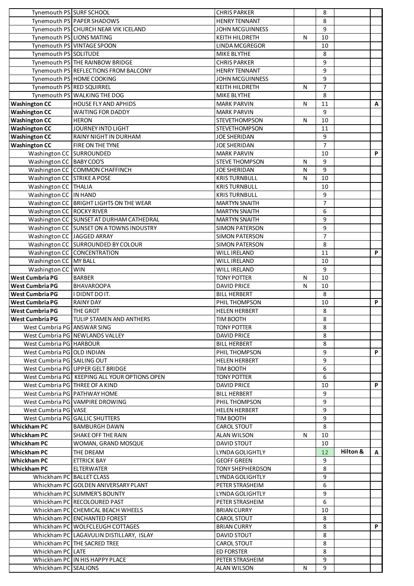| Tynemouth PS SURF SCHOOL        |                                                        | <b>CHRIS PARKER</b>                        |           | 8                   |          |              |
|---------------------------------|--------------------------------------------------------|--------------------------------------------|-----------|---------------------|----------|--------------|
|                                 | Tynemouth PS PAPER SHADOWS                             | <b>HENRY TENNANT</b>                       |           | 8                   |          |              |
|                                 | Tynemouth PS CHURCH NEAR VIK ICELAND                   | <b>JOHN MCGUINNESS</b>                     |           | 9                   |          |              |
|                                 | Tynemouth PS LIONS MATING                              | KEITH HILDRETH                             | N         | 10                  |          |              |
|                                 | Tynemouth PS VINTAGE SPOON                             | LINDA MCGREGOR                             |           | 10                  |          |              |
| Tynemouth PS SOLITUDE           |                                                        | MIKE BLYTHE                                |           | 8                   |          |              |
|                                 | Tynemouth PS THE RAINBOW BRIDGE                        | <b>CHRIS PARKER</b>                        |           | 9                   |          |              |
|                                 | Tynemouth PS REFLECTIONS FROM BALCONY                  | <b>HENRY TENNANT</b>                       |           | 9                   |          |              |
|                                 | Tynemouth PS HOME COOKING<br>Tynemouth PS RED SQUIRREL | <b>JOHN MCGUINNESS</b>                     | N         | 9<br>$\overline{7}$ |          |              |
|                                 | Tynemouth PS WALKING THE DOG                           | KEITH HILDRETH<br>MIKE BLYTHE              |           | 8                   |          |              |
| <b>Washington CC</b>            | <b>HOUSE FLY AND APHIDS</b>                            | <b>MARK PARVIN</b>                         | N         | 11                  |          | Α            |
| <b>Washington CC</b>            | <b>WAITING FOR DADDY</b>                               | <b>MARK PARVIN</b>                         |           | 9                   |          |              |
| <b>Washington CC</b>            | <b>HERON</b>                                           | <b>STEVETHOMPSON</b>                       | N         | 10                  |          |              |
| <b>Washington CC</b>            | JOURNEY INTO LIGHT                                     | <b>STEVETHOMPSON</b>                       |           | 11                  |          |              |
| <b>Washington CC</b>            | RAINY NIGHT IN DURHAM                                  | <b>JOE SHERIDAN</b>                        |           | 9                   |          |              |
| <b>Washington CC</b>            | FIRE ON THE TYNE                                       | <b>JOE SHERIDAN</b>                        |           | $\overline{7}$      |          |              |
| Washington CC SURROUNDED        |                                                        | <b>MARK PARVIN</b>                         |           | 10                  |          | P            |
| Washington CC BABY COO'S        |                                                        | <b>STEVE THOMPSON</b>                      | N         | 9                   |          |              |
|                                 | Washington CC COMMON CHAFFINCH                         | <b>JOE SHERIDAN</b>                        | N         | 9                   |          |              |
| Washington CC STRIKE A POSE     |                                                        | <b>KRISTURNBULL</b>                        | N         | 10                  |          |              |
| Washington CC THALIA            |                                                        | <b>KRISTURNBULL</b>                        |           | 10                  |          |              |
| Washington CC IN HAND           |                                                        | <b>KRISTURNBULL</b>                        |           | 9                   |          |              |
|                                 | Washington CC   BRIGHT LIGHTS ON THE WEAR              | <b>MARTYN SNAITH</b>                       |           | $\overline{7}$      |          |              |
| Washington CC ROCKY RIVER       |                                                        | <b>MARTYN SNAITH</b>                       |           | 6                   |          |              |
|                                 | Washington CC SUNSET AT DURHAM CATHEDRAL               | <b>MARTYN SNAITH</b>                       |           | 9                   |          |              |
|                                 | Washington CC SUNSET ON A TOWNS INDUSTRY               | <b>SIMON PATERSON</b>                      |           | 9                   |          |              |
| Washington CC JAGGED ARRAY      |                                                        | <b>SIMON PATERSON</b>                      |           | $\overline{7}$      |          |              |
|                                 | Washington CC SURROUNDED BY COLOUR                     | <b>SIMON PATERSON</b>                      |           | 8                   |          | P            |
| Washington CC MY BALL           | Washington CC CONCENTRATION                            | <b>WILL IRELAND</b><br><b>WILL IRELAND</b> |           | 11<br>10            |          |              |
| Washington CC WIN               |                                                        | <b>WILL IRELAND</b>                        |           | 9                   |          |              |
| <b>West Cumbria PG</b>          | <b>BARBER</b>                                          | <b>TONY POTTER</b>                         | ${\sf N}$ | 10                  |          |              |
| <b>West Cumbria PG</b>          | <b>BHAVAROOPA</b>                                      | <b>DAVID PRICE</b>                         | N         | 10                  |          |              |
| <b>West Cumbria PG</b>          | I DIDNT DO IT.                                         | <b>BILL HERBERT</b>                        |           | 8                   |          |              |
| <b>West Cumbria PG</b>          | <b>RAINY DAY</b>                                       | PHIL THOMPSON                              |           | 10                  |          | P            |
| <b>West Cumbria PG</b>          | THE GROT                                               | <b>HELEN HERBERT</b>                       |           | 8                   |          |              |
| <b>West Cumbria PG</b>          | TULIP STAMEN AND ANTHERS                               | TIM BOOTH                                  |           | 8                   |          |              |
| West Cumbria PG ANSWAR SING     |                                                        | <b>TONY POTTER</b>                         |           | 8                   |          |              |
|                                 | West Cumbria PG NEWLANDS VALLEY                        | <b>DAVID PRICE</b>                         |           | 8                   |          |              |
| West Cumbria PG HARBOUR         |                                                        | <b>BILL HERBERT</b>                        |           | 8                   |          |              |
| West Cumbria PG OLD INDIAN      |                                                        | PHIL THOMPSON                              |           | 9                   |          | P.           |
| West Cumbria PG SAILING OUT     |                                                        | <b>HELEN HERBERT</b>                       |           | 9                   |          |              |
|                                 | West Cumbria PG UPPER GELT BRIDGE                      | TIM BOOTH                                  |           | 6                   |          |              |
|                                 | West Cumbria PG   KEEPING ALL YOUR OPTIONS OPEN        | <b>TONY POTTER</b>                         |           | 6                   |          |              |
| West Cumbria PG THREE OF A KIND |                                                        | DAVID PRICE                                |           | 10                  |          | P.           |
| West Cumbria PG PATHWAY HOME    |                                                        | <b>BILL HERBERT</b>                        |           | 9                   |          |              |
| West Cumbria PG VASE            | West Cumbria PG VAMPIRE DROWING                        | PHIL THOMPSON<br><b>HELEN HERBERT</b>      |           | 9<br>9              |          |              |
|                                 | West Cumbria PG GALLIC SHUTTERS                        | TIM BOOTH                                  |           | 9                   |          |              |
| Whickham PC                     | <b>BAMBURGH DAWN</b>                                   | CAROL STOUT                                |           | 8                   |          |              |
| Whickham PC                     | SHAKE OFF THE RAIN                                     | ALAN WILSON                                | N         | 10                  |          |              |
| Whickham PC                     | WOMAN, GRAND MOSQUE                                    | DAVID STOUT                                |           | 10                  |          |              |
| Whickham PC                     | THE DREAM                                              | <b>LYNDA GOLIGHTLY</b>                     |           | 12                  | Hilton & | $\mathsf{A}$ |
| Whickham PC                     | <b>ETTRICK BAY</b>                                     | <b>GEOFF GREEN</b>                         |           | 9                   |          |              |
| Whickham PC                     | ELTERWATER                                             | <b>TONY SHEPHERDSON</b>                    |           | 8                   |          |              |
|                                 | Whickham PC BALLET CLASS                               | LYNDA GOLIGHTLY                            |           | 9                   |          |              |
|                                 | Whickham PC GOLDEN ANIVERSARY PLANT                    | PETER STRASHEIM                            |           | 6                   |          |              |
|                                 | Whickham PC SUMMER'S BOUNTY                            | LYNDA GOLIGHTLY                            |           | 9                   |          |              |
|                                 | Whickham PC RECOLOURED PAST                            | PETER STRASHEIM                            |           | 6                   |          |              |
|                                 | Whickham PC CHEMICAL BEACH WHEELS                      | <b>BRIAN CURRY</b>                         |           | 10                  |          |              |
|                                 | Whickham PC ENCHANTED FOREST                           | CAROL STOUT                                |           | 8                   |          |              |
|                                 | Whickham PC   WOLFCLEUGH COTTAGES                      | BRIAN CURRY                                |           | 8                   |          | P.           |
|                                 | Whickham PC LAGAVULIN DISTILLARY, ISLAY                | DAVID STOUT                                |           | 8                   |          |              |
|                                 | Whickham PC THE SACRED TREE                            | CAROL STOUT                                |           | 8                   |          |              |
| Whickham PC LATE                |                                                        | ED FORSTER                                 |           | 8<br>9              |          |              |
| Whickham PC SEALIONS            | Whickham PC IN HIS HAPPY PLACE                         | PETER STRASHEIM<br><b>ALAN WILSON</b>      | N         | 9                   |          |              |
|                                 |                                                        |                                            |           |                     |          |              |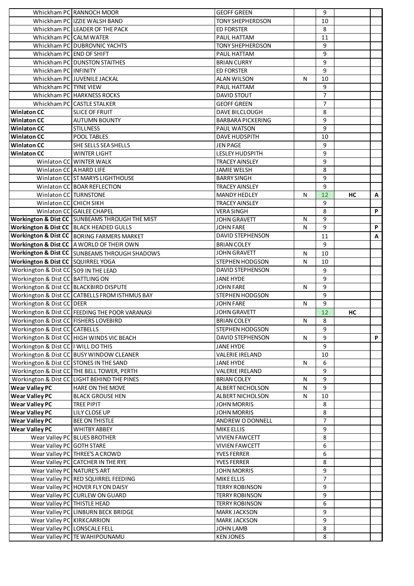|                                         | Whickham PC RANNOCH MOOR                                      | <b>GEOFF GREEN</b>                  |           | 9              |    |    |
|-----------------------------------------|---------------------------------------------------------------|-------------------------------------|-----------|----------------|----|----|
|                                         | Whickham PC IZZIE WALSH BAND                                  | <b>TONY SHEPHERDSON</b>             |           | 10             |    |    |
|                                         | Whickham PC LEADER OF THE PACK                                | <b>ED FORSTER</b>                   |           | 8              |    |    |
| Whickham PC CALM WATER                  |                                                               | PAUL HATTAM                         |           | 11             |    |    |
|                                         | Whickham PC DUBROVNIC YACHTS                                  | <b>TONY SHEPHERDSON</b>             |           | 9              |    |    |
| Whickham PC END OF SHIFT                |                                                               | PAUL HATTAM                         |           | 9              |    |    |
|                                         | Whickham PC DUNSTON STAITHES                                  | <b>BRIAN CURRY</b>                  |           | 9              |    |    |
| Whickham PC INFINITY                    |                                                               | <b>ED FORSTER</b>                   |           | 9              |    |    |
|                                         | Whickham PC JUVENILE JACKAL                                   | <b>ALAN WILSON</b>                  | N         | 10             |    |    |
| Whickham PC TYNE VIEW                   |                                                               | PAUL HATTAM                         |           | 9              |    |    |
|                                         | Whickham PC HARKNESS ROCKS                                    | <b>DAVID STOUT</b>                  |           | $\overline{7}$ |    |    |
|                                         | Whickham PC CASTLE STALKER                                    | <b>GEOFF GREEN</b>                  |           | $\overline{7}$ |    |    |
| <b>Winlaton CC</b>                      | <b>SLICE OF FRUIT</b>                                         | <b>DAVE BILCLOUGH</b>               |           | 8              |    |    |
| <b>Winlaton CC</b>                      | <b>AUTUMN BOUNTY</b>                                          | <b>BARBARA PICKERING</b>            |           | 9              |    |    |
| <b>Winlaton CC</b>                      | <b>STILLNESS</b>                                              | PAUL WATSON                         |           | 9              |    |    |
| <b>Winlaton CC</b>                      | POOL TABLES                                                   | <b>DAVE HUDSPITH</b>                |           | 10             |    |    |
| <b>Winlaton CC</b>                      |                                                               |                                     |           | 9              |    |    |
| <b>Winlaton CC</b>                      | SHE SELLS SEA SHELLS                                          | <b>JEN PAGE</b>                     |           | 9              |    |    |
|                                         | <b>WINTER LIGHT</b>                                           | <b>LESLEY HUDSPITH</b>              |           |                |    |    |
|                                         | Winlaton CC WINTER WALK                                       | <b>TRACEY AINSLEY</b>               |           | 9              |    |    |
| Winlaton CC A HARD LIFE                 |                                                               | <b>JAMIE WELSH</b>                  |           | 8              |    |    |
|                                         | Winlaton CC ST MARYS LIGHTHOUSE                               | <b>BARRY SINGH</b>                  |           | 9              |    |    |
|                                         | Winlaton CC BOAR REFLECTION                                   | <b>TRACEY AINSLEY</b>               |           | 9              |    |    |
| Winlaton CC TURNSTONE                   |                                                               | <b>MANDY HEDLEY</b>                 | N         | 12             | HC | A  |
| Winlaton CC CHICH SIKH                  |                                                               | <b>TRACEY AINSLEY</b>               |           | 9              |    |    |
|                                         | Winlaton CC GAILEE CHAPEL                                     | <b>VERA SINGH</b>                   |           | 8              |    | P. |
|                                         | Workington & Dist CC SUNBEAMS THROUGH THE MIST                | <b>JOHN GRAVETT</b>                 | N         | 9              |    |    |
|                                         | Workington & Dist CC BLACK HEADED GULLS                       | <b>JOHN FARE</b>                    | N         | 9              |    | P. |
|                                         | Workington & Dist CC BORING FARMERS MARKET                    | <b>DAVID STEPHENSON</b>             |           | 11             |    | A  |
|                                         | Workington & Dist CC A WORLD OF THEIR OWN                     | <b>BRIAN COLEY</b>                  |           | 9              |    |    |
|                                         | Workington & Dist CC   SUNBEAMS THROUGH SHADOWS               | <b>JOHN GRAVETT</b>                 | N         | 10             |    |    |
| Workington & Dist CC SQUIRREL YOGA      |                                                               | STEPHEN HODGSON                     | N         | 10             |    |    |
| Workington & Dist CC 509 IN THE LEAD    |                                                               | <b>DAVID STEPHENSON</b>             |           | 9              |    |    |
| Workington & Dist CC BATTLING ON        |                                                               | <b>JANE HYDE</b>                    |           | 9              |    |    |
| Workington & Dist CC BLACKBIRD DISPUTE  |                                                               | <b>JOHN FARE</b>                    | N         | 9              |    |    |
|                                         |                                                               |                                     |           | 9              |    |    |
| Workington & Dist CC DEER               | Workington & Dist CC CATBELLS FROM ISTHMUS BAY                | STEPHEN HODGSON                     |           | 9              |    |    |
|                                         |                                                               | <b>JOHN FARE</b>                    | N         |                |    |    |
|                                         | Workington & Dist CC FEEDING THE POOR VARANASI                | <b>JOHN GRAVETT</b>                 |           | 12             | НC |    |
| Workington & Dist CC FISHERS LOVEBIRD   |                                                               | <b>BRIAN COLEY</b>                  | ${\sf N}$ | 8              |    |    |
| Workington & Dist CC CATBELLS           |                                                               | STEPHEN HODGSON                     |           | 9              |    |    |
|                                         | Workington & Dist CC HIGH WINDS VIC BEACH                     | <b>DAVID STEPHENSON</b>             | N         | 9              |    | P. |
| Workington & Dist CC I WILL DO THIS     |                                                               | <b>JANE HYDE</b>                    |           | 9              |    |    |
|                                         | Workington & Dist CC BUSY WINDOW CLEANER                      | VALERIE IRELAND                     |           | 10             |    |    |
| Workington & Dist CC STONES IN THE SAND |                                                               | JANE HYDE                           | N         | 6              |    |    |
|                                         | Workington & Dist CC THE BELL TOWER, PERTH                    | VALERIE IRELAND                     |           | 9              |    |    |
|                                         | Workington & Dist CC LIGHT BEHIND THE PINES                   | <b>BRIAN COLEY</b>                  | N         | 9              |    |    |
| <b>Wear Valley PC</b>                   | <b>HARE ON THE MOVE</b>                                       | ALBERT NICHOLSON                    | N         | 9              |    |    |
| <b>Wear Valley PC</b>                   | <b>BLACK GROUSE HEN</b>                                       | ALBERT NICHOLSON                    | N         | 10             |    |    |
| <b>Wear Valley PC</b>                   | TREE PIPIT                                                    | <b>JOHN MORRIS</b>                  |           | 8              |    |    |
| <b>Wear Valley PC</b>                   | LILY CLOSE UP                                                 | <b>JOHN MORRIS</b>                  |           | 8              |    |    |
| <b>Wear Valley PC</b>                   | <b>BEE ON THISTLE</b>                                         | ANDREW O DONNELL                    |           | $\overline{7}$ |    |    |
| <b>Wear Valley PC</b>                   | <b>WHITBY ABBEY</b>                                           | MIKE ELLIS                          |           | 9              |    |    |
|                                         | Wear Valley PC BLUES BROTHER                                  | <b>VIVIEN FAWCETT</b>               |           | 8              |    |    |
| Wear Valley PC GOTH STARE               |                                                               | <b>VIVIEN FAWCETT</b>               |           | 6              |    |    |
|                                         | Wear Valley PC THREE'S A CROWD                                | <b>YVES FERRER</b>                  |           | 6              |    |    |
|                                         | Wear Valley PC CATCHER IN THE RYE                             | <b>YVES FERRER</b>                  |           | 8              |    |    |
| Wear Valley PC NATURE'S ART             |                                                               |                                     |           | 9              |    |    |
|                                         |                                                               | <b>JOHN MORRIS</b>                  |           |                |    |    |
|                                         | Wear Valley PC RED SQUIRREL FEEDING                           | MIKE ELLIS                          |           | $\overline{7}$ |    |    |
|                                         | Wear Valley PC HOVER FLY ON DAISY                             | <b>TERRY ROBINSON</b>               |           | 9              |    |    |
|                                         | Wear Valley PC CURLEW ON GUARD                                | <b>TERRY ROBINSON</b>               |           | 9              |    |    |
| Wear Valley PC THISTLE HEAD             |                                                               | <b>TERRY ROBINSON</b>               |           | 6              |    |    |
|                                         |                                                               |                                     |           | 9              |    |    |
|                                         | Wear Valley PC LINBURN BECK BRIDGE                            | <b>MARK JACKSON</b>                 |           |                |    |    |
| Wear Valley PC KIRKCARRION              |                                                               | <b>MARK JACKSON</b>                 |           | 9              |    |    |
|                                         | Wear Valley PC LONSCALE FELL<br>Wear Valley PC TE WAHIPOUNAMU | <b>JOHN LAMB</b><br><b>KENJONES</b> |           | 8<br>8         |    |    |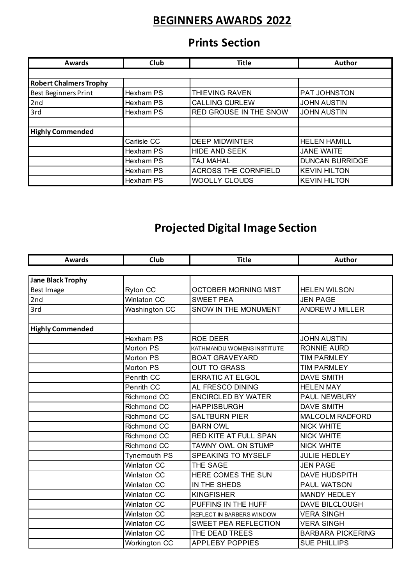# **BEGINNERS AWARDS 2022**

# **Prints Section**

| <b>Awards</b>                 | Club             | <b>Title</b>                | Author                 |
|-------------------------------|------------------|-----------------------------|------------------------|
|                               |                  |                             |                        |
| <b>Robert Chalmers Trophy</b> |                  |                             |                        |
| <b>Best Beginners Print</b>   | Hexham PS        | <b>THIEVING RAVEN</b>       | PAT JOHNSTON           |
| 2nd                           | Hexham PS        | <b>CALLING CURLEW</b>       | <b>JOHN AUSTIN</b>     |
| 3rd                           | Hexham PS        | RED GROUSE IN THE SNOW      | <b>JOHN AUSTIN</b>     |
|                               |                  |                             |                        |
| <b>Highly Commended</b>       |                  |                             |                        |
|                               | Carlisle CC      | <b>DEEP MIDWINTER</b>       | <b>HELEN HAMILL</b>    |
|                               | Hexham PS        | <b>HIDE AND SEEK</b>        | <b>JANE WAITE</b>      |
|                               | <b>Hexham PS</b> | <b>TAJ MAHAL</b>            | <b>DUNCAN BURRIDGE</b> |
|                               | Hexham PS        | <b>ACROSS THE CORNFIELD</b> | <b>KEVIN HILTON</b>    |
|                               | Hexham PS        | <b>WOOLLY CLOUDS</b>        | <b>KEVIN HILTON</b>    |

# **Projected Digital Image Section**

| <b>Awards</b>            | Club                | <b>Title</b>                | <b>Author</b>            |
|--------------------------|---------------------|-----------------------------|--------------------------|
|                          |                     |                             |                          |
| <b>Jane Black Trophy</b> |                     |                             |                          |
| Best Image               | Ryton CC            | <b>OCTOBER MORNING MIST</b> | <b>HELEN WILSON</b>      |
| 2nd                      | Winlaton CC         | <b>SWEET PEA</b>            | <b>JEN PAGE</b>          |
| 3rd                      | Washington CC       | SNOW IN THE MONUMENT        | <b>ANDREW J MILLER</b>   |
|                          |                     |                             |                          |
| <b>Highly Commended</b>  |                     |                             |                          |
|                          | Hexham PS           | <b>ROE DEER</b>             | <b>JOHN AUSTIN</b>       |
|                          | Morton PS           | KATHMANDU WOMENS INSTITUTE  | <b>RONNIE AURD</b>       |
|                          | Morton PS           | <b>BOAT GRAVEYARD</b>       | <b>TIM PARMLEY</b>       |
|                          | Morton PS           | <b>OUT TO GRASS</b>         | <b>TIM PARMLEY</b>       |
|                          | Penrith CC          | <b>ERRATIC AT ELGOL</b>     | <b>DAVE SMITH</b>        |
|                          | Penrith CC          | AL FRESCO DINING            | <b>HELEN MAY</b>         |
|                          | Richmond CC         | <b>ENCIRCLED BY WATER</b>   | PAUL NEWBURY             |
|                          | Richmond CC         | <b>HAPPISBURGH</b>          | <b>DAVE SMITH</b>        |
|                          | Richmond CC         | <b>SALTBURN PIER</b>        | MALCOLM RADFORD          |
|                          | Richmond CC         | <b>BARN OWL</b>             | <b>NICK WHITE</b>        |
|                          | Richmond CC         | RED KITE AT FULL SPAN       | <b>NICK WHITE</b>        |
|                          | Richmond CC         | TAWNY OWL ON STUMP          | <b>NICK WHITE</b>        |
|                          | <b>Tynemouth PS</b> | SPEAKING TO MYSELF          | <b>JULIE HEDLEY</b>      |
|                          | <b>Winlaton CC</b>  | THE SAGE                    | <b>JEN PAGE</b>          |
|                          | Winlaton CC         | HERE COMES THE SUN          | <b>DAVE HUDSPITH</b>     |
|                          | Winlaton CC         | IN THE SHEDS                | <b>PAUL WATSON</b>       |
|                          | Winlaton CC         | <b>KINGFISHER</b>           | <b>MANDY HEDLEY</b>      |
|                          | Winlaton CC         | PUFFINS IN THE HUFF         | DAVE BILCLOUGH           |
|                          | Winlaton CC         | REFLECT IN BARBERS WINDOW   | <b>VERA SINGH</b>        |
|                          | Winlaton CC         | SWEET PEA REFLECTION        | <b>VERA SINGH</b>        |
|                          | Winlaton CC         | THE DEAD TREES              | <b>BARBARA PICKERING</b> |
|                          | Workington CC       | <b>APPLEBY POPPIES</b>      | <b>SUE PHILLIPS</b>      |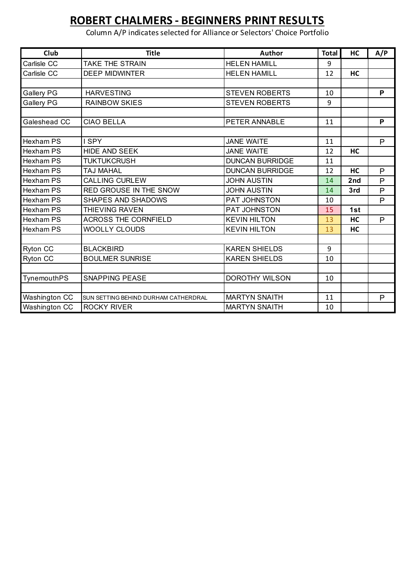# **ROBERT CHALMERS - BEGINNERS PRINT RESULTS**

| Club             | <b>Title</b>                         | Author                 | <b>Total</b> | HC        | A/P |
|------------------|--------------------------------------|------------------------|--------------|-----------|-----|
| Carlisle CC      | TAKE THE STRAIN                      | <b>HELEN HAMILL</b>    | 9            |           |     |
| Carlisle CC      | <b>DEEP MIDWINTER</b>                | <b>HELEN HAMILL</b>    | 12           | HC        |     |
|                  |                                      |                        |              |           |     |
| Gallery PG       | <b>HARVESTING</b>                    | <b>STEVEN ROBERTS</b>  | 10           |           | P   |
| Gallery PG       | <b>RAINBOW SKIES</b>                 | <b>STEVEN ROBERTS</b>  | 9            |           |     |
|                  |                                      |                        |              |           |     |
| Galeshead CC     | <b>CIAO BELLA</b>                    | PETER ANNABLE          | 11           |           | P   |
|                  |                                      |                        |              |           |     |
| Hexham PS        | I SPY                                | <b>JANE WAITE</b>      | 11           |           | P   |
| Hexham PS        | <b>HIDE AND SEEK</b>                 | <b>JANE WAITE</b>      | 12           | HC        |     |
| <b>Hexham PS</b> | <b>TUKTUKCRUSH</b>                   | <b>DUNCAN BURRIDGE</b> | 11           |           |     |
| Hexham PS        | <b>TAJ MAHAL</b>                     | <b>DUNCAN BURRIDGE</b> | 12           | <b>HC</b> | P   |
| Hexham PS        | <b>CALLING CURLEW</b>                | <b>JOHN AUSTIN</b>     | 14           | 2nd       | P   |
| Hexham PS        | <b>RED GROUSE IN THE SNOW</b>        | <b>JOHN AUSTIN</b>     | 14           | 3rd       | P   |
| Hexham PS        | <b>SHAPES AND SHADOWS</b>            | PAT JOHNSTON           | 10           |           | P   |
| <b>Hexham PS</b> | <b>THIEVING RAVEN</b>                | PAT JOHNSTON           | 15           | 1st       |     |
| Hexham PS        | <b>ACROSS THE CORNFIELD</b>          | <b>KEVIN HILTON</b>    | 13           | HC        | P   |
| Hexham PS        | <b>WOOLLY CLOUDS</b>                 | <b>KEVIN HILTON</b>    | 13           | HC        |     |
|                  |                                      |                        |              |           |     |
| Ryton CC         | <b>BLACKBIRD</b>                     | <b>KAREN SHIELDS</b>   | 9            |           |     |
| Ryton CC         | <b>BOULMER SUNRISE</b>               | <b>KAREN SHIELDS</b>   | 10           |           |     |
|                  |                                      |                        |              |           |     |
| TynemouthPS      | <b>SNAPPING PEASE</b>                | DOROTHY WILSON         | 10           |           |     |
|                  |                                      |                        |              |           |     |
| Washington CC    | SUN SETTING BEHIND DURHAM CATHERDRAL | <b>MARTYN SNAITH</b>   | 11           |           | P   |
| Washington CC    | <b>ROCKY RIVER</b>                   | <b>MARTYN SNAITH</b>   | 10           |           |     |

Column A/P indicates selected for Alliance or Selectors' Choice Portfolio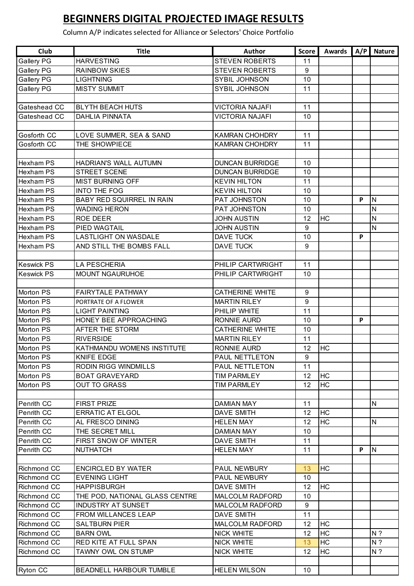# **BEGINNERS DIGITAL PROJECTED IMAGE RESULTS**

Column A/P indicates selected for Alliance or Selectors' Choice Portfolio

| Club                   | <b>Title</b>                                   | Author                                     | Score    | <b>Awards</b> |   | $A/P$ Nature            |
|------------------------|------------------------------------------------|--------------------------------------------|----------|---------------|---|-------------------------|
| <b>Gallery PG</b>      | <b>HARVESTING</b>                              | <b>STEVEN ROBERTS</b>                      | 11       |               |   |                         |
| <b>Gallery PG</b>      | <b>RAINBOW SKIES</b>                           | <b>STEVEN ROBERTS</b>                      | $9\,$    |               |   |                         |
| <b>Gallery PG</b>      | <b>LIGHTNING</b>                               | SYBIL JOHNSON                              | 10       |               |   |                         |
| Gallery PG             | <b>MISTY SUMMIT</b>                            | SYBIL JOHNSON                              | 11       |               |   |                         |
|                        |                                                |                                            |          |               |   |                         |
| Gateshead CC           | <b>BLYTH BEACH HUTS</b>                        | <b>VICTORIA NAJAFI</b>                     | 11       |               |   |                         |
| Gateshead CC           | <b>DAHLIA PINNATA</b>                          | <b>VICTORIA NAJAFI</b>                     | 10       |               |   |                         |
|                        |                                                |                                            |          |               |   |                         |
| Gosforth CC            | LOVE SUMMER, SEA & SAND                        | <b>KAMRAN CHOHDRY</b>                      | 11       |               |   |                         |
| Gosforth CC            | THE SHOWPIECE                                  | <b>KAMRAN CHOHDRY</b>                      | 11       |               |   |                         |
|                        |                                                |                                            |          |               |   |                         |
| Hexham PS              | HADRIAN'S WALL AUTUMN                          | <b>DUNCAN BURRIDGE</b>                     | 10       |               |   |                         |
| Hexham PS              | STREET SCENE                                   | <b>DUNCAN BURRIDGE</b>                     | 10       |               |   |                         |
|                        |                                                |                                            |          |               |   |                         |
| Hexham PS<br>Hexham PS | <b>MIST BURNING OFF</b><br><b>INTO THE FOG</b> | <b>KEVIN HILTON</b><br><b>KEVIN HILTON</b> | 11<br>10 |               |   |                         |
|                        |                                                |                                            |          |               |   |                         |
| Hexham PS<br>Hexham PS | <b>BABY RED SQUIRREL IN RAIN</b>               | PAT JOHNSTON                               | 10       |               | P | N                       |
|                        | <b>WADING HERON</b>                            | PAT JOHNSTON                               | 10       |               |   | $\overline{N}$          |
| Hexham PS              | ROE DEER                                       | <b>JOHN AUSTIN</b>                         | 12       | <b>HC</b>     |   | N                       |
| Hexham PS              | PIED WAGTAIL                                   | <b>JOHN AUSTIN</b>                         | 9        |               |   | $\overline{\mathsf{N}}$ |
| Hexham PS              | <b>LASTLIGHT ON WASDALE</b>                    | <b>DAVE TUCK</b>                           | 10       |               | P |                         |
| Hexham PS              | AND STILL THE BOMBS FALL                       | <b>DAVE TUCK</b>                           | 9        |               |   |                         |
|                        |                                                |                                            |          |               |   |                         |
| <b>Keswick PS</b>      | <b>LA PESCHERIA</b>                            | PHILIP CARTWRIGHT                          | 11       |               |   |                         |
| <b>Keswick PS</b>      | <b>MOUNT NGAURUHOE</b>                         | PHILIP CARTWRIGHT                          | 10       |               |   |                         |
|                        |                                                |                                            |          |               |   |                         |
| Morton PS              | FAIRYTALE PATHWAY                              | <b>CATHERINE WHITE</b>                     | 9        |               |   |                         |
| Morton PS              | PORTRATE OF A FLOWER                           | <b>MARTIN RILEY</b>                        | 9        |               |   |                         |
| Morton PS              | <b>LIGHT PAINTING</b>                          | PHILIP WHITE                               | 11       |               |   |                         |
| Morton PS              | HONEY BEE APPROACHING                          | <b>RONNIE AURD</b>                         | 10       |               | P |                         |
| Morton PS              | AFTER THE STORM                                | <b>CATHERINE WHITE</b>                     | 10       |               |   |                         |
| Morton PS              | <b>RIVERSIDE</b>                               | <b>MARTIN RILEY</b>                        | 11       |               |   |                         |
| Morton PS              | KATHMANDU WOMENS INSTITUTE                     | RONNIE AURD                                | 12       | <b>HC</b>     |   |                         |
| Morton PS              | KNIFE EDGE                                     | PAUL NETTLETON                             | 9        |               |   |                         |
| Morton PS              | RODIN RIGG WINDMILLS                           | PAUL NETTLETON                             | 11       |               |   |                         |
| Morton PS              | <b>BOAT GRAVEYARD</b>                          | <b>TIM PARMLEY</b>                         | 12       | HC            |   |                         |
| Morton PS              | <b>OUT TO GRASS</b>                            | <b>TIM PARMLEY</b>                         | 12       | <b>HC</b>     |   |                         |
|                        |                                                |                                            |          |               |   |                         |
| Penrith CC             | <b>FIRST PRIZE</b>                             | <b>DAMIAN MAY</b>                          | 11       |               |   | N                       |
| Penrith CC             | <b>ERRATIC AT ELGOL</b>                        | <b>DAVE SMITH</b>                          | 12       | HC            |   |                         |
| Penrith CC             | AL FRESCO DINING                               | <b>HELEN MAY</b>                           | 12       | HC            |   | N                       |
| Penrith CC             | THE SECRET MILL                                | <b>DAMIAN MAY</b>                          | 10       |               |   |                         |
| Penrith CC             | FIRST SNOW OF WINTER                           | <b>DAVE SMITH</b>                          | 11       |               |   |                         |
| Penrith CC             | <b>NUTHATCH</b>                                | <b>HELEN MAY</b>                           | 11       |               | P | N                       |
|                        |                                                |                                            |          |               |   |                         |
| Richmond CC            | <b>ENCIRCLED BY WATER</b>                      | PAUL NEWBURY                               | 13       | <b>HC</b>     |   |                         |
| Richmond CC            | <b>EVENING LIGHT</b>                           | PAUL NEWBURY                               | 10       |               |   |                         |
| Richmond CC            | <b>HAPPISBURGH</b>                             | DAVE SMITH                                 | 12       | HC            |   |                         |
| Richmond CC            | THE POD, NATIONAL GLASS CENTRE                 | MALCOLM RADFORD                            | 10       |               |   |                         |
| Richmond CC            | <b>INDUSTRY AT SUNSET</b>                      | <b>MALCOLM RADFORD</b>                     | 9        |               |   |                         |
| Richmond CC            | FROM WILLANCES LEAP                            | <b>DAVE SMITH</b>                          | 11       |               |   |                         |
| Richmond CC            | <b>SALTBURN PIER</b>                           | <b>MALCOLM RADFORD</b>                     | 12       | <b>HC</b>     |   |                         |
| Richmond CC            | <b>BARN OWL</b>                                | <b>NICK WHITE</b>                          | 12       | HC            |   | N <sub>2</sub>          |
| Richmond CC            | RED KITE AT FULL SPAN                          | <b>NICK WHITE</b>                          | 13       | HC            |   | N ?                     |
| Richmond CC            | TAWNY OWL ON STUMP                             | <b>NICK WHITE</b>                          | 12       | HC            |   | N ?                     |
|                        |                                                |                                            |          |               |   |                         |
| Ryton CC               | BEADNELL HARBOUR TUMBLE                        | <b>HELEN WILSON</b>                        | 10       |               |   |                         |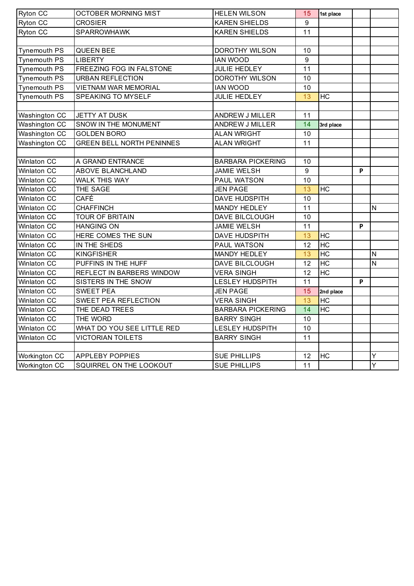| Ryton CC            | <b>OCTOBER MORNING MIST</b>      | <b>HELEN WILSON</b>      | 15               | 1st place |   |              |
|---------------------|----------------------------------|--------------------------|------------------|-----------|---|--------------|
| Ryton CC            | <b>CROSIER</b>                   | <b>KAREN SHIELDS</b>     | 9                |           |   |              |
| Ryton CC            | SPARROWHAWK                      | <b>KAREN SHIELDS</b>     | 11               |           |   |              |
|                     |                                  |                          |                  |           |   |              |
| <b>Tynemouth PS</b> | QUEEN BEE                        | DOROTHY WILSON           | 10               |           |   |              |
| <b>Tynemouth PS</b> | <b>LIBERTY</b>                   | <b>IAN WOOD</b>          | 9                |           |   |              |
| <b>Tynemouth PS</b> | FREEZING FOG IN FALSTONE         | <b>JULIE HEDLEY</b>      | 11               |           |   |              |
| <b>Tynemouth PS</b> | <b>URBAN REFLECTION</b>          | DOROTHY WILSON           | 10               |           |   |              |
| <b>Tynemouth PS</b> | <b>VIETNAM WAR MEMORIAL</b>      | <b>IAN WOOD</b>          | 10               |           |   |              |
| <b>Tynemouth PS</b> | <b>SPEAKING TO MYSELF</b>        | <b>JULIE HEDLEY</b>      | 13               | <b>HC</b> |   |              |
|                     |                                  |                          |                  |           |   |              |
| Washington CC       | JETTY AT DUSK                    | <b>ANDREW J MILLER</b>   | 11               |           |   |              |
| Washington CC       | SNOW IN THE MONUMENT             | <b>ANDREW J MILLER</b>   | 14               | 3rd place |   |              |
| Washington CC       | <b>GOLDEN BORO</b>               | <b>ALAN WRIGHT</b>       | 10               |           |   |              |
| Washington CC       | <b>GREEN BELL NORTH PENINNES</b> | <b>ALAN WRIGHT</b>       | 11               |           |   |              |
|                     |                                  |                          |                  |           |   |              |
| Winlaton CC         | A GRAND ENTRANCE                 | <b>BARBARA PICKERING</b> | 10               |           |   |              |
| Winlaton CC         | <b>ABOVE BLANCHLAND</b>          | <b>JAMIE WELSH</b>       | $\boldsymbol{9}$ |           | P |              |
| Winlaton CC         | <b>WALK THIS WAY</b>             | PAUL WATSON              | 10               |           |   |              |
| Winlaton CC         | THE SAGE                         | <b>JEN PAGE</b>          | 13               | HC        |   |              |
| Winlaton CC         | <b>CAFÉ</b>                      | DAVE HUDSPITH            | 10               |           |   |              |
| Winlaton CC         | <b>CHAFFINCH</b>                 | MANDY HEDLEY             | 11               |           |   | $\mathsf{N}$ |
| Winlaton CC         | <b>TOUR OF BRITAIN</b>           | DAVE BILCLOUGH           | 10               |           |   |              |
| Winlaton CC         | <b>HANGING ON</b>                | <b>JAMIE WELSH</b>       | 11               |           | P |              |
| Winlaton CC         | HERE COMES THE SUN               | DAVE HUDSPITH            | 13               | HC        |   |              |
| Winlaton CC         | IN THE SHEDS                     | PAUL WATSON              | 12               | HC        |   |              |
| Winlaton CC         | <b>KINGFISHER</b>                | MANDY HEDLEY             | 13               | HC        |   | N            |
| Winlaton CC         | PUFFINS IN THE HUFF              | DAVE BILCLOUGH           | 12               | HC        |   | N            |
| Winlaton CC         | REFLECT IN BARBERS WINDOW        | <b>VERA SINGH</b>        | 12               | HC        |   |              |
| Winlaton CC         | SISTERS IN THE SNOW              | <b>LESLEY HUDSPITH</b>   | 11               |           | P |              |
| Winlaton CC         | <b>SWEET PEA</b>                 | <b>JEN PAGE</b>          | 15               | 2nd place |   |              |
| Winlaton CC         | <b>SWEET PEA REFLECTION</b>      | <b>VERA SINGH</b>        | 13               | <b>HC</b> |   |              |
| Winlaton CC         | THE DEAD TREES                   | <b>BARBARA PICKERING</b> | 14               | <b>HC</b> |   |              |
| Winlaton CC         | THE WORD                         | <b>BARRY SINGH</b>       | 10               |           |   |              |
| Winlaton CC         | WHAT DO YOU SEE LITTLE RED       | <b>LESLEY HUDSPITH</b>   | 10               |           |   |              |
| Winlaton CC         | VICTORIAN TOILETS                | <b>BARRY SINGH</b>       | 11               |           |   |              |
|                     |                                  |                          |                  |           |   |              |
| Workington CC       | <b>APPLEBY POPPIES</b>           | <b>SUE PHILLIPS</b>      | 12               | <b>HC</b> |   | Ý            |
| Workington CC       | SQUIRREL ON THE LOOKOUT          | <b>SUE PHILLIPS</b>      | 11               |           |   | Ÿ            |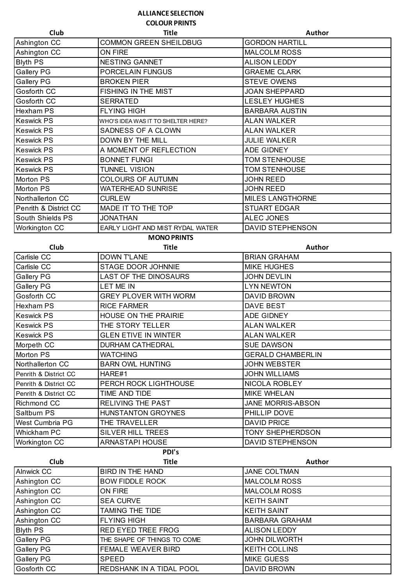#### **ALLIANCE SELECTION COLOUR PRINTS**

| Club                  | <b>Title</b>                       | <b>Author</b>           |
|-----------------------|------------------------------------|-------------------------|
| Ashington CC          | <b>COMMON GREEN SHEILDBUG</b>      | <b>GORDON HARTILL</b>   |
| Ashington CC          | ON FIRE                            | <b>MALCOLM ROSS</b>     |
| <b>Blyth PS</b>       | <b>NESTING GANNET</b>              | <b>ALISON LEDDY</b>     |
| <b>Gallery PG</b>     | PORCELAIN FUNGUS                   | <b>GRAEME CLARK</b>     |
| <b>Gallery PG</b>     | <b>BROKEN PIER</b>                 | <b>STEVE OWENS</b>      |
| Gosforth CC           | <b>FISHING IN THE MIST</b>         | <b>JOAN SHEPPARD</b>    |
| <b>Gosforth CC</b>    | <b>SERRATED</b>                    | <b>LESLEY HUGHES</b>    |
| Hexham PS             | <b>FLYING HIGH</b>                 | <b>BARBARA AUSTIN</b>   |
| <b>Keswick PS</b>     | WHO'S IDEA WAS IT TO SHELTER HERE? | <b>ALAN WALKER</b>      |
| <b>Keswick PS</b>     | SADNESS OF A CLOWN                 | <b>ALAN WALKER</b>      |
| <b>Keswick PS</b>     | DOWN BY THE MILL                   | <b>JULIE WALKER</b>     |
| <b>Keswick PS</b>     | A MOMENT OF REFLECTION             | ADE GIDNEY              |
| <b>Keswick PS</b>     | <b>BONNET FUNGI</b>                | TOM STENHOUSE           |
| <b>Keswick PS</b>     | <b>TUNNEL VISION</b>               | TOM STENHOUSE           |
| Morton PS             | <b>COLOURS OF AUTUMN</b>           | <b>JOHN REED</b>        |
| Morton PS             | <b>WATERHEAD SUNRISE</b>           | <b>JOHN REED</b>        |
| Northallerton CC      | <b>CURLEW</b>                      | <b>MILES LANGTHORNE</b> |
| Penrith & District CC | MADE IT TO THE TOP                 | <b>STUART EDGAR</b>     |
| South Shields PS      | <b>JONATHAN</b>                    | <b>ALEC JONES</b>       |
| <b>Workington CC</b>  | EARLY LIGHT AND MIST RYDAL WATER   | <b>DAVID STEPHENSON</b> |
|                       | <b>MONO PRINTS</b>                 |                         |

| Club                  | <b>Title</b>                 | Author                   |
|-----------------------|------------------------------|--------------------------|
| Carlisle CC           | <b>DOWN T'LANE</b>           | <b>BRIAN GRAHAM</b>      |
| Carlisle CC           | STAGE DOOR JOHNNIE           | <b>MIKE HUGHES</b>       |
| Gallery PG            | LAST OF THE DINOSAURS        | <b>JOHN DEVLIN</b>       |
| Gallery PG            | <b>LET ME IN</b>             | <b>LYN NEWTON</b>        |
| Gosforth CC           | <b>GREY PLOVER WITH WORM</b> | <b>DAVID BROWN</b>       |
| Hexham PS             | <b>RICE FARMER</b>           | <b>DAVE BEST</b>         |
| <b>Keswick PS</b>     | HOUSE ON THE PRAIRIE         | <b>ADE GIDNEY</b>        |
| <b>Keswick PS</b>     | THE STORY TELLER             | <b>ALAN WALKER</b>       |
| <b>Keswick PS</b>     | <b>GLEN ETIVE IN WINTER</b>  | <b>ALAN WALKER</b>       |
| Morpeth CC            | <b>DURHAM CATHEDRAL</b>      | <b>SUE DAWSON</b>        |
| Morton PS             | <b>WATCHING</b>              | <b>GERALD CHAMBERLIN</b> |
| Northallerton CC      | <b>BARN OWL HUNTING</b>      | <b>JOHN WEBSTER</b>      |
| Penrith & District CC | HARE#1                       | <b>JOHN WILLIAMS</b>     |
| Penrith & District CC | PERCH ROCK LIGHTHOUSE        | <b>NICOLA ROBLEY</b>     |
| Penrith & District CC | TIME AND TIDE                | <b>MIKE WHELAN</b>       |
| Richmond CC           | <b>RELIVING THE PAST</b>     | <b>JANE MORRIS-ABSON</b> |
| Saltburn PS           | <b>HUNSTANTON GROYNES</b>    | PHILLIP DOVE             |
| West Cumbria PG       | THE TRAVELLER                | <b>DAVID PRICE</b>       |
| Whickham PC           | <b>SILVER HILL TREES</b>     | TONY SHEPHERDSON         |
| Workington CC         | <b>ARNASTAPI HOUSE</b>       | <b>DAVID STEPHENSON</b>  |
|                       | PDI's                        |                          |

**Club Title Author** Alnwick CC BIRD IN THE HAND JANE COLTMAN Ashington CC BOW FIDDLE ROCK MALCOLM ROSS Ashington CC ON FIRE MALCOLM ROSS Ashington CC SEA CURVE SAINT Ashington CC **TAMING THE TIDE** KEITH SAINT Ashington CC **FLYING HIGH** BARBARA GRAHAM Blyth PS RED EYED TREE FROG ALISON LEDDY Gallery PG THE SHAPE OF THINGS TO COME JOHN DILWORTH Gallery PG FEMALE WEAVER BIRD KEITH COLLINS Gallery PG SPEED MIKE GUESS Gosforth CC **REDSHANK IN A TIDAL POOL** DAVID BROWN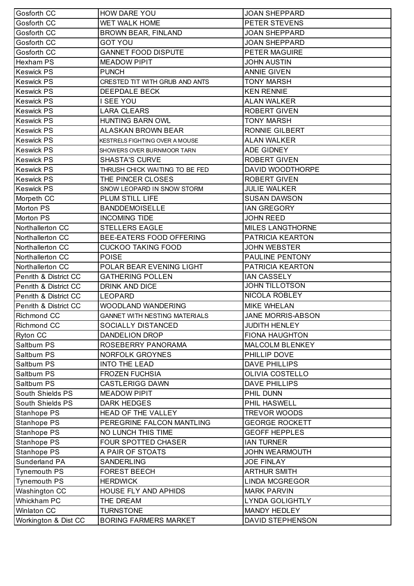| Gosforth CC           | HOW DARE YOU                         | <b>JOAN SHEPPARD</b>     |  |
|-----------------------|--------------------------------------|--------------------------|--|
| Gosforth CC           | WET WALK HOME                        | PETER STEVENS            |  |
| Gosforth CC           | <b>BROWN BEAR, FINLAND</b>           | <b>JOAN SHEPPARD</b>     |  |
| Gosforth CC           | <b>GOT YOU</b>                       | <b>JOAN SHEPPARD</b>     |  |
| Gosforth CC           | <b>GANNET FOOD DISPUTE</b>           | <b>PETER MAGUIRE</b>     |  |
| Hexham PS             | <b>MEADOW PIPIT</b>                  | <b>JOHN AUSTIN</b>       |  |
| <b>Keswick PS</b>     | <b>PUNCH</b>                         | <b>ANNIE GIVEN</b>       |  |
| <b>Keswick PS</b>     | CRESTED TIT WITH GRUB AND ANTS       | <b>TONY MARSH</b>        |  |
| <b>Keswick PS</b>     | DEEPDALE BECK                        | <b>KEN RENNIE</b>        |  |
| <b>Keswick PS</b>     | I SEE YOU                            | <b>ALAN WALKER</b>       |  |
| <b>Keswick PS</b>     | <b>LARA CLEARS</b>                   | <b>ROBERT GIVEN</b>      |  |
| <b>Keswick PS</b>     | HUNTING BARN OWL                     | <b>TONY MARSH</b>        |  |
| <b>Keswick PS</b>     | <b>ALASKAN BROWN BEAR</b>            | <b>RONNIE GILBERT</b>    |  |
| <b>Keswick PS</b>     | KESTRELS FIGHTING OVER A MOUSE       | <b>ALAN WALKER</b>       |  |
| <b>Keswick PS</b>     | SHOWERS OVER BURNMOOR TARN           | <b>ADE GIDNEY</b>        |  |
| <b>Keswick PS</b>     | <b>SHASTA'S CURVE</b>                | <b>ROBERT GIVEN</b>      |  |
| <b>Keswick PS</b>     | THRUSH CHICK WAITING TO BE FED       | DAVID WOODTHORPE         |  |
| <b>Keswick PS</b>     | THE PINCER CLOSES                    | <b>ROBERT GIVEN</b>      |  |
| <b>Keswick PS</b>     | SNOW LEOPARD IN SNOW STORM           | <b>JULIE WALKER</b>      |  |
| Morpeth CC            | PLUM STILL LIFE                      | <b>SUSAN DAWSON</b>      |  |
| Morton PS             | <b>BANDDEMOISELLE</b>                | <b>IAN GREGORY</b>       |  |
| Morton PS             | <b>INCOMING TIDE</b>                 | <b>JOHN REED</b>         |  |
| Northallerton CC      | <b>STELLERS EAGLE</b>                | <b>MILES LANGTHORNE</b>  |  |
| Northallerton CC      | BEE-EATERS FOOD OFFERING             | PATRICIA KEARTON         |  |
| Northallerton CC      | <b>CUCKOO TAKING FOOD</b>            | <b>JOHN WEBSTER</b>      |  |
| Northallerton CC      | <b>POISE</b>                         | PAULINE PENTONY          |  |
| Northallerton CC      | POLAR BEAR EVENING LIGHT             | PATRICIA KEARTON         |  |
| Penrith & District CC | <b>GATHERING POLLEN</b>              | <b>IAN CASSELY</b>       |  |
| Penrith & District CC | DRINK AND DICE                       | <b>JOHN TILLOTSON</b>    |  |
| Penrith & District CC | <b>LEOPARD</b>                       | NICOLA ROBLEY            |  |
| Penrith & District CC | WOODLAND WANDERING                   | <b>MIKE WHELAN</b>       |  |
| Richmond CC           | <b>GANNET WITH NESTING MATERIALS</b> | <b>JANE MORRIS-ABSON</b> |  |
| Richmond CC           | SOCIALLY DISTANCED                   | <b>JUDITH HENLEY</b>     |  |
| Ryton CC              | <b>DANDELION DROP</b>                | <b>FIONA HAUGHTON</b>    |  |
| Saltburn PS           | ROSEBERRY PANORAMA                   | <b>MALCOLM BLENKEY</b>   |  |
| Saltburn PS           | NORFOLK GROYNES                      | PHILLIP DOVE             |  |
| Saltburn PS           | <b>INTO THE LEAD</b>                 | <b>DAVE PHILLIPS</b>     |  |
| Saltburn PS           | <b>FROZEN FUCHSIA</b>                | <b>OLIVIA COSTELLO</b>   |  |
| Saltburn PS           | <b>CASTLERIGG DAWN</b>               | <b>DAVE PHILLIPS</b>     |  |
| South Shields PS      | <b>MEADOW PIPIT</b>                  | PHIL DUNN                |  |
| South Shields PS      | <b>DARK HEDGES</b>                   | PHIL HASWELL             |  |
| Stanhope PS           | HEAD OF THE VALLEY                   | <b>TREVOR WOODS</b>      |  |
| Stanhope PS           | PEREGRINE FALCON MANTLING            | <b>GEORGE ROCKETT</b>    |  |
| Stanhope PS           | NO LUNCH THIS TIME                   | <b>GEOFF HEPPLES</b>     |  |
| Stanhope PS           | FOUR SPOTTED CHASER                  | <b>IAN TURNER</b>        |  |
| Stanhope PS           | A PAIR OF STOATS                     | <b>JOHN WEARMOUTH</b>    |  |
| Sunderland PA         | SANDERLING                           | <b>JOE FINLAY</b>        |  |
| <b>Tynemouth PS</b>   | <b>FOREST BEECH</b>                  | <b>ARTHUR SMITH</b>      |  |
| <b>Tynemouth PS</b>   | <b>HERDWICK</b>                      | <b>LINDA MCGREGOR</b>    |  |
| Washington CC         | HOUSE FLY AND APHIDS                 | <b>MARK PARVIN</b>       |  |
| Whickham PC           | THE DREAM                            | <b>LYNDA GOLIGHTLY</b>   |  |
| Winlaton CC           | <b>TURNSTONE</b>                     | MANDY HEDLEY             |  |
| Workington & Dist CC  | <b>BORING FARMERS MARKET</b>         | DAVID STEPHENSON         |  |
|                       |                                      |                          |  |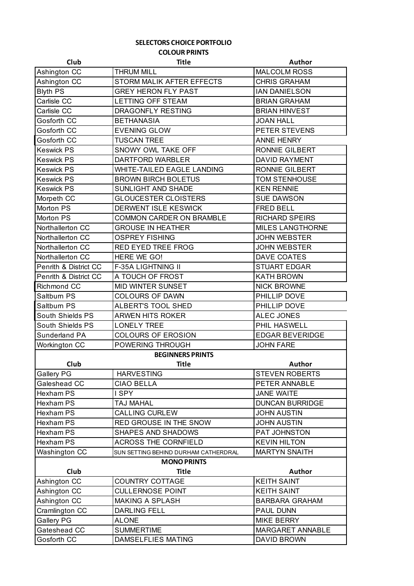#### **SELECTORS CHOICE PORTFOLIO COLOUR PRINTS**

| Club                  | <b>Title</b>                         | <b>Author</b>           |  |  |
|-----------------------|--------------------------------------|-------------------------|--|--|
| Ashington CC          | <b>THRUM MILL</b>                    | <b>MALCOLM ROSS</b>     |  |  |
| Ashington CC          | STORM MALIK AFTER EFFECTS            | <b>CHRIS GRAHAM</b>     |  |  |
| <b>Blyth PS</b>       | <b>GREY HERON FLY PAST</b>           | <b>IAN DANIELSON</b>    |  |  |
| Carlisle CC           | <b>LETTING OFF STEAM</b>             | <b>BRIAN GRAHAM</b>     |  |  |
| Carlisle CC           | DRAGONFLY RESTING                    | <b>BRIAN HINVEST</b>    |  |  |
| Gosforth CC           | <b>BETHANASIA</b>                    | <b>JOAN HALL</b>        |  |  |
| Gosforth CC           | <b>EVENING GLOW</b>                  | PETER STEVENS           |  |  |
| Gosforth CC           | <b>TUSCAN TREE</b>                   | <b>ANNE HENRY</b>       |  |  |
| <b>Keswick PS</b>     | SNOWY OWL TAKE OFF                   | <b>RONNIE GILBERT</b>   |  |  |
| <b>Keswick PS</b>     | DARTFORD WARBLER                     | <b>DAVID RAYMENT</b>    |  |  |
| <b>Keswick PS</b>     | WHITE-TAILED EAGLE LANDING           | RONNIE GILBERT          |  |  |
| <b>Keswick PS</b>     | <b>BROWN BIRCH BOLETUS</b>           | <b>TOM STENHOUSE</b>    |  |  |
| <b>Keswick PS</b>     | SUNLIGHT AND SHADE                   | <b>KEN RENNIE</b>       |  |  |
| Morpeth CC            | <b>GLOUCESTER CLOISTERS</b>          | <b>SUE DAWSON</b>       |  |  |
| Morton PS             | DERWENT ISLE KESWICK                 | <b>FRED BELL</b>        |  |  |
| Morton PS             | <b>COMMON CARDER ON BRAMBLE</b>      | <b>RICHARD SPEIRS</b>   |  |  |
| Northallerton CC      | <b>GROUSE IN HEATHER</b>             | <b>MILES LANGTHORNE</b> |  |  |
| Northallerton CC      | <b>OSPREY FISHING</b>                | <b>JOHN WEBSTER</b>     |  |  |
| Northallerton CC      | <b>RED EYED TREE FROG</b>            | <b>JOHN WEBSTER</b>     |  |  |
| Northallerton CC      | HERE WE GO!                          | DAVE COATES             |  |  |
| Penrith & District CC | F-35A LIGHTNING II                   | <b>STUART EDGAR</b>     |  |  |
| Penrith & District CC | A TOUCH OF FROST                     | <b>KATH BROWN</b>       |  |  |
| Richmond CC           | <b>MID WINTER SUNSET</b>             | <b>NICK BROWNE</b>      |  |  |
| Saltburn PS           | <b>COLOURS OF DAWN</b>               | PHILLIP DOVE            |  |  |
| Saltburn PS           | ALBERT'S TOOL SHED                   | PHILLIP DOVE            |  |  |
| South Shields PS      | <b>ARWEN HITS ROKER</b>              | <b>ALEC JONES</b>       |  |  |
| South Shields PS      | <b>LONELY TREE</b>                   | PHIL HASWELL            |  |  |
| Sunderland PA         | COLOURS OF EROSION                   | <b>EDGAR BEVERIDGE</b>  |  |  |
| Workington CC         | POWERING THROUGH                     | <b>JOHN FARE</b>        |  |  |
|                       | <b>BEGINNERS PRINTS</b>              |                         |  |  |
| Club                  | <b>Title</b>                         | <b>Author</b>           |  |  |
| Gallery PG            | <b>HARVESTING</b>                    | <b>STEVEN ROBERTS</b>   |  |  |
| Galeshead CC          | <b>CIAO BELLA</b>                    | PETER ANNABLE           |  |  |
| Hexham PS             | I SPY                                | <b>JANE WAITE</b>       |  |  |
| Hexham PS             | <b>TAJ MAHAL</b>                     | <b>DUNCAN BURRIDGE</b>  |  |  |
| Hexham PS             | <b>CALLING CURLEW</b>                | <b>JOHN AUSTIN</b>      |  |  |
| Hexham PS             | RED GROUSE IN THE SNOW               | <b>JOHN AUSTIN</b>      |  |  |
| Hexham PS             | <b>SHAPES AND SHADOWS</b>            | PAT JOHNSTON            |  |  |
| Hexham PS             | <b>ACROSS THE CORNFIELD</b>          | <b>KEVIN HILTON</b>     |  |  |
| Washington CC         | SUN SETTING BEHIND DURHAM CATHERDRAL | <b>MARTYN SNAITH</b>    |  |  |
| <b>MONO PRINTS</b>    |                                      |                         |  |  |
| Club                  | <b>Title</b>                         | Author                  |  |  |
| Ashington CC          | <b>COUNTRY COTTAGE</b>               | <b>KEITH SAINT</b>      |  |  |
| Ashington CC          | <b>CULLERNOSE POINT</b>              | <b>KEITH SAINT</b>      |  |  |
| Ashington CC          | <b>MAKING A SPLASH</b>               | <b>BARBARA GRAHAM</b>   |  |  |
| Cramlington CC        | <b>DARLING FELL</b>                  | PAUL DUNN               |  |  |
| Gallery PG            | <b>ALONE</b>                         | <b>MIKE BERRY</b>       |  |  |
| Gateshead CC          | <b>SUMMERTIME</b>                    | MARGARET ANNABLE        |  |  |
| Gosforth CC           | DAMSELFLIES MATING                   | <b>DAVID BROWN</b>      |  |  |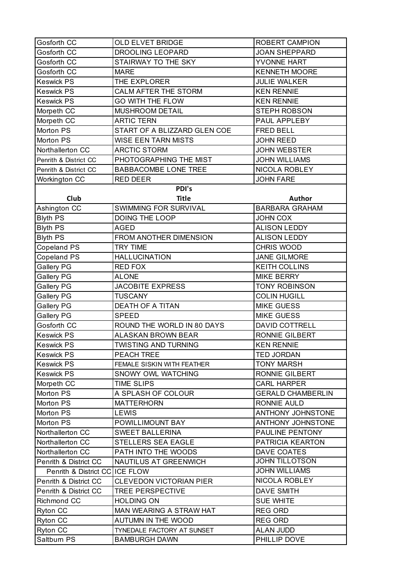| Gosforth CC                    | <b>OLD ELVET BRIDGE</b>        | ROBERT CAMPION           |
|--------------------------------|--------------------------------|--------------------------|
| Gosforth CC                    | <b>DROOLING LEOPARD</b>        | <b>JOAN SHEPPARD</b>     |
| Gosforth CC                    | STAIRWAY TO THE SKY            | YVONNE HART              |
| Gosforth CC                    | <b>MARE</b>                    | <b>KENNETH MOORE</b>     |
| <b>Keswick PS</b>              | THE EXPLORER                   | <b>JULIE WALKER</b>      |
| <b>Keswick PS</b>              | CALM AFTER THE STORM           | <b>KEN RENNIE</b>        |
| <b>Keswick PS</b>              | <b>GO WITH THE FLOW</b>        | <b>KEN RENNIE</b>        |
| Morpeth CC                     | <b>MUSHROOM DETAIL</b>         | <b>STEPH ROBSON</b>      |
| Morpeth CC                     | <b>ARTIC TERN</b>              | PAUL APPLEBY             |
| Morton PS                      | START OF A BLIZZARD GLEN COE   | <b>FRED BELL</b>         |
| Morton PS                      | <b>WISE EEN TARN MISTS</b>     | <b>JOHN REED</b>         |
| Northallerton CC               | <b>ARCTIC STORM</b>            | <b>JOHN WEBSTER</b>      |
| Penrith & District CC          | PHOTOGRAPHING THE MIST         | <b>JOHN WILLIAMS</b>     |
| Penrith & District CC          | <b>BABBACOMBE LONE TREE</b>    | NICOLA ROBLEY            |
| Workington CC                  | <b>RED DEER</b>                | <b>JOHN FARE</b>         |
|                                | PDI's                          |                          |
| Club                           | <b>Title</b>                   | Author                   |
| Ashington CC                   | <b>SWIMMING FOR SURVIVAL</b>   | <b>BARBARA GRAHAM</b>    |
| <b>Blyth PS</b>                | DOING THE LOOP                 | <b>JOHN COX</b>          |
| <b>Blyth PS</b>                | <b>AGED</b>                    | <b>ALISON LEDDY</b>      |
| <b>Blyth PS</b>                | FROM ANOTHER DIMENSION         | <b>ALISON LEDDY</b>      |
| Copeland PS                    | <b>TRY TIME</b>                | CHRIS WOOD               |
| Copeland PS                    | <b>HALLUCINATION</b>           | <b>JANE GILMORE</b>      |
| <b>Gallery PG</b>              | <b>RED FOX</b>                 | <b>KEITH COLLINS</b>     |
| Gallery PG                     | <b>ALONE</b>                   | <b>MIKE BERRY</b>        |
| <b>Gallery PG</b>              | <b>JACOBITE EXPRESS</b>        | <b>TONY ROBINSON</b>     |
| <b>Gallery PG</b>              | <b>TUSCANY</b>                 | <b>COLIN HUGILL</b>      |
| Gallery PG                     | DEATH OF A TITAN               | <b>MIKE GUESS</b>        |
| <b>Gallery PG</b>              | <b>SPEED</b>                   | <b>MIKE GUESS</b>        |
| Gosforth CC                    | ROUND THE WORLD IN 80 DAYS     | <b>DAVID COTTRELL</b>    |
| <b>Keswick PS</b>              | ALASKAN BROWN BEAR             | <b>RONNIE GILBERT</b>    |
| <b>Keswick PS</b>              | <b>TWISTING AND TURNING</b>    | <b>KEN RENNIE</b>        |
| <b>Keswick PS</b>              | <b>PEACH TREE</b>              | <b>TED JORDAN</b>        |
| <b>Keswick PS</b>              | FEMALE SISKIN WITH FEATHER     | <b>TONY MARSH</b>        |
| <b>Keswick PS</b>              | SNOWY OWL WATCHING             | RONNIE GILBERT           |
| Morpeth CC                     | TIME SLIPS                     | CARL HARPER              |
| Morton PS                      | A SPLASH OF COLOUR             | <b>GERALD CHAMBERLIN</b> |
| Morton PS                      | <b>MATTERHORN</b>              | RONNIE AULD              |
| Morton PS                      | <b>LEWIS</b>                   | ANTHONY JOHNSTONE        |
| Morton PS                      | POWILLIMOUNT BAY               | ANTHONY JOHNSTONE        |
| Northallerton CC               | <b>SWEET BALLERINA</b>         | PAULINE PENTONY          |
| Northallerton CC               | STELLERS SEA EAGLE             | PATRICIA KEARTON         |
| Northallerton CC               | PATH INTO THE WOODS            | DAVE COATES              |
| Penrith & District CC          | NAUTILUS AT GREENWICH          | <b>JOHN TILLOTSON</b>    |
| Penrith & District CC ICE FLOW |                                | <b>JOHN WILLIAMS</b>     |
| Penrith & District CC          | <b>CLEVEDON VICTORIAN PIER</b> | NICOLA ROBLEY            |
| Penrith & District CC          | <b>TREE PERSPECTIVE</b>        | <b>DAVE SMITH</b>        |
| Richmond CC                    | <b>HOLDING ON</b>              | <b>SUE WHITE</b>         |
| Ryton CC                       | MAN WEARING A STRAW HAT        | <b>REG ORD</b>           |
| Ryton CC                       | AUTUMN IN THE WOOD             | <b>REG ORD</b>           |
| Ryton CC                       | TYNEDALE FACTORY AT SUNSET     | <b>ALAN JUDD</b>         |
| Saltburn PS                    | <b>BAMBURGH DAWN</b>           | PHILLIP DOVE             |